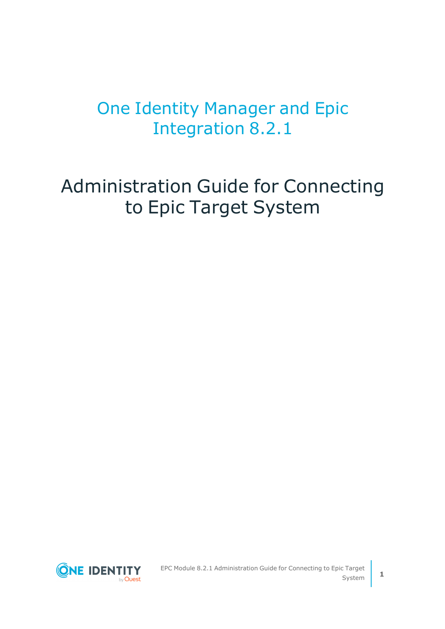# One Identity Manager and Epic Integration 8.2.1

Administration Guide for Connecting to Epic Target System

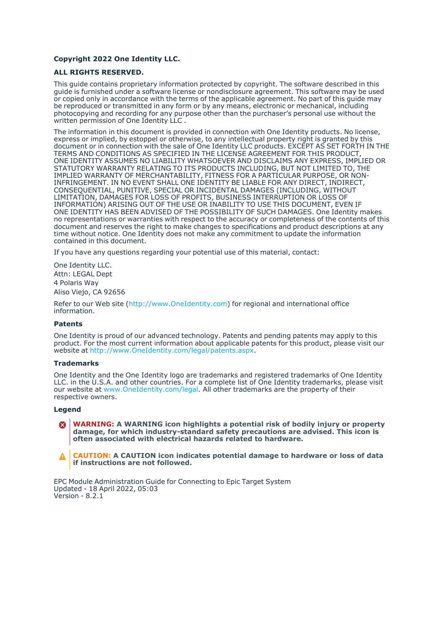#### **Copyright 2022 One Identity LLC.**

#### **ALL RIGHTS RESERVED.**

This guide contains proprietary information protected by copyright. The software described in this guide is furnished under a software license or nondisclosure agreement. This software may be used or copied only in accordance with the terms of the applicable agreement. No part of this guide may be reproduced or transmitted in any form or by any means, electronic or mechanical, including photocopying and recording for any purpose other than the purchaser's personal use without the written permission of One Identity LLC .

The information in this document is provided in connection with One Identity products. No license, express or implied, by estoppel or otherwise, to any intellectual property right is granted by this document or in connection with the sale of One Identity LLC products. EXCEPT AS SET FORTH IN THE TERMS AND CONDITIONS AS SPECIFIED IN THE LICENSE AGREEMENT FOR THIS PRODUCT, ONE IDENTITY ASSUMES NO LIABILITY WHATSOEVER AND DISCLAIMS ANY EXPRESS, IMPLIED OR STATUTORY WARRANTY RELATING TO ITS PRODUCTS INCLUDING, BUT NOT LIMITED TO, THE IMPLIED WARRANTY OF MERCHANTABILITY, FITNESS FOR A PARTICULAR PURPOSE, OR NON-INFRINGEMENT. IN NO EVENT SHALL ONE IDENTITY BE LIABLE FOR ANY DIRECT, INDIRECT, CONSEQUENTIAL, PUNITIVE, SPECIAL OR INCIDENTAL DAMAGES (INCLUDING, WITHOUT LIMITATION, DAMAGES FOR LOSS OF PROFITS, BUSINESS INTERRUPTION OR LOSS OF INFORMATION) ARISING OUT OF THE USE OR INABILITY TO USE THIS DOCUMENT, EVEN IF ONE IDENTITY HAS BEEN ADVISED OF THE POSSIBILITY OF SUCH DAMAGES. One Identity makes no representations or warranties with respect to the accuracy or completeness of the contents of this document and reserves the right to make changes to specifications and product descriptions at any time without notice. One Identity does not make any commitment to update the information contained in this document.

If you have any questions regarding your potential use of this material, contact:

One Identity LLC. Attn: LEGAL Dept 4 Polaris Way Aliso Viejo, CA 92656

Refer to our Web site [\(http://www.OneIdentity.com](http://www.oneidentity.com/)) for regional and international office information.

#### **Patents**

One Identity is proud of our advanced technology. Patents and pending patents may apply to this product. For the most current information about applicable patents for this product, please visit our website at [http://www.OneIdentity.com/legal/patents.aspx.](http://www.oneidentity.com/legal/patents.aspx)

#### **Trademarks**

One Identity and the One Identity logo are trademarks and registered trademarks of One Identity LLC. in the U.S.A. and other countries. For a complete list of One Identity trademarks, please visit our website at [www.OneIdentity.com/legal](http://www.oneidentity.com/legal). All other trademarks are the property of their respective owners.

#### **Legend**

**WARNING: A WARNING icon highlights a potential risk of bodily injury or property** œ **damage, for which industry-standard safety precautions are advised. This icon is often associated with electrical hazards related to hardware.**

**CAUTION: A CAUTION icon indicates potential damage to hardware or loss of data if instructions are not followed.**

EPC Module Administration Guide for Connecting to Epic Target System Updated - 18 April 2022, 05:03 Version - 8.2.1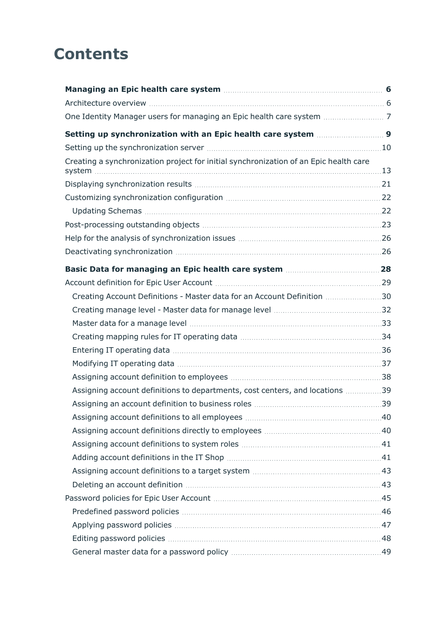# **Contents**

| Creating a synchronization project for initial synchronization of an Epic health care |  |
|---------------------------------------------------------------------------------------|--|
|                                                                                       |  |
|                                                                                       |  |
|                                                                                       |  |
|                                                                                       |  |
|                                                                                       |  |
|                                                                                       |  |
|                                                                                       |  |
|                                                                                       |  |
| Creating Account Definitions - Master data for an Account Definition  30              |  |
|                                                                                       |  |
|                                                                                       |  |
|                                                                                       |  |
|                                                                                       |  |
|                                                                                       |  |
|                                                                                       |  |
| Assigning account definitions to departments, cost centers, and locations 39          |  |
|                                                                                       |  |
|                                                                                       |  |
|                                                                                       |  |
|                                                                                       |  |
|                                                                                       |  |
|                                                                                       |  |
|                                                                                       |  |
|                                                                                       |  |
|                                                                                       |  |
|                                                                                       |  |
|                                                                                       |  |
|                                                                                       |  |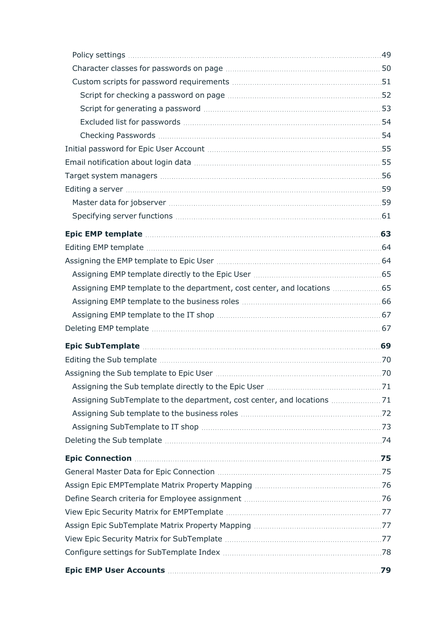| Assigning EMP template to the department, cost center, and locations  65 |  |
|--------------------------------------------------------------------------|--|
|                                                                          |  |
|                                                                          |  |
|                                                                          |  |
|                                                                          |  |
|                                                                          |  |
|                                                                          |  |
|                                                                          |  |
|                                                                          |  |
|                                                                          |  |
|                                                                          |  |
|                                                                          |  |
|                                                                          |  |
|                                                                          |  |
|                                                                          |  |
|                                                                          |  |
|                                                                          |  |
|                                                                          |  |
|                                                                          |  |
|                                                                          |  |
|                                                                          |  |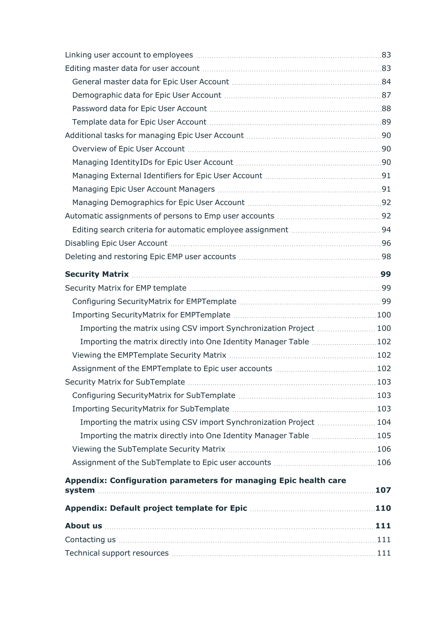| Importing the matrix using CSV import Synchronization Project 100   |     |
|---------------------------------------------------------------------|-----|
| Importing the matrix directly into One Identity Manager Table  102  |     |
|                                                                     |     |
|                                                                     |     |
| <b>Security Matrix for SubTemplate</b>                              | 103 |
|                                                                     |     |
|                                                                     |     |
| Importing the matrix using CSV import Synchronization Project 104   |     |
| Importing the matrix directly into One Identity Manager Table  105  |     |
|                                                                     |     |
|                                                                     |     |
| Appendix: Configuration parameters for managing Epic health care    |     |
|                                                                     |     |
| Appendix: Default project template for Epic manufacture and the 110 |     |
|                                                                     |     |
|                                                                     |     |
|                                                                     |     |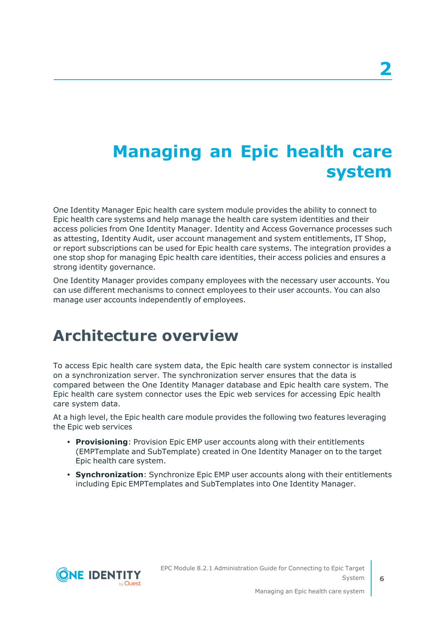# <span id="page-5-0"></span>**Managing an Epic health care system**

One Identity Manager Epic health care system module provides the ability to connect to Epic health care systems and help manage the health care system identities and their access policies from One Identity Manager. Identity and Access Governance processes such as attesting, Identity Audit, user account management and system entitlements, IT Shop, or report subscriptions can be used for Epic health care systems. The integration provides a one stop shop for managing Epic health care identities, their access policies and ensures a strong identity governance.

One Identity Manager provides company employees with the necessary user accounts. You can use different mechanisms to connect employees to their user accounts. You can also manage user accounts independently of employees.

## <span id="page-5-1"></span>**Architecture overview**

To access Epic health care system data, the Epic health care system connector is installed on a synchronization server. The synchronization server ensures that the data is compared between the One Identity Manager database and Epic health care system. The Epic health care system connector uses the Epic web services for accessing Epic health care system data.

At a high level, the Epic health care module provides the following two features leveraging the Epic web services

- **Provisioning**: Provision Epic EMP user accounts along with their entitlements (EMPTemplate and SubTemplate) created in One Identity Manager on to the target Epic health care system.
- **Synchronization**: Synchronize Epic EMP user accounts along with their entitlements including Epic EMPTemplates and SubTemplates into One Identity Manager.

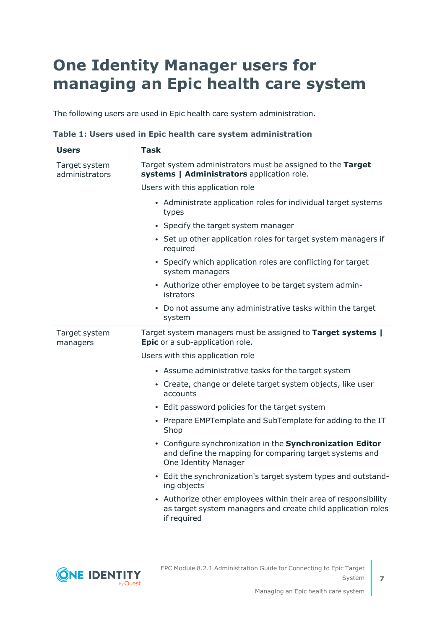# <span id="page-6-0"></span>**One Identity Manager users for managing an Epic health care system**

The following users are used in Epic health care system administration.

|  |  | Table 1: Users used in Epic health care system administration |  |
|--|--|---------------------------------------------------------------|--|
|--|--|---------------------------------------------------------------|--|

| <b>Users</b>                    | <b>Task</b>                                                                                                                                         |
|---------------------------------|-----------------------------------------------------------------------------------------------------------------------------------------------------|
| Target system<br>administrators | Target system administrators must be assigned to the Target<br>systems   Administrators application role.                                           |
|                                 | Users with this application role                                                                                                                    |
|                                 | • Administrate application roles for individual target systems<br>types                                                                             |
|                                 | • Specify the target system manager                                                                                                                 |
|                                 | • Set up other application roles for target system managers if<br>required                                                                          |
|                                 | • Specify which application roles are conflicting for target<br>system managers                                                                     |
|                                 | • Authorize other employee to be target system admin-<br>istrators                                                                                  |
|                                 | • Do not assume any administrative tasks within the target<br>system                                                                                |
| Target system<br>managers       | Target system managers must be assigned to Target systems  <br>Epic or a sub-application role.                                                      |
|                                 | Users with this application role                                                                                                                    |
|                                 | • Assume administrative tasks for the target system                                                                                                 |
|                                 | • Create, change or delete target system objects, like user<br>accounts                                                                             |
|                                 | • Edit password policies for the target system                                                                                                      |
|                                 | • Prepare EMPTemplate and SubTemplate for adding to the IT<br>Shop                                                                                  |
|                                 | • Configure synchronization in the Synchronization Editor<br>and define the mapping for comparing target systems and<br><b>One Identity Manager</b> |
|                                 | • Edit the synchronization's target system types and outstand-<br>ing objects                                                                       |
|                                 | • Authorize other employees within their area of responsibility<br>as target system managers and create child application roles<br>if required      |
|                                 |                                                                                                                                                     |



EPC Module 8.2.1 Administration Guide for Connecting to Epic Target System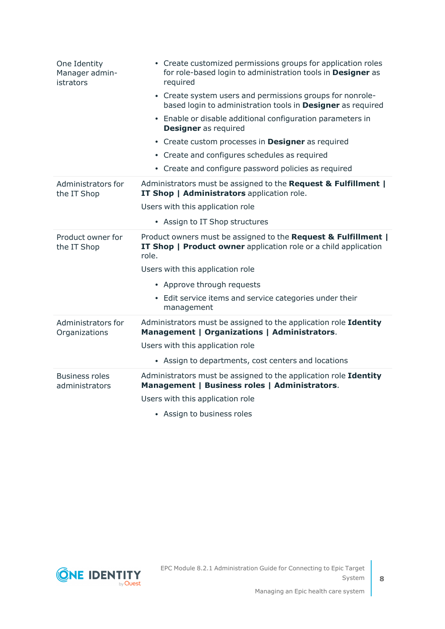| One Identity<br>Manager admin-<br>istrators | • Create customized permissions groups for application roles<br>for role-based login to administration tools in Designer as<br>required    |
|---------------------------------------------|--------------------------------------------------------------------------------------------------------------------------------------------|
|                                             | • Create system users and permissions groups for nonrole-<br>based login to administration tools in Designer as required                   |
|                                             | • Enable or disable additional configuration parameters in<br><b>Designer</b> as required                                                  |
|                                             | • Create custom processes in <b>Designer</b> as required                                                                                   |
|                                             | • Create and configures schedules as required                                                                                              |
|                                             | • Create and configure password policies as required                                                                                       |
| Administrators for<br>the IT Shop           | Administrators must be assigned to the Request & Fulfillment  <br>IT Shop   Administrators application role.                               |
|                                             | Users with this application role                                                                                                           |
|                                             | • Assign to IT Shop structures                                                                                                             |
| Product owner for<br>the IT Shop            | Product owners must be assigned to the Request & Fulfillment  <br>IT Shop   Product owner application role or a child application<br>role. |
|                                             | Users with this application role                                                                                                           |
|                                             | • Approve through requests                                                                                                                 |
|                                             | • Edit service items and service categories under their<br>management                                                                      |
| Administrators for<br>Organizations         | Administrators must be assigned to the application role Identity<br>Management   Organizations   Administrators.                           |
|                                             | Users with this application role                                                                                                           |
|                                             | • Assign to departments, cost centers and locations                                                                                        |
| <b>Business roles</b><br>administrators     | Administrators must be assigned to the application role Identity<br>Management   Business roles   Administrators.                          |
|                                             | Users with this application role                                                                                                           |
|                                             | • Assign to business roles                                                                                                                 |
|                                             |                                                                                                                                            |

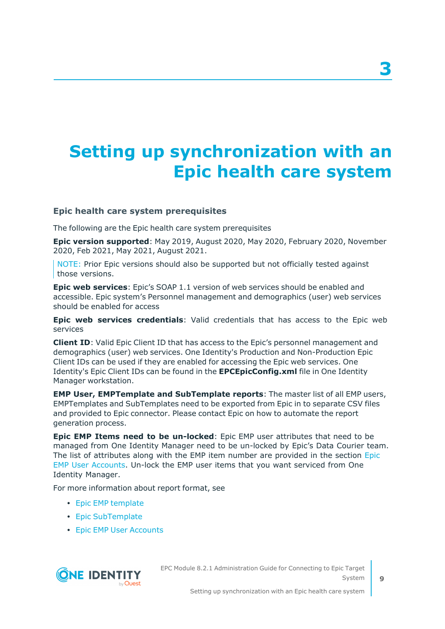# <span id="page-8-0"></span>**Setting up synchronization with an Epic health care system**

## <span id="page-8-1"></span>**Epic health care system prerequisites**

The following are the Epic health care system prerequisites

**Epic version supported**: May 2019, August 2020, May 2020, February 2020, November 2020, Feb 2021, May 2021, August 2021.

NOTE: Prior Epic versions should also be supported but not officially tested against those versions.

**Epic web services**: Epic's SOAP 1.1 version of web services should be enabled and accessible. Epic system's Personnel management and demographics (user) web services should be enabled for access

**Epic web services credentials**: Valid credentials that has access to the Epic web services

**Client ID**: Valid Epic Client ID that has access to the Epic's personnel management and demographics (user) web services. One Identity's Production and Non-Production Epic Client IDs can be used if they are enabled for accessing the Epic web services. One Identity's Epic Client IDs can be found in the **EPCEpicConfig.xml** file in One Identity Manager workstation.

**EMP User, EMPTemplate and SubTemplate reports**: The master list of all EMP users, EMPTemplates and SubTemplates need to be exported from Epic in to separate CSV files and provided to Epic connector. Please contact Epic on how to automate the report generation process.

**Epic EMP Items need to be un-locked**: Epic EMP user attributes that need to be managed from One Identity Manager need to be un-locked by Epic's Data Courier team. The list of attributes along with the EMP item number are provided in the section [Epic](#page-78-0) EMP User [Accounts.](#page-78-0) Un-lock the EMP user items that you want serviced from One Identity Manager.

For more information about report format, see

- Epic EMP [template](#page-62-0)
- Epic [SubTemplate](#page-68-0)
- Epic EMP User [Accounts](#page-78-0)



EPC Module 8.2.1 Administration Guide for Connecting to Epic Target System

**3**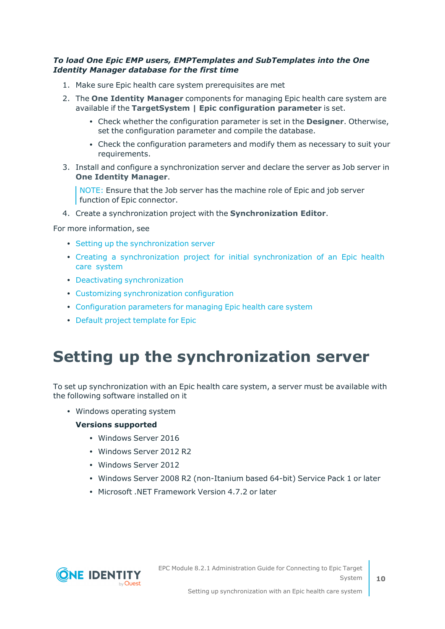## *To load One Epic EMP users, EMPTemplates and SubTemplates into the One Identity Manager database for the first time*

- 1. Make sure Epic health care system prerequisites are met
- 2. The **One Identity Manager** components for managing Epic health care system are available if the **TargetSystem | Epic configuration parameter** is set.
	- <sup>l</sup> Check whether the configuration parameter is set in the **Designer**. Otherwise, set the configuration parameter and compile the database.
	- Check the configuration parameters and modify them as necessary to suit your requirements.
- 3. Install and configure a synchronization server and declare the server as Job server in **One Identity Manager**.

NOTE: Ensure that the Job server has the machine role of Epic and job server function of Epic connector.

4. Create a synchronization project with the **Synchronization Editor**.

For more information, see

- Setting up the [synchronization](#page-9-0) server
- Creating a [synchronization](#page-12-0) project for initial synchronization of an Epic health care [system](#page-12-0)
- Deactivating [synchronization](#page-25-1)
- Customizing [synchronization](#page-21-0) configuration
- [Configuration](#page-106-0) parameters for managing Epic health care system
- Default project [template](#page-109-0) for Epic

## <span id="page-9-0"></span>**Setting up the synchronization server**

To set up synchronization with an Epic health care system, a server must be available with the following software installed on it

• Windows operating system

#### **Versions supported**

- Windows Server 2016
- Windows Server 2012 R2
- Windows Server 2012
- Windows Server 2008 R2 (non-Itanium based 64-bit) Service Pack 1 or later
- Microsoft .NET Framework Version 4.7.2 or later

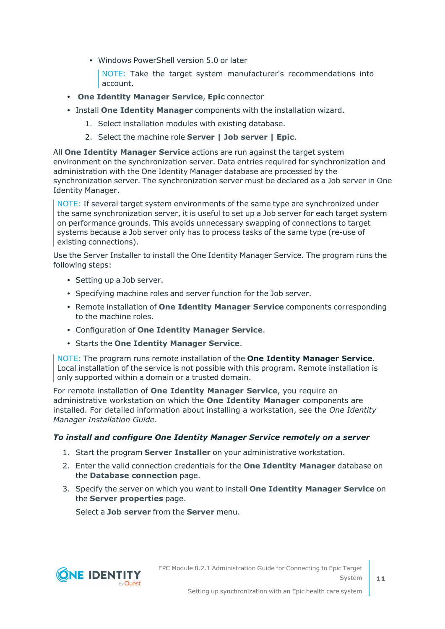• Windows PowerShell version 5.0 or later

NOTE: Take the target system manufacturer's recommendations into account.

- <sup>l</sup> **One Identity Manager Service**, **Epic** connector
- <sup>l</sup> Install **One Identity Manager** components with the installation wizard.
	- 1. Select installation modules with existing database.
	- 2. Select the machine role **Server | Job server | Epic**.

All **One Identity Manager Service** actions are run against the target system environment on the synchronization server. Data entries required for synchronization and administration with the One Identity Manager database are processed by the synchronization server. The synchronization server must be declared as a Job server in One Identity Manager.

NOTE: If several target system environments of the same type are synchronized under the same synchronization server, it is useful to set up a Job server for each target system on performance grounds. This avoids unnecessary swapping of connections to target systems because a Job server only has to process tasks of the same type (re-use of existing connections).

Use the Server Installer to install the One Identity Manager Service. The program runs the following steps:

- Setting up a Job server.
- Specifying machine roles and server function for the Job server.
- <sup>l</sup> Remote installation of **One Identity Manager Service** components corresponding to the machine roles.
- <sup>l</sup> Configuration of **One Identity Manager Service**.
- <sup>l</sup> Starts the **One Identity Manager Service**.

NOTE: The program runs remote installation of the **One Identity Manager Service**. Local installation of the service is not possible with this program. Remote installation is only supported within a domain or a trusted domain.

For remote installation of **One Identity Manager Service**, you require an administrative workstation on which the **One Identity Manager** components are installed. For detailed information about installing a workstation, see the *One Identity Manager Installation Guide*.

## *To install and configure One Identity Manager Service remotely on a server*

- 1. Start the program **Server Installer** on your administrative workstation.
- 2. Enter the valid connection credentials for the **One Identity Manager** database on the **Database connection** page.
- 3. Specify the server on which you want to install **One Identity Manager Service** on the **Server properties** page.

Select a **Job server** from the **Server** menu.

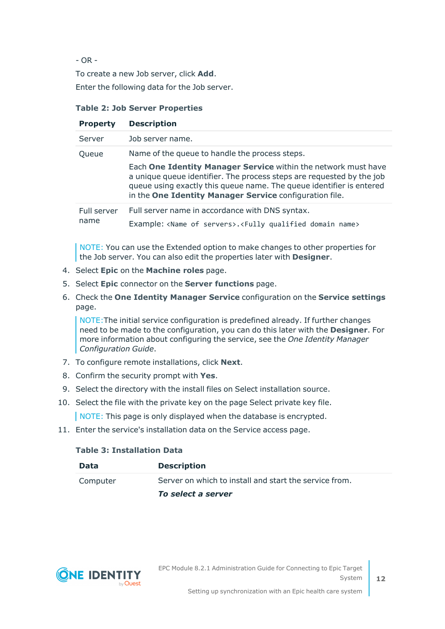- OR -

To create a new Job server, click **Add**.

Enter the following data for the Job server.

## **Table 2: Job Server Properties**

| <b>Property</b>     | <b>Description</b>                                                                                                                                                                                                                                                         |
|---------------------|----------------------------------------------------------------------------------------------------------------------------------------------------------------------------------------------------------------------------------------------------------------------------|
| Server              | Job server name.                                                                                                                                                                                                                                                           |
| Queue               | Name of the queue to handle the process steps.                                                                                                                                                                                                                             |
|                     | Each One Identity Manager Service within the network must have<br>a unique queue identifier. The process steps are requested by the job<br>queue using exactly this queue name. The queue identifier is entered<br>in the One Identity Manager Service configuration file. |
| Full server<br>name | Full server name in accordance with DNS syntax.                                                                                                                                                                                                                            |
|                     | Example: <name of="" servers="">.<fully domain="" name="" qualified=""></fully></name>                                                                                                                                                                                     |

NOTE: You can use the Extended option to make changes to other properties for the Job server. You can also edit the properties later with **Designer**.

- 4. Select **Epic** on the **Machine roles** page.
- 5. Select **Epic** connector on the **Server functions** page.
- 6. Check the **One Identity Manager Service** configuration on the **Service settings** page.

NOTE:The initial service configuration is predefined already. If further changes need to be made to the configuration, you can do this later with the **Designer**. For more information about configuring the service, see the *One Identity Manager Configuration Guide*.

- 7. To configure remote installations, click **Next**.
- 8. Confirm the security prompt with **Yes**.
- 9. Select the directory with the install files on Select installation source.
- 10. Select the file with the private key on the page Select private key file.

NOTE: This page is only displayed when the database is encrypted.

11. Enter the service's installation data on the Service access page.

### **Table 3: Installation Data**

| Data     | <b>Description</b>                                     |
|----------|--------------------------------------------------------|
| Computer | Server on which to install and start the service from. |
|          | To select a server                                     |

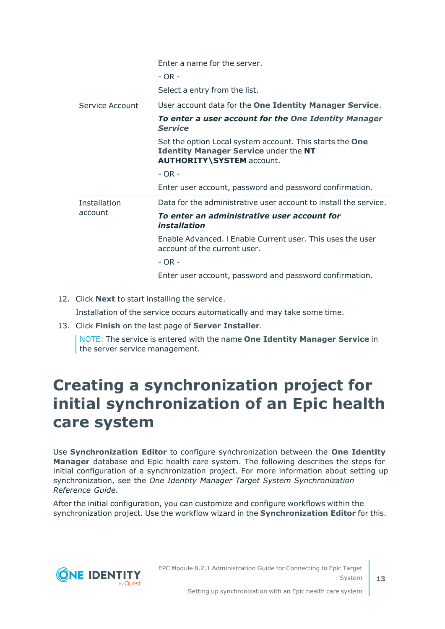|                         | Enter a name for the server.<br>$- OR -$<br>Select a entry from the list.                                                                           |
|-------------------------|-----------------------------------------------------------------------------------------------------------------------------------------------------|
| Service Account         | User account data for the One Identity Manager Service.                                                                                             |
|                         | To enter a user account for the One Identity Manager<br><b>Service</b>                                                                              |
|                         | Set the option Local system account. This starts the <b>One</b><br><b>Identity Manager Service under the NT</b><br><b>AUTHORITY\SYSTEM account.</b> |
|                         | $- OR -$                                                                                                                                            |
|                         | Enter user account, password and password confirmation.                                                                                             |
| Installation<br>account | Data for the administrative user account to install the service.                                                                                    |
|                         | To enter an administrative user account for<br>installation                                                                                         |
|                         | Enable Advanced, I Enable Current user, This uses the user<br>account of the current user.                                                          |
|                         | - OR -                                                                                                                                              |
|                         |                                                                                                                                                     |

12. Click **Next** to start installing the service.

Installation of the service occurs automatically and may take some time.

13. Click **Finish** on the last page of **Server Installer**.

NOTE: The service is entered with the name **One Identity Manager Service** in the server service management.

## <span id="page-12-0"></span>**Creating a synchronization project for initial synchronization of an Epic health care system**

Use **Synchronization Editor** to configure synchronization between the **One Identity Manager** database and Epic health care system. The following describes the steps for initial configuration of a synchronization project. For more information about setting up synchronization, see the *One Identity Manager Target System Synchronization Reference Guide*.

After the initial configuration, you can customize and configure workflows within the synchronization project. Use the workflow wizard in the **Synchronization Editor** for this.

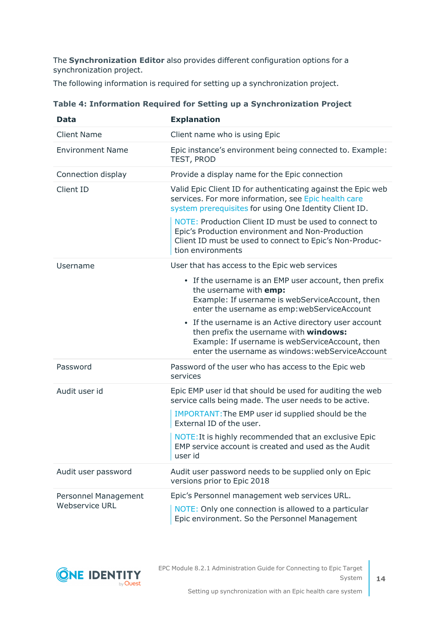The **Synchronization Editor** also provides different configuration options for a synchronization project.

The following information is required for setting up a synchronization project.

| <b>Data</b>             | <b>Explanation</b>                                                                                                                                                                                     |
|-------------------------|--------------------------------------------------------------------------------------------------------------------------------------------------------------------------------------------------------|
| <b>Client Name</b>      | Client name who is using Epic                                                                                                                                                                          |
| <b>Environment Name</b> | Epic instance's environment being connected to. Example:<br>TEST, PROD                                                                                                                                 |
| Connection display      | Provide a display name for the Epic connection                                                                                                                                                         |
| Client ID               | Valid Epic Client ID for authenticating against the Epic web<br>services. For more information, see Epic health care<br>system prerequisites for using One Identity Client ID.                         |
|                         | NOTE: Production Client ID must be used to connect to<br>Epic's Production environment and Non-Production<br>Client ID must be used to connect to Epic's Non-Produc-<br>tion environments              |
| Username                | User that has access to the Epic web services                                                                                                                                                          |
|                         | • If the username is an EMP user account, then prefix<br>the username with emp:<br>Example: If username is webServiceAccount, then<br>enter the username as emp: webServiceAccount                     |
|                         | • If the username is an Active directory user account<br>then prefix the username with windows:<br>Example: If username is webServiceAccount, then<br>enter the username as windows: webServiceAccount |
| Password                | Password of the user who has access to the Epic web<br>services                                                                                                                                        |
| Audit user id           | Epic EMP user id that should be used for auditing the web<br>service calls being made. The user needs to be active.                                                                                    |
|                         | IMPORTANT: The EMP user id supplied should be the<br>External ID of the user.                                                                                                                          |
|                         | NOTE: It is highly recommended that an exclusive Epic<br>EMP service account is created and used as the Audit<br>user id                                                                               |
| Audit user password     | Audit user password needs to be supplied only on Epic<br>versions prior to Epic 2018                                                                                                                   |
| Personnel Management    | Epic's Personnel management web services URL.                                                                                                                                                          |
| <b>Webservice URL</b>   | NOTE: Only one connection is allowed to a particular<br>Epic environment. So the Personnel Management                                                                                                  |

## **Table 4: Information Required for Setting up a Synchronization Project**

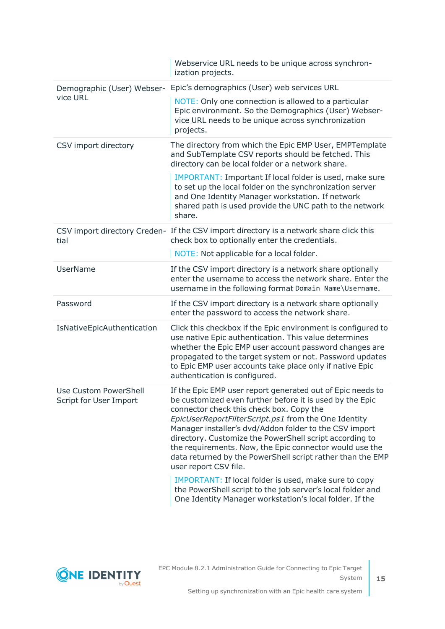|                                                 | Webservice URL needs to be unique across synchron-<br>ization projects.                                                                                                                                                                                                                                                                                                                                                                                                                                                                                    |
|-------------------------------------------------|------------------------------------------------------------------------------------------------------------------------------------------------------------------------------------------------------------------------------------------------------------------------------------------------------------------------------------------------------------------------------------------------------------------------------------------------------------------------------------------------------------------------------------------------------------|
| Demographic (User) Webser-                      | Epic's demographics (User) web services URL                                                                                                                                                                                                                                                                                                                                                                                                                                                                                                                |
| vice URL                                        | NOTE: Only one connection is allowed to a particular<br>Epic environment. So the Demographics (User) Webser-<br>vice URL needs to be unique across synchronization<br>projects.                                                                                                                                                                                                                                                                                                                                                                            |
| CSV import directory                            | The directory from which the Epic EMP User, EMPTemplate<br>and SubTemplate CSV reports should be fetched. This<br>directory can be local folder or a network share.                                                                                                                                                                                                                                                                                                                                                                                        |
|                                                 | IMPORTANT: Important If local folder is used, make sure<br>to set up the local folder on the synchronization server<br>and One Identity Manager workstation. If network<br>shared path is used provide the UNC path to the network<br>share.                                                                                                                                                                                                                                                                                                               |
| tial                                            | CSV import directory Creden- If the CSV import directory is a network share click this<br>check box to optionally enter the credentials.                                                                                                                                                                                                                                                                                                                                                                                                                   |
|                                                 | NOTE: Not applicable for a local folder.                                                                                                                                                                                                                                                                                                                                                                                                                                                                                                                   |
| <b>UserName</b>                                 | If the CSV import directory is a network share optionally<br>enter the username to access the network share. Enter the<br>username in the following format Domain Name\Username.                                                                                                                                                                                                                                                                                                                                                                           |
| Password                                        | If the CSV import directory is a network share optionally<br>enter the password to access the network share.                                                                                                                                                                                                                                                                                                                                                                                                                                               |
| IsNativeEpicAuthentication                      | Click this checkbox if the Epic environment is configured to<br>use native Epic authentication. This value determines<br>whether the Epic EMP user account password changes are<br>propagated to the target system or not. Password updates<br>to Epic EMP user accounts take place only if native Epic<br>authentication is configured.                                                                                                                                                                                                                   |
| Use Custom PowerShell<br>Script for User Import | If the Epic EMP user report generated out of Epic needs to<br>be customized even further before it is used by the Epic<br>connector check this check box. Copy the<br>EpicUserReportFilterScript.ps1 from the One Identity<br>Manager installer's dvd/Addon folder to the CSV import<br>directory. Customize the PowerShell script according to<br>the requirements. Now, the Epic connector would use the<br>data returned by the PowerShell script rather than the EMP<br>user report CSV file.<br>IMPORTANT: If local folder is used, make sure to copy |
|                                                 | the PowerShell script to the job server's local folder and<br>One Identity Manager workstation's local folder. If the                                                                                                                                                                                                                                                                                                                                                                                                                                      |

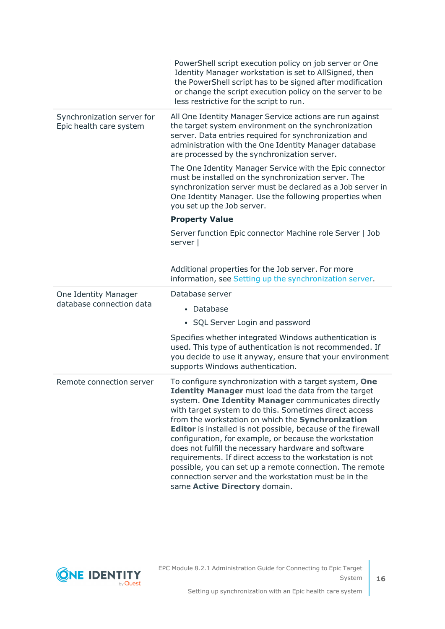|                                                       | PowerShell script execution policy on job server or One<br>Identity Manager workstation is set to AllSigned, then<br>the PowerShell script has to be signed after modification<br>or change the script execution policy on the server to be<br>less restrictive for the script to run.                                                                                                                                                                                                                                                                                                                                                                                                              |
|-------------------------------------------------------|-----------------------------------------------------------------------------------------------------------------------------------------------------------------------------------------------------------------------------------------------------------------------------------------------------------------------------------------------------------------------------------------------------------------------------------------------------------------------------------------------------------------------------------------------------------------------------------------------------------------------------------------------------------------------------------------------------|
| Synchronization server for<br>Epic health care system | All One Identity Manager Service actions are run against<br>the target system environment on the synchronization<br>server. Data entries required for synchronization and<br>administration with the One Identity Manager database<br>are processed by the synchronization server.                                                                                                                                                                                                                                                                                                                                                                                                                  |
|                                                       | The One Identity Manager Service with the Epic connector<br>must be installed on the synchronization server. The<br>synchronization server must be declared as a Job server in<br>One Identity Manager. Use the following properties when<br>you set up the Job server.                                                                                                                                                                                                                                                                                                                                                                                                                             |
|                                                       | <b>Property Value</b>                                                                                                                                                                                                                                                                                                                                                                                                                                                                                                                                                                                                                                                                               |
|                                                       | Server function Epic connector Machine role Server   Job<br>server                                                                                                                                                                                                                                                                                                                                                                                                                                                                                                                                                                                                                                  |
|                                                       | Additional properties for the Job server. For more<br>information, see Setting up the synchronization server.                                                                                                                                                                                                                                                                                                                                                                                                                                                                                                                                                                                       |
| One Identity Manager<br>database connection data      | Database server                                                                                                                                                                                                                                                                                                                                                                                                                                                                                                                                                                                                                                                                                     |
|                                                       | • Database                                                                                                                                                                                                                                                                                                                                                                                                                                                                                                                                                                                                                                                                                          |
|                                                       | • SQL Server Login and password                                                                                                                                                                                                                                                                                                                                                                                                                                                                                                                                                                                                                                                                     |
|                                                       | Specifies whether integrated Windows authentication is<br>used. This type of authentication is not recommended. If<br>you decide to use it anyway, ensure that your environment<br>supports Windows authentication.                                                                                                                                                                                                                                                                                                                                                                                                                                                                                 |
| Remote connection server                              | To configure synchronization with a target system, One<br><b>Identity Manager</b> must load the data from the target<br>system. One Identity Manager communicates directly<br>with target system to do this. Sometimes direct access<br>from the workstation on which the Synchronization<br><b>Editor</b> is installed is not possible, because of the firewall<br>configuration, for example, or because the workstation<br>does not fulfill the necessary hardware and software<br>requirements. If direct access to the workstation is not<br>possible, you can set up a remote connection. The remote<br>connection server and the workstation must be in the<br>same Active Directory domain. |

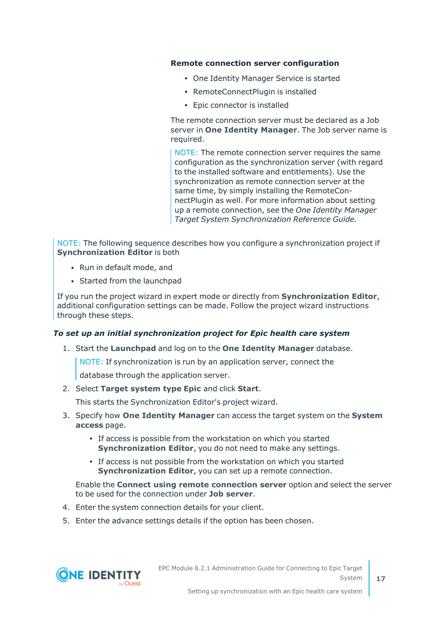#### **Remote connection server configuration**

- One Identity Manager Service is started
- RemoteConnectPlugin is installed
- Epic connector is installed

The remote connection server must be declared as a Job server in **One Identity Manager**. The Job server name is required.

NOTE: The remote connection server requires the same configuration as the synchronization server (with regard to the installed software and entitlements). Use the synchronization as remote connection server at the same time, by simply installing the RemoteConnectPlugin as well. For more information about setting up a remote connection, see the *One Identity Manager Target System Synchronization Reference Guide.*

NOTE: The following sequence describes how you configure a synchronization project if **Synchronization Editor** is both

- Run in default mode, and
- Started from the launchpad

If you run the project wizard in expert mode or directly from **Synchronization Editor**, additional configuration settings can be made. Follow the project wizard instructions through these steps.

## *To set up an initial synchronization project for Epic health care system*

1. Start the **Launchpad** and log on to the **One Identity Manager** database.

NOTE: If synchronization is run by an application server, connect the

database through the application server.

2. Select **Target system type Epic** and click **Start**.

This starts the Synchronization Editor's project wizard.

- 3. Specify how **One Identity Manager** can access the target system on the **System access** page.
	- If access is possible from the workstation on which you started **Synchronization Editor**, you do not need to make any settings.
	- If access is not possible from the workstation on which you started **Synchronization Editor**, you can set up a remote connection.

Enable the **Connect using remote connection server** option and select the server to be used for the connection under **Job server**.

- 4. Enter the system connection details for your client.
- 5. Enter the advance settings details if the option has been chosen.



EPC Module 8.2.1 Administration Guide for Connecting to Epic Target System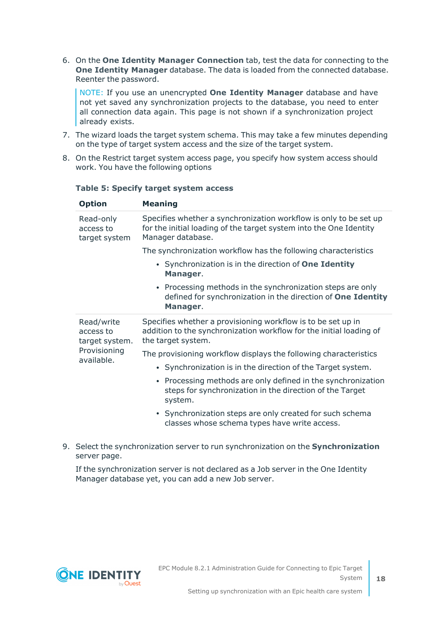6. On the **One Identity Manager Connection** tab, test the data for connecting to the **One Identity Manager** database. The data is loaded from the connected database. Reenter the password.

NOTE: If you use an unencrypted **One Identity Manager** database and have not yet saved any synchronization projects to the database, you need to enter all connection data again. This page is not shown if a synchronization project already exists.

- 7. The wizard loads the target system schema. This may take a few minutes depending on the type of target system access and the size of the target system.
- 8. On the Restrict target system access page, you specify how system access should work. You have the following options

| Upuun                                     | ricamiy                                                                                                                                                      |
|-------------------------------------------|--------------------------------------------------------------------------------------------------------------------------------------------------------------|
| Read-only<br>access to<br>target system   | Specifies whether a synchronization workflow is only to be set up<br>for the initial loading of the target system into the One Identity<br>Manager database. |
|                                           | The synchronization workflow has the following characteristics                                                                                               |
|                                           | • Synchronization is in the direction of One Identity<br>Manager.                                                                                            |
|                                           | • Processing methods in the synchronization steps are only<br>defined for synchronization in the direction of One Identity<br>Manager.                       |
| Read/write<br>access to<br>target system. | Specifies whether a provisioning workflow is to be set up in<br>addition to the synchronization workflow for the initial loading of<br>the target system.    |
| Provisioning<br>available.                | The provisioning workflow displays the following characteristics                                                                                             |
|                                           | • Synchronization is in the direction of the Target system.                                                                                                  |
|                                           | • Processing methods are only defined in the synchronization<br>steps for synchronization in the direction of the Target<br>system.                          |
|                                           | • Synchronization steps are only created for such schema<br>classes whose schema types have write access.                                                    |

### **Table 5: Specify target system access**

**Option Meaning**

9. Select the synchronization server to run synchronization on the **Synchronization** server page.

If the synchronization server is not declared as a Job server in the One Identity Manager database yet, you can add a new Job server.

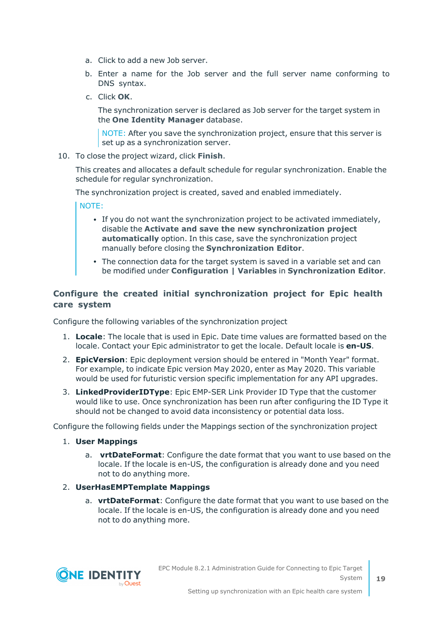- a. Click to add a new Job server.
- b. Enter a name for the Job server and the full server name conforming to DNS syntax.
- c. Click **OK**.

The synchronization server is declared as Job server for the target system in the **One Identity Manager** database.

NOTE: After you save the synchronization project, ensure that this server is set up as a synchronization server.

10. To close the project wizard, click **Finish**.

This creates and allocates a default schedule for regular synchronization. Enable the schedule for regular synchronization.

The synchronization project is created, saved and enabled immediately.

NOTE:

- If you do not want the synchronization project to be activated immediately, disable the **Activate and save the new synchronization project automatically** option. In this case, save the synchronization project manually before closing the **Synchronization Editor**.
- The connection data for the target system is saved in a variable set and can be modified under **Configuration | Variables** in **Synchronization Editor**.

## **Configure the created initial synchronization project for Epic health care system**

Configure the following variables of the synchronization project

- 1. **Locale**: The locale that is used in Epic. Date time values are formatted based on the locale. Contact your Epic administrator to get the locale. Default locale is **en-US**.
- 2. **EpicVersion**: Epic deployment version should be entered in "Month Year" format. For example, to indicate Epic version May 2020, enter as May 2020. This variable would be used for futuristic version specific implementation for any API upgrades.
- 3. **LinkedProviderIDType**: Epic EMP-SER Link Provider ID Type that the customer would like to use. Once synchronization has been run after configuring the ID Type it should not be changed to avoid data inconsistency or potential data loss.

Configure the following fields under the Mappings section of the synchronization project

#### 1. **User Mappings**

a. **vrtDateFormat**: Configure the date format that you want to use based on the locale. If the locale is en-US, the configuration is already done and you need not to do anything more.

## 2. **UserHasEMPTemplate Mappings**

a. **vrtDateFormat**: Configure the date format that you want to use based on the locale. If the locale is en-US, the configuration is already done and you need not to do anything more.

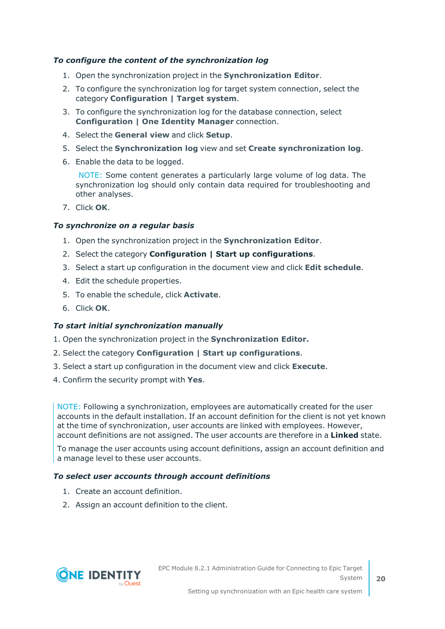### *To configure the content of the synchronization log*

- 1. Open the synchronization project in the **Synchronization Editor**.
- 2. To configure the synchronization log for target system connection, select the category **Configuration | Target system**.
- 3. To configure the synchronization log for the database connection, select **Configuration | One Identity Manager** connection.
- 4. Select the **General view** and click **Setup**.
- 5. Select the **Synchronization log** view and set **Create synchronization log**.
- 6. Enable the data to be logged.

NOTE: Some content generates a particularly large volume of log data. The synchronization log should only contain data required for troubleshooting and other analyses.

7. Click **OK**.

#### *To synchronize on a regular basis*

- 1. Open the synchronization project in the **Synchronization Editor**.
- 2. Select the category **Configuration | Start up configurations**.
- 3. Select a start up configuration in the document view and click **Edit schedule**.
- 4. Edit the schedule properties.
- 5. To enable the schedule, click **Activate**.
- 6. Click **OK**.

#### *To start initial synchronization manually*

- 1. Open the synchronization project in the **Synchronization Editor.**
- 2. Select the category **Configuration | Start up configurations**.
- 3. Select a start up configuration in the document view and click **Execute**.
- 4. Confirm the security prompt with **Yes**.

NOTE: Following a synchronization, employees are automatically created for the user accounts in the default installation. If an account definition for the client is not yet known at the time of synchronization, user accounts are linked with employees. However, account definitions are not assigned. The user accounts are therefore in a **Linked** state.

To manage the user accounts using account definitions, assign an account definition and a manage level to these user accounts.

## *To select user accounts through account definitions*

- 1. Create an account definition.
- 2. Assign an account definition to the client.

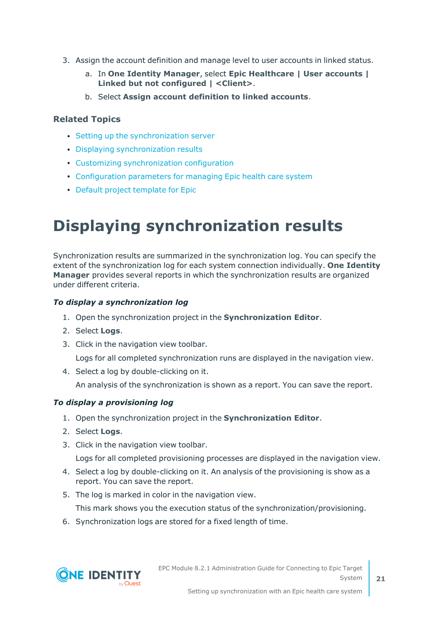- 3. Assign the account definition and manage level to user accounts in linked status.
	- a. In **One Identity Manager**, select **Epic Healthcare | User accounts | Linked but not configured | <Client>**.
	- b. Select **Assign account definition to linked accounts**.

## **Related Topics**

- Setting up the [synchronization](#page-9-0) server
- Displaying [synchronization](#page-20-0) results
- Customizing [synchronization](#page-21-0) configuration
- [Configuration](#page-106-0) parameters for managing Epic health care system
- Default project [template](#page-109-0) for Epic

# <span id="page-20-0"></span>**Displaying synchronization results**

Synchronization results are summarized in the synchronization log. You can specify the extent of the synchronization log for each system connection individually. **One Identity Manager** provides several reports in which the synchronization results are organized under different criteria.

## *To display a synchronization log*

- 1. Open the synchronization project in the **Synchronization Editor**.
- 2. Select **Logs**.
- 3. Click in the navigation view toolbar.

Logs for all completed synchronization runs are displayed in the navigation view.

4. Select a log by double-clicking on it.

An analysis of the synchronization is shown as a report. You can save the report.

## *To display a provisioning log*

- 1. Open the synchronization project in the **Synchronization Editor**.
- 2. Select **Logs**.
- 3. Click in the navigation view toolbar.

Logs for all completed provisioning processes are displayed in the navigation view.

- 4. Select a log by double-clicking on it. An analysis of the provisioning is show as a report. You can save the report.
- 5. The log is marked in color in the navigation view.

This mark shows you the execution status of the synchronization/provisioning.

6. Synchronization logs are stored for a fixed length of time.

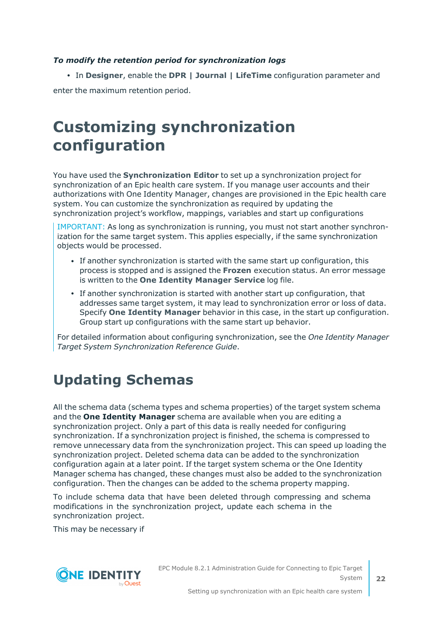## *To modify the retention period for synchronization logs*

<sup>l</sup> In **Designer**, enable the **DPR | Journal | LifeTime** configuration parameter and enter the maximum retention period.

## <span id="page-21-0"></span>**Customizing synchronization configuration**

You have used the **Synchronization Editor** to set up a synchronization project for synchronization of an Epic health care system. If you manage user accounts and their authorizations with One Identity Manager, changes are provisioned in the Epic health care system. You can customize the synchronization as required by updating the synchronization project's workflow, mappings, variables and start up configurations

IMPORTANT: As long as synchronization is running, you must not start another synchronization for the same target system. This applies especially, if the same synchronization objects would be processed.

- If another synchronization is started with the same start up configuration, this process is stopped and is assigned the **Frozen** execution status. An error message is written to the **One Identity Manager Service** log file.
- If another synchronization is started with another start up configuration, that addresses same target system, it may lead to synchronization error or loss of data. Specify **One Identity Manager** behavior in this case, in the start up configuration. Group start up configurations with the same start up behavior.

For detailed information about configuring synchronization, see the *One Identity Manager Target System Synchronization Reference Guide*.

## <span id="page-21-1"></span>**Updating Schemas**

All the schema data (schema types and schema properties) of the target system schema and the **One Identity Manager** schema are available when you are editing a synchronization project. Only a part of this data is really needed for configuring synchronization. If a synchronization project is finished, the schema is compressed to remove unnecessary data from the synchronization project. This can speed up loading the synchronization project. Deleted schema data can be added to the synchronization configuration again at a later point. If the target system schema or the One Identity Manager schema has changed, these changes must also be added to the synchronization configuration. Then the changes can be added to the schema property mapping.

To include schema data that have been deleted through compressing and schema modifications in the synchronization project, update each schema in the synchronization project.

This may be necessary if



EPC Module 8.2.1 Administration Guide for Connecting to Epic Target System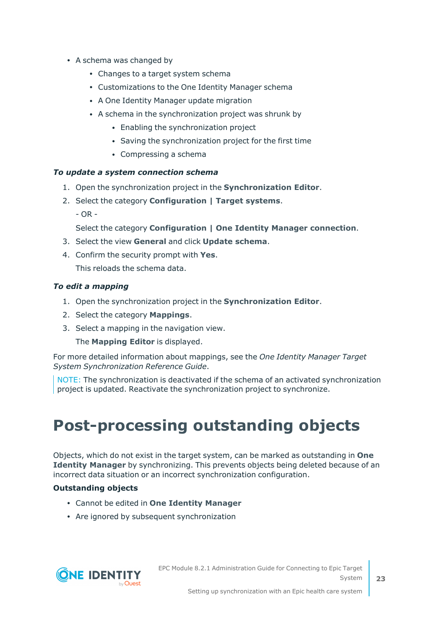- A schema was changed by
	- Changes to a target system schema
	- Customizations to the One Identity Manager schema
	- A One Identity Manager update migration
	- A schema in the synchronization project was shrunk by
		- Enabling the synchronization project
		- Saving the synchronization project for the first time
		- Compressing a schema

## *To update a system connection schema*

- 1. Open the synchronization project in the **Synchronization Editor**.
- 2. Select the category **Configuration | Target systems**.
	- $OR -$

Select the category **Configuration | One Identity Manager connection**.

- 3. Select the view **General** and click **Update schema**.
- 4. Confirm the security prompt with **Yes**.

This reloads the schema data.

## *To edit a mapping*

- 1. Open the synchronization project in the **Synchronization Editor**.
- 2. Select the category **Mappings**.
- 3. Select a mapping in the navigation view.

The **Mapping Editor** is displayed.

For more detailed information about mappings, see the *One Identity Manager Target System Synchronization Reference Guide*.

NOTE: The synchronization is deactivated if the schema of an activated synchronization project is updated. Reactivate the synchronization project to synchronize.

# <span id="page-22-0"></span>**Post-processing outstanding objects**

Objects, which do not exist in the target system, can be marked as outstanding in **One Identity Manager** by synchronizing. This prevents objects being deleted because of an incorrect data situation or an incorrect synchronization configuration.

## **Outstanding objects**

- <sup>l</sup> Cannot be edited in **One Identity Manager**
- Are ignored by subsequent synchronization

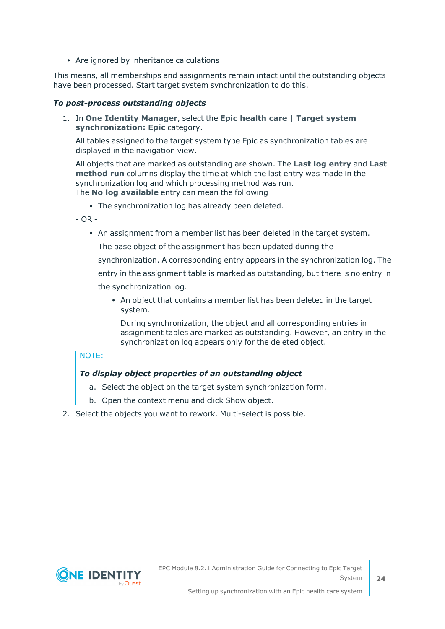• Are ignored by inheritance calculations

This means, all memberships and assignments remain intact until the outstanding objects have been processed. Start target system synchronization to do this.

### *To post-process outstanding objects*

1. In **One Identity Manager**, select the **Epic health care | Target system synchronization: Epic** category.

All tables assigned to the target system type Epic as synchronization tables are displayed in the navigation view.

All objects that are marked as outstanding are shown. The **Last log entry** and **Last method run** columns display the time at which the last entry was made in the synchronization log and which processing method was run. The **No log available** entry can mean the following

• The synchronization log has already been deleted.

 $- OR -$ 

• An assignment from a member list has been deleted in the target system.

The base object of the assignment has been updated during the

synchronization. A corresponding entry appears in the synchronization log. The

entry in the assignment table is marked as outstanding, but there is no entry in

the synchronization log.

• An object that contains a member list has been deleted in the target system.

During synchronization, the object and all corresponding entries in assignment tables are marked as outstanding. However, an entry in the synchronization log appears only for the deleted object.

## NOTE:

## *To display object properties of an outstanding object*

- a. Select the object on the target system synchronization form.
- b. Open the context menu and click Show object.
- 2. Select the objects you want to rework. Multi-select is possible.

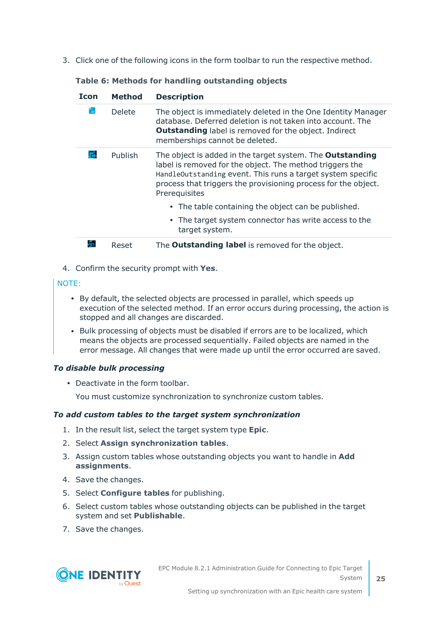3. Click one of the following icons in the form toolbar to run the respective method.

| <b>Icon</b> | <b>Method</b> | <b>Description</b>                                                                                                                                                                                                                                                             |
|-------------|---------------|--------------------------------------------------------------------------------------------------------------------------------------------------------------------------------------------------------------------------------------------------------------------------------|
|             | <b>Delete</b> | The object is immediately deleted in the One Identity Manager<br>database. Deferred deletion is not taken into account. The<br><b>Outstanding</b> label is removed for the object. Indirect<br>memberships cannot be deleted.                                                  |
|             | Publish       | The object is added in the target system. The <b>Outstanding</b><br>label is removed for the object. The method triggers the<br>HandleOutstanding event. This runs a target system specific<br>process that triggers the provisioning process for the object.<br>Prerequisites |
|             |               | • The table containing the object can be published.                                                                                                                                                                                                                            |
|             |               | • The target system connector has write access to the<br>target system.                                                                                                                                                                                                        |
| 53          | Reset         | The <b>Outstanding label</b> is removed for the object.                                                                                                                                                                                                                        |

## **Table 6: Methods for handling outstanding objects**

4. Confirm the security prompt with **Yes**.

### NOTE:

- By default, the selected objects are processed in parallel, which speeds up execution of the selected method. If an error occurs during processing, the action is stopped and all changes are discarded.
- Bulk processing of objects must be disabled if errors are to be localized, which means the objects are processed sequentially. Failed objects are named in the error message. All changes that were made up until the error occurred are saved.

#### *To disable bulk processing*

• Deactivate in the form toolbar.

You must customize synchronization to synchronize custom tables.

## *To add custom tables to the target system synchronization*

- 1. In the result list, select the target system type **Epic**.
- 2. Select **Assign synchronization tables**.
- 3. Assign custom tables whose outstanding objects you want to handle in **Add assignments**.
- 4. Save the changes.
- 5. Select **Configure tables** for publishing.
- 6. Select custom tables whose outstanding objects can be published in the target system and set **Publishable**.
- 7. Save the changes.



EPC Module 8.2.1 Administration Guide for Connecting to Epic Target System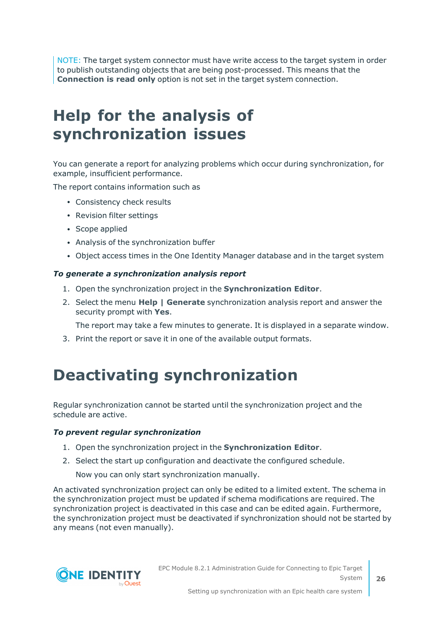NOTE: The target system connector must have write access to the target system in order to publish outstanding objects that are being post-processed. This means that the **Connection is read only** option is not set in the target system connection.

## <span id="page-25-0"></span>**Help for the analysis of synchronization issues**

You can generate a report for analyzing problems which occur during synchronization, for example, insufficient performance.

The report contains information such as

- Consistency check results
- Revision filter settings
- Scope applied
- Analysis of the synchronization buffer
- Object access times in the One Identity Manager database and in the target system

#### *To generate a synchronization analysis report*

- 1. Open the synchronization project in the **Synchronization Editor**.
- 2. Select the menu **Help | Generate** synchronization analysis report and answer the security prompt with **Yes**.

The report may take a few minutes to generate. It is displayed in a separate window.

<span id="page-25-1"></span>3. Print the report or save it in one of the available output formats.

## **Deactivating synchronization**

Regular synchronization cannot be started until the synchronization project and the schedule are active.

#### *To prevent regular synchronization*

- 1. Open the synchronization project in the **Synchronization Editor**.
- 2. Select the start up configuration and deactivate the configured schedule.

Now you can only start synchronization manually.

An activated synchronization project can only be edited to a limited extent. The schema in the synchronization project must be updated if schema modifications are required. The synchronization project is deactivated in this case and can be edited again. Furthermore, the synchronization project must be deactivated if synchronization should not be started by any means (not even manually).



Setting up synchronization with an Epic health care system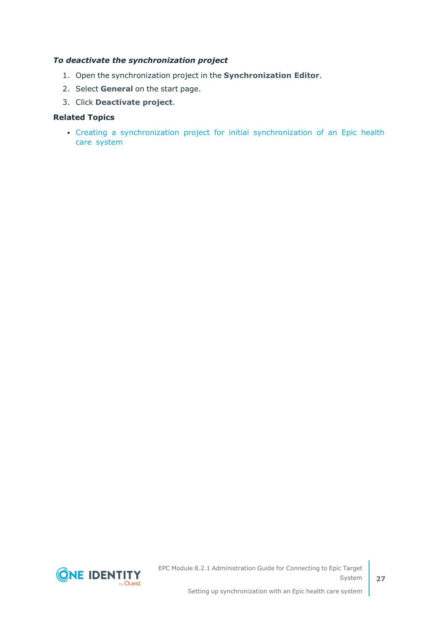### *To deactivate the synchronization project*

- 1. Open the synchronization project in the **Synchronization Editor**.
- 2. Select **General** on the start page.
- 3. Click **Deactivate project**.

#### **Related Topics**

• Creating a [synchronization](#page-12-0) project for initial synchronization of an Epic health care [system](#page-12-0)



EPC Module 8.2.1 Administration Guide for Connecting to Epic Target System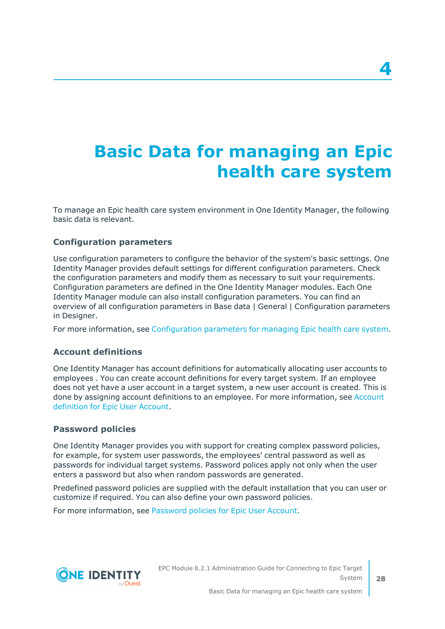# <span id="page-27-0"></span>**Basic Data for managing an Epic health care system**

To manage an Epic health care system environment in One Identity Manager, the following basic data is relevant.

## **Configuration parameters**

Use configuration parameters to configure the behavior of the system's basic settings. One Identity Manager provides default settings for different configuration parameters. Check the configuration parameters and modify them as necessary to suit your requirements. Configuration parameters are defined in the One Identity Manager modules. Each One Identity Manager module can also install configuration parameters. You can find an overview of all configuration parameters in Base data | General | Configuration parameters in Designer.

For more information, see [Configuration](#page-106-0) parameters for managing Epic health care system.

## **Account definitions**

One Identity Manager has account definitions for automatically allocating user accounts to employees . You can create account definitions for every target system. If an employee does not yet have a user account in a target system, a new user account is created. This is done by assigning account definitions to an employee. For more information, see [Account](#page-28-0) [definition](#page-28-0) for Epic User Account.

## **Password policies**

One Identity Manager provides you with support for creating complex password policies, for example, for system user passwords, the employees' central password as well as passwords for individual target systems. Password polices apply not only when the user enters a password but also when random passwords are generated.

Predefined password policies are supplied with the default installation that you can user or customize if required. You can also define your own password policies.

For more information, see [Password](#page-44-0) policies for Epic User Account.

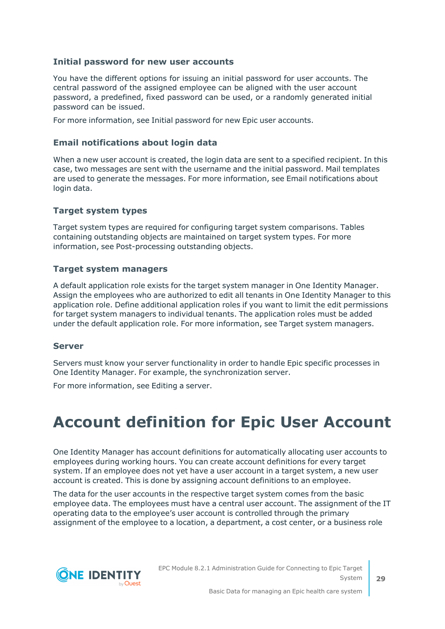## **Initial password for new user accounts**

You have the different options for issuing an initial password for user accounts. The central password of the assigned employee can be aligned with the user account password, a predefined, fixed password can be used, or a randomly generated initial password can be issued.

For more information, see Initial password for new Epic user accounts.

## **Email notifications about login data**

When a new user account is created, the login data are sent to a specified recipient. In this case, two messages are sent with the username and the initial password. Mail templates are used to generate the messages. For more information, see Email notifications about login data.

## **Target system types**

Target system types are required for configuring target system comparisons. Tables containing outstanding objects are maintained on target system types. For more information, see Post-processing outstanding objects.

## **Target system managers**

A default application role exists for the target system manager in One Identity Manager. Assign the employees who are authorized to edit all tenants in One Identity Manager to this application role. Define additional application roles if you want to limit the edit permissions for target system managers to individual tenants. The application roles must be added under the default application role. For more information, see Target system managers.

## **Server**

Servers must know your server functionality in order to handle Epic specific processes in One Identity Manager. For example, the synchronization server.

<span id="page-28-0"></span>For more information, see Editing a server.

# **Account definition for Epic User Account**

One Identity Manager has account definitions for automatically allocating user accounts to employees during working hours. You can create account definitions for every target system. If an employee does not yet have a user account in a target system, a new user account is created. This is done by assigning account definitions to an employee.

The data for the user accounts in the respective target system comes from the basic employee data. The employees must have a central user account. The assignment of the IT operating data to the employee's user account is controlled through the primary assignment of the employee to a location, a department, a cost center, or a business role

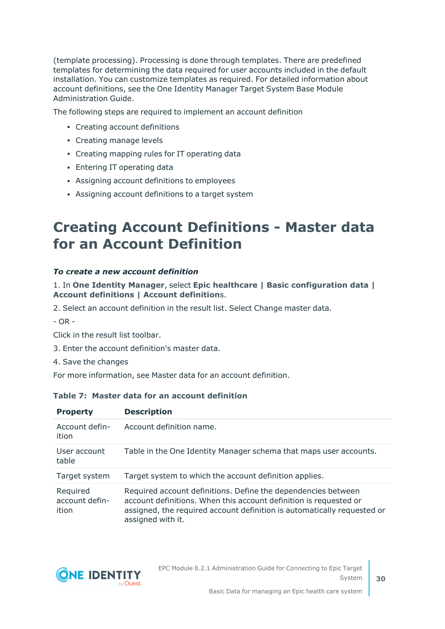(template processing). Processing is done through templates. There are predefined templates for determining the data required for user accounts included in the default installation. You can customize templates as required. For detailed information about account definitions, see the One Identity Manager Target System Base Module Administration Guide.

The following steps are required to implement an account definition

- Creating account definitions
- Creating manage levels
- Creating mapping rules for IT operating data
- Entering IT operating data
- Assigning account definitions to employees
- Assigning account definitions to a target system

## <span id="page-29-0"></span>**Creating Account Definitions - Master data for an Account Definition**

### *To create a new account definition*

1. In **One Identity Manager**, select **Epic healthcare | Basic configuration data | Account definitions | Account definition**s.

2. Select an account definition in the result list. Select Change master data.

- OR -

Click in the result list toolbar.

- 3. Enter the account definition's master data.
- 4. Save the changes

For more information, see Master data for an account definition.

### **Table 7: Master data for an account definition**

| <b>Property</b>                     | <b>Description</b>                                                                                                                                                                                                                 |
|-------------------------------------|------------------------------------------------------------------------------------------------------------------------------------------------------------------------------------------------------------------------------------|
| Account defin-<br>ition             | Account definition name.                                                                                                                                                                                                           |
| User account<br>table               | Table in the One Identity Manager schema that maps user accounts.                                                                                                                                                                  |
| Target system                       | Target system to which the account definition applies.                                                                                                                                                                             |
| Required<br>account defin-<br>ition | Required account definitions. Define the dependencies between<br>account definitions. When this account definition is requested or<br>assigned, the required account definition is automatically requested or<br>assigned with it. |

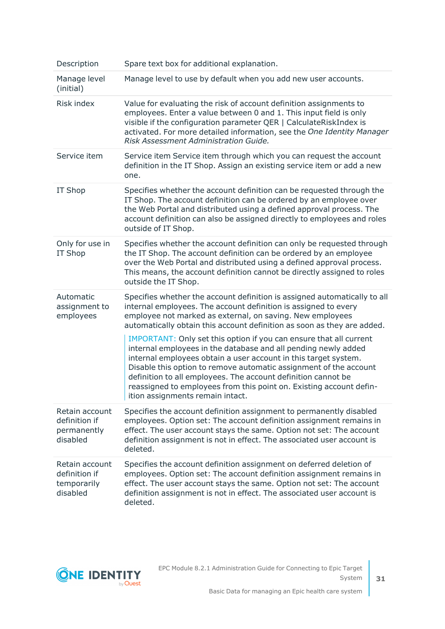| Description                                                | Spare text box for additional explanation.                                                                                                                                                                                                                                                                                                                                                                                                               |
|------------------------------------------------------------|----------------------------------------------------------------------------------------------------------------------------------------------------------------------------------------------------------------------------------------------------------------------------------------------------------------------------------------------------------------------------------------------------------------------------------------------------------|
| Manage level<br>(initial)                                  | Manage level to use by default when you add new user accounts.                                                                                                                                                                                                                                                                                                                                                                                           |
| Risk index                                                 | Value for evaluating the risk of account definition assignments to<br>employees. Enter a value between 0 and 1. This input field is only<br>visible if the configuration parameter QER   CalculateRiskIndex is<br>activated. For more detailed information, see the One Identity Manager<br>Risk Assessment Administration Guide.                                                                                                                        |
| Service item                                               | Service item Service item through which you can request the account<br>definition in the IT Shop. Assign an existing service item or add a new<br>one.                                                                                                                                                                                                                                                                                                   |
| IT Shop                                                    | Specifies whether the account definition can be requested through the<br>IT Shop. The account definition can be ordered by an employee over<br>the Web Portal and distributed using a defined approval process. The<br>account definition can also be assigned directly to employees and roles<br>outside of IT Shop.                                                                                                                                    |
| Only for use in<br>IT Shop                                 | Specifies whether the account definition can only be requested through<br>the IT Shop. The account definition can be ordered by an employee<br>over the Web Portal and distributed using a defined approval process.<br>This means, the account definition cannot be directly assigned to roles<br>outside the IT Shop.                                                                                                                                  |
| Automatic<br>assignment to<br>employees                    | Specifies whether the account definition is assigned automatically to all<br>internal employees. The account definition is assigned to every<br>employee not marked as external, on saving. New employees<br>automatically obtain this account definition as soon as they are added.                                                                                                                                                                     |
|                                                            | IMPORTANT: Only set this option if you can ensure that all current<br>internal employees in the database and all pending newly added<br>internal employees obtain a user account in this target system.<br>Disable this option to remove automatic assignment of the account<br>definition to all employees. The account definition cannot be<br>reassigned to employees from this point on. Existing account defin-<br>ition assignments remain intact. |
| Retain account<br>definition if<br>permanently<br>disabled | Specifies the account definition assignment to permanently disabled<br>employees. Option set: The account definition assignment remains in<br>effect. The user account stays the same. Option not set: The account<br>definition assignment is not in effect. The associated user account is<br>deleted.                                                                                                                                                 |
| Retain account<br>definition if<br>temporarily<br>disabled | Specifies the account definition assignment on deferred deletion of<br>employees. Option set: The account definition assignment remains in<br>effect. The user account stays the same. Option not set: The account<br>definition assignment is not in effect. The associated user account is<br>deleted.                                                                                                                                                 |

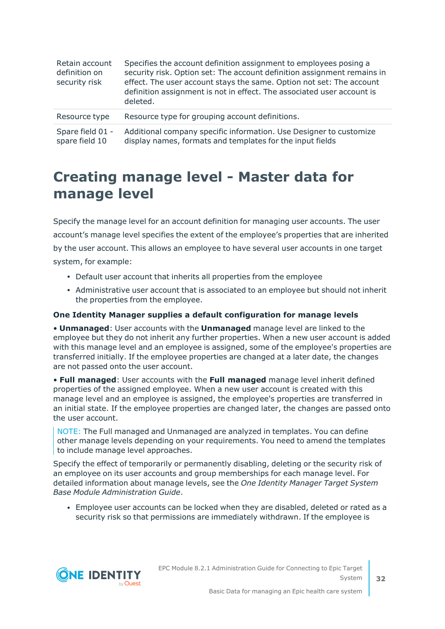| Retain account<br>definition on<br>security risk | Specifies the account definition assignment to employees posing a<br>security risk. Option set: The account definition assignment remains in<br>effect. The user account stays the same. Option not set: The account<br>definition assignment is not in effect. The associated user account is<br>deleted. |
|--------------------------------------------------|------------------------------------------------------------------------------------------------------------------------------------------------------------------------------------------------------------------------------------------------------------------------------------------------------------|
| Resource type                                    | Resource type for grouping account definitions.                                                                                                                                                                                                                                                            |
| Spare field 01 -<br>spare field 10               | Additional company specific information. Use Designer to customize<br>display names, formats and templates for the input fields                                                                                                                                                                            |

## <span id="page-31-0"></span>**Creating manage level - Master data for manage level**

Specify the manage level for an account definition for managing user accounts. The user account's manage level specifies the extent of the employee's properties that are inherited by the user account. This allows an employee to have several user accounts in one target system, for example:

- Default user account that inherits all properties from the employee
- Administrative user account that is associated to an employee but should not inherit the properties from the employee.

### **One Identity Manager supplies a default configuration for manage levels**

• **Unmanaged**: User accounts with the **Unmanaged** manage level are linked to the employee but they do not inherit any further properties. When a new user account is added with this manage level and an employee is assigned, some of the employee's properties are transferred initially. If the employee properties are changed at a later date, the changes are not passed onto the user account.

• **Full managed**: User accounts with the **Full managed** manage level inherit defined properties of the assigned employee. When a new user account is created with this manage level and an employee is assigned, the employee's properties are transferred in an initial state. If the employee properties are changed later, the changes are passed onto the user account.

NOTE: The Full managed and Unmanaged are analyzed in templates. You can define other manage levels depending on your requirements. You need to amend the templates to include manage level approaches.

Specify the effect of temporarily or permanently disabling, deleting or the security risk of an employee on its user accounts and group memberships for each manage level. For detailed information about manage levels, see the *One Identity Manager Target System Base Module Administration Guide*.

<sup>l</sup> Employee user accounts can be locked when they are disabled, deleted or rated as a security risk so that permissions are immediately withdrawn. If the employee is

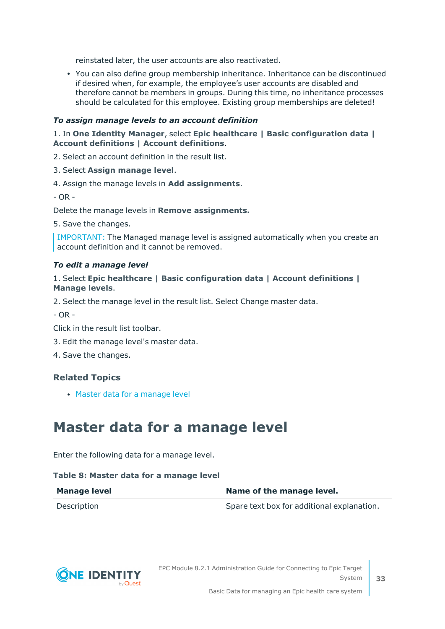reinstated later, the user accounts are also reactivated.

• You can also define group membership inheritance. Inheritance can be discontinued if desired when, for example, the employee's user accounts are disabled and therefore cannot be members in groups. During this time, no inheritance processes should be calculated for this employee. Existing group memberships are deleted!

#### *To assign manage levels to an account definition*

1. In **One Identity Manager**, select **Epic healthcare | Basic configuration data | Account definitions | Account definitions**.

2. Select an account definition in the result list.

- 3. Select **Assign manage level**.
- 4. Assign the manage levels in **Add assignments**.

 $- OR -$ 

Delete the manage levels in **Remove assignments.**

5. Save the changes.

IMPORTANT: The Managed manage level is assigned automatically when you create an account definition and it cannot be removed.

#### *To edit a manage level*

#### 1. Select **Epic healthcare | Basic configuration data | Account definitions | Manage levels**.

2. Select the manage level in the result list. Select Change master data.

 $- OR -$ 

Click in the result list toolbar.

- 3. Edit the manage level's master data.
- 4. Save the changes.

## **Related Topics**

<span id="page-32-0"></span>• Master data for a [manage](#page-32-0) level

## **Master data for a manage level**

Enter the following data for a manage level.

#### **Table 8: Master data for a manage level**

| <b>Manage level</b> | Name of the manage level.                  |
|---------------------|--------------------------------------------|
| Description         | Spare text box for additional explanation. |

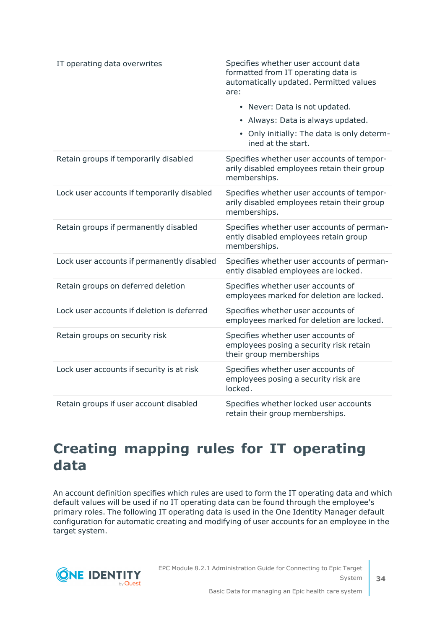| IT operating data overwrites               | Specifies whether user account data<br>formatted from IT operating data is<br>automatically updated. Permitted values<br>are:<br>• Never: Data is not updated.<br>• Always: Data is always updated.<br>• Only initially: The data is only determ-<br>ined at the start. |
|--------------------------------------------|-------------------------------------------------------------------------------------------------------------------------------------------------------------------------------------------------------------------------------------------------------------------------|
| Retain groups if temporarily disabled      | Specifies whether user accounts of tempor-<br>arily disabled employees retain their group<br>memberships.                                                                                                                                                               |
| Lock user accounts if temporarily disabled | Specifies whether user accounts of tempor-<br>arily disabled employees retain their group<br>memberships.                                                                                                                                                               |
| Retain groups if permanently disabled      | Specifies whether user accounts of perman-<br>ently disabled employees retain group<br>memberships.                                                                                                                                                                     |
| Lock user accounts if permanently disabled | Specifies whether user accounts of perman-<br>ently disabled employees are locked.                                                                                                                                                                                      |
| Retain groups on deferred deletion         | Specifies whether user accounts of<br>employees marked for deletion are locked.                                                                                                                                                                                         |
| Lock user accounts if deletion is deferred | Specifies whether user accounts of<br>employees marked for deletion are locked.                                                                                                                                                                                         |
| Retain groups on security risk             | Specifies whether user accounts of<br>employees posing a security risk retain<br>their group memberships                                                                                                                                                                |
| Lock user accounts if security is at risk  | Specifies whether user accounts of<br>employees posing a security risk are<br>locked.                                                                                                                                                                                   |
| Retain groups if user account disabled     | Specifies whether locked user accounts<br>retain their group memberships.                                                                                                                                                                                               |

## <span id="page-33-0"></span>**Creating mapping rules for IT operating data**

An account definition specifies which rules are used to form the IT operating data and which default values will be used if no IT operating data can be found through the employee's primary roles. The following IT operating data is used in the One Identity Manager default configuration for automatic creating and modifying of user accounts for an employee in the target system.



EPC Module 8.2.1 Administration Guide for Connecting to Epic Target System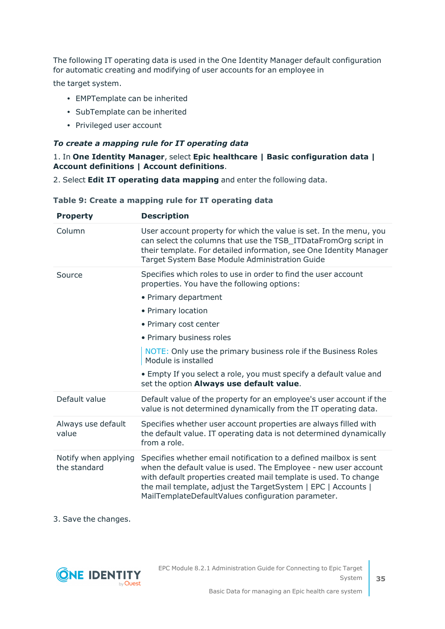The following IT operating data is used in the One Identity Manager default configuration for automatic creating and modifying of user accounts for an employee in

the target system.

- EMPTemplate can be inherited
- SubTemplate can be inherited
- Privileged user account

## *To create a mapping rule for IT operating data*

### 1. In **One Identity Manager**, select **Epic healthcare | Basic configuration data | Account definitions | Account definitions**.

2. Select **Edit IT operating data mapping** and enter the following data.

| <b>Property</b>                      | <b>Description</b>                                                                                                                                                                                                                                                                                                              |
|--------------------------------------|---------------------------------------------------------------------------------------------------------------------------------------------------------------------------------------------------------------------------------------------------------------------------------------------------------------------------------|
| Column                               | User account property for which the value is set. In the menu, you<br>can select the columns that use the TSB_ITDataFromOrg script in<br>their template. For detailed information, see One Identity Manager<br>Target System Base Module Administration Guide                                                                   |
| Source                               | Specifies which roles to use in order to find the user account<br>properties. You have the following options:<br>• Primary department                                                                                                                                                                                           |
|                                      | • Primary location                                                                                                                                                                                                                                                                                                              |
|                                      | • Primary cost center                                                                                                                                                                                                                                                                                                           |
|                                      | • Primary business roles                                                                                                                                                                                                                                                                                                        |
|                                      | NOTE: Only use the primary business role if the Business Roles<br>Module is installed                                                                                                                                                                                                                                           |
|                                      | • Empty If you select a role, you must specify a default value and<br>set the option Always use default value.                                                                                                                                                                                                                  |
| Default value                        | Default value of the property for an employee's user account if the<br>value is not determined dynamically from the IT operating data.                                                                                                                                                                                          |
| Always use default<br>value          | Specifies whether user account properties are always filled with<br>the default value. IT operating data is not determined dynamically<br>from a role.                                                                                                                                                                          |
| Notify when applying<br>the standard | Specifies whether email notification to a defined mailbox is sent<br>when the default value is used. The Employee - new user account<br>with default properties created mail template is used. To change<br>the mail template, adjust the TargetSystem   EPC   Accounts  <br>MailTemplateDefaultValues configuration parameter. |

## **Table 9: Create a mapping rule for IT operating data**

3. Save the changes.

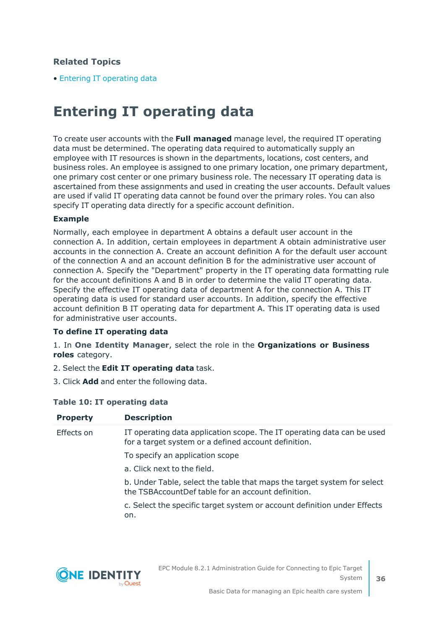## **Related Topics**

<span id="page-35-0"></span>• Entering IT [operating](#page-35-0) data

## **Entering IT operating data**

To create user accounts with the **Full managed** manage level, the required IT operating data must be determined. The operating data required to automatically supply an employee with IT resources is shown in the departments, locations, cost centers, and business roles. An employee is assigned to one primary location, one primary department, one primary cost center or one primary business role. The necessary IT operating data is ascertained from these assignments and used in creating the user accounts. Default values are used if valid IT operating data cannot be found over the primary roles. You can also specify IT operating data directly for a specific account definition.

### **Example**

Normally, each employee in department A obtains a default user account in the connection A. In addition, certain employees in department A obtain administrative user accounts in the connection A. Create an account definition A for the default user account of the connection A and an account definition B for the administrative user account of connection A. Specify the "Department" property in the IT operating data formatting rule for the account definitions A and B in order to determine the valid IT operating data. Specify the effective IT operating data of department A for the connection A. This IT operating data is used for standard user accounts. In addition, specify the effective account definition B IT operating data for department A. This IT operating data is used for administrative user accounts.

#### **To define IT operating data**

1. In **One Identity Manager**, select the role in the **Organizations or Business roles** category.

- 2. Select the **Edit IT operating data** task.
- 3. Click **Add** and enter the following data.

## **Table 10: IT operating data**

| <b>Property</b> | <b>Description</b>                                                                                                             |
|-----------------|--------------------------------------------------------------------------------------------------------------------------------|
| Effects on      | IT operating data application scope. The IT operating data can be used<br>for a target system or a defined account definition. |
|                 | To specify an application scope                                                                                                |
|                 | a. Click next to the field.                                                                                                    |
|                 | b. Under Table, select the table that maps the target system for select<br>the TSBAccountDef table for an account definition.  |
|                 | c. Select the specific target system or account definition under Effects<br>on.                                                |
|                 |                                                                                                                                |
|                 |                                                                                                                                |

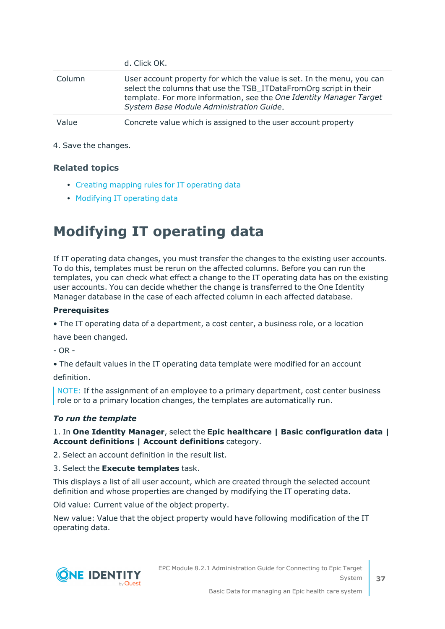|        | d. Click OK.                                                                                                                                                                                                                                                   |
|--------|----------------------------------------------------------------------------------------------------------------------------------------------------------------------------------------------------------------------------------------------------------------|
| Column | User account property for which the value is set. In the menu, you can<br>select the columns that use the TSB_ITDataFromOrg script in their<br>template. For more information, see the One Identity Manager Target<br>System Base Module Administration Guide. |
| Value  | Concrete value which is assigned to the user account property                                                                                                                                                                                                  |

4. Save the changes.

#### **Related topics**

- Creating mapping rules for IT [operating](#page-33-0) data
- [Modifying](#page-36-0) IT operating data

## <span id="page-36-0"></span>**Modifying IT operating data**

If IT operating data changes, you must transfer the changes to the existing user accounts. To do this, templates must be rerun on the affected columns. Before you can run the templates, you can check what effect a change to the IT operating data has on the existing user accounts. You can decide whether the change is transferred to the One Identity Manager database in the case of each affected column in each affected database.

#### **Prerequisites**

• The IT operating data of a department, a cost center, a business role, or a location

have been changed.

 $-$  OR  $-$ 

• The default values in the IT operating data template were modified for an account definition.

NOTE: If the assignment of an employee to a primary department, cost center business role or to a primary location changes, the templates are automatically run.

#### *To run the template*

1. In **One Identity Manager**, select the **Epic healthcare | Basic configuration data | Account definitions | Account definitions** category.

2. Select an account definition in the result list.

3. Select the **Execute templates** task.

This displays a list of all user account, which are created through the selected account definition and whose properties are changed by modifying the IT operating data.

Old value: Current value of the object property.

New value: Value that the object property would have following modification of the IT operating data.

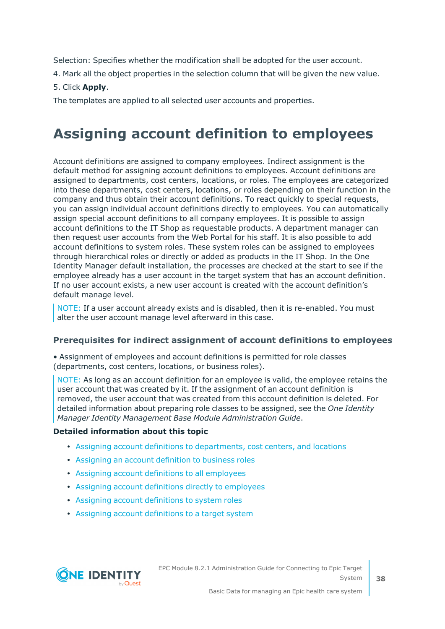Selection: Specifies whether the modification shall be adopted for the user account.

- 4. Mark all the object properties in the selection column that will be given the new value.
- 5. Click **Apply**.

The templates are applied to all selected user accounts and properties.

# **Assigning account definition to employees**

Account definitions are assigned to company employees. Indirect assignment is the default method for assigning account definitions to employees. Account definitions are assigned to departments, cost centers, locations, or roles. The employees are categorized into these departments, cost centers, locations, or roles depending on their function in the company and thus obtain their account definitions. To react quickly to special requests, you can assign individual account definitions directly to employees. You can automatically assign special account definitions to all company employees. It is possible to assign account definitions to the IT Shop as requestable products. A department manager can then request user accounts from the Web Portal for his staff. It is also possible to add account definitions to system roles. These system roles can be assigned to employees through hierarchical roles or directly or added as products in the IT Shop. In the One Identity Manager default installation, the processes are checked at the start to see if the employee already has a user account in the target system that has an account definition. If no user account exists, a new user account is created with the account definition's default manage level.

NOTE: If a user account already exists and is disabled, then it is re-enabled. You must alter the user account manage level afterward in this case.

#### **Prerequisites for indirect assignment of account definitions to employees**

• Assignment of employees and account definitions is permitted for role classes (departments, cost centers, locations, or business roles).

NOTE: As long as an account definition for an employee is valid, the employee retains the user account that was created by it. If the assignment of an account definition is removed, the user account that was created from this account definition is deleted. For detailed information about preparing role classes to be assigned, see the *One Identity Manager Identity Management Base Module Administration Guide*.

#### **Detailed information about this topic**

- Assigning account definitions to [departments,](#page-38-0) cost centers, and locations
- [Assigning](#page-38-1) an account definition to business roles
- Assigning account definitions to all [employees](#page-39-0)
- Assigning account definitions directly to [employees](#page-39-1)
- Assigning account [definitions](#page-40-0) to system roles
- Assigning account [definitions](#page-42-0) to a target system

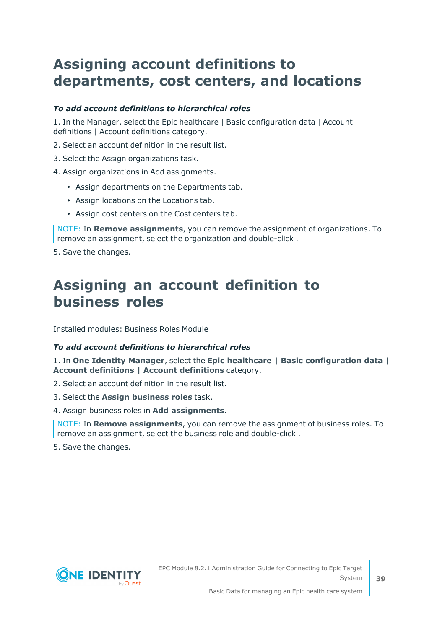# <span id="page-38-0"></span>**Assigning account definitions to departments, cost centers, and locations**

#### *To add account definitions to hierarchical roles*

1. In the Manager, select the Epic healthcare | Basic configuration data | Account definitions | Account definitions category.

- 2. Select an account definition in the result list.
- 3. Select the Assign organizations task.
- 4. Assign organizations in Add assignments.
	- Assign departments on the Departments tab.
	- Assign locations on the Locations tab.
	- Assign cost centers on the Cost centers tab.

NOTE: In **Remove assignments**, you can remove the assignment of organizations. To remove an assignment, select the organization and double-click .

<span id="page-38-1"></span>5. Save the changes.

### **Assigning an account definition to business roles**

Installed modules: Business Roles Module

#### *To add account definitions to hierarchical roles*

1. In **One Identity Manager**, select the **Epic healthcare | Basic configuration data | Account definitions | Account definitions** category.

2. Select an account definition in the result list.

- 3. Select the **Assign business roles** task.
- 4. Assign business roles in **Add assignments**.

NOTE: In **Remove assignments**, you can remove the assignment of business roles. To remove an assignment, select the business role and double-click .

5. Save the changes.

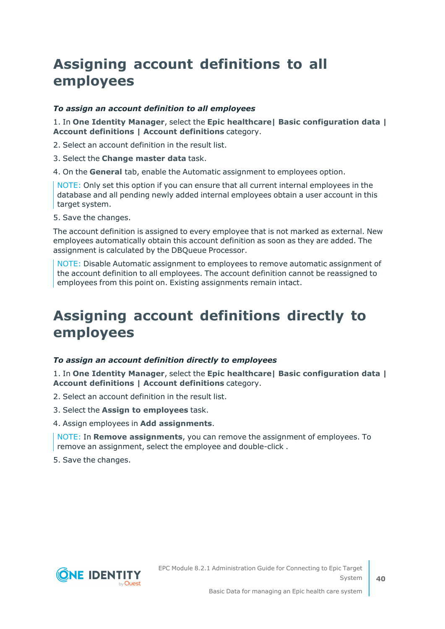# <span id="page-39-0"></span>**Assigning account definitions to all employees**

#### *To assign an account definition to all employees*

1. In **One Identity Manager**, select the **Epic healthcare| Basic configuration data | Account definitions | Account definitions** category.

2. Select an account definition in the result list.

3. Select the **Change master data** task.

4. On the **General** tab, enable the Automatic assignment to employees option.

NOTE: Only set this option if you can ensure that all current internal employees in the database and all pending newly added internal employees obtain a user account in this target system.

5. Save the changes.

The account definition is assigned to every employee that is not marked as external. New employees automatically obtain this account definition as soon as they are added. The assignment is calculated by the DBQueue Processor.

NOTE: Disable Automatic assignment to employees to remove automatic assignment of the account definition to all employees. The account definition cannot be reassigned to employees from this point on. Existing assignments remain intact.

### <span id="page-39-1"></span>**Assigning account definitions directly to employees**

#### *To assign an account definition directly to employees*

1. In **One Identity Manager**, select the **Epic healthcare| Basic configuration data | Account definitions | Account definitions** category.

2. Select an account definition in the result list.

3. Select the **Assign to employees** task.

4. Assign employees in **Add assignments**.

NOTE: In **Remove assignments**, you can remove the assignment of employees. To remove an assignment, select the employee and double-click .

5. Save the changes.



**40**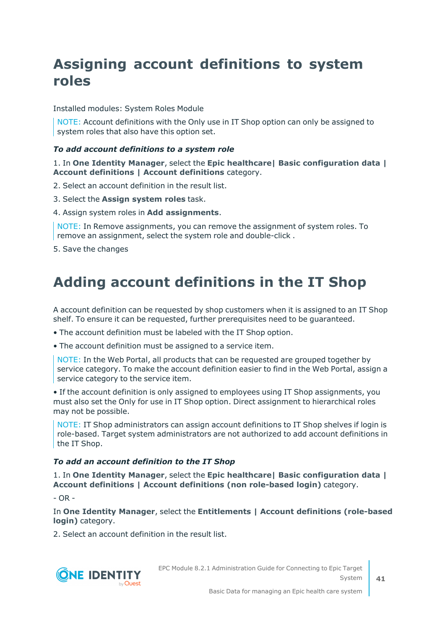# <span id="page-40-0"></span>**Assigning account definitions to system roles**

Installed modules: System Roles Module

NOTE: Account definitions with the Only use in IT Shop option can only be assigned to system roles that also have this option set.

#### *To add account definitions to a system role*

1. In **One Identity Manager**, select the **Epic healthcare| Basic configuration data | Account definitions | Account definitions** category.

2. Select an account definition in the result list.

- 3. Select the **Assign system roles** task.
- 4. Assign system roles in **Add assignments**.

NOTE: In Remove assignments, you can remove the assignment of system roles. To remove an assignment, select the system role and double-click .

5. Save the changes

## **Adding account definitions in the IT Shop**

A account definition can be requested by shop customers when it is assigned to an IT Shop shelf. To ensure it can be requested, further prerequisites need to be guaranteed.

• The account definition must be labeled with the IT Shop option.

• The account definition must be assigned to a service item.

NOTE: In the Web Portal, all products that can be requested are grouped together by service category. To make the account definition easier to find in the Web Portal, assign a service category to the service item.

• If the account definition is only assigned to employees using IT Shop assignments, you must also set the Only for use in IT Shop option. Direct assignment to hierarchical roles may not be possible.

NOTE: IT Shop administrators can assign account definitions to IT Shop shelves if login is role-based. Target system administrators are not authorized to add account definitions in the IT Shop.

#### *To add an account definition to the IT Shop*

1. In **One Identity Manager**, select the **Epic healthcare| Basic configuration data | Account definitions | Account definitions (non role-based login)** category.

 $- OR -$ 

In **One Identity Manager**, select the **Entitlements | Account definitions (role-based login)** category.

2. Select an account definition in the result list.



EPC Module 8.2.1 Administration Guide for Connecting to Epic Target System

**41**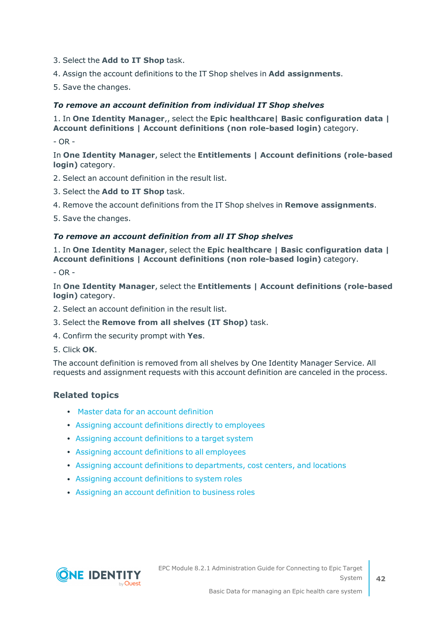- 3. Select the **Add to IT Shop** task.
- 4. Assign the account definitions to the IT Shop shelves in **Add assignments**.
- 5. Save the changes.

#### *To remove an account definition from individual IT Shop shelves*

1. In **One Identity Manager**,, select the **Epic healthcare| Basic configuration data | Account definitions | Account definitions (non role-based login)** category.

- OR -

In **One Identity Manager**, select the **Entitlements | Account definitions (role-based login)** category.

- 2. Select an account definition in the result list.
- 3. Select the **Add to IT Shop** task.
- 4. Remove the account definitions from the IT Shop shelves in **Remove assignments**.

5. Save the changes.

#### *To remove an account definition from all IT Shop shelves*

1. In **One Identity Manager**, select the **Epic healthcare | Basic configuration data | Account definitions | Account definitions (non role-based login)** category.

 $- OR -$ 

In **One Identity Manager**, select the **Entitlements | Account definitions (role-based login)** category.

- 2. Select an account definition in the result list.
- 3. Select the **Remove from all shelves (IT Shop)** task.
- 4. Confirm the security prompt with **Yes**.
- 5. Click **OK**.

The account definition is removed from all shelves by One Identity Manager Service. All requests and assignment requests with this account definition are canceled in the process.

#### **Related topics**

- Master data for an account [definition](#page-29-0)
- Assigning account definitions directly to [employees](#page-39-1)
- Assigning account [definitions](#page-42-0) to a target system
- Assigning account definitions to all [employees](#page-39-0)
- Assigning account definitions to [departments,](#page-38-0) cost centers, and locations
- Assigning account [definitions](#page-40-0) to system roles
- [Assigning](#page-38-1) an account definition to business roles

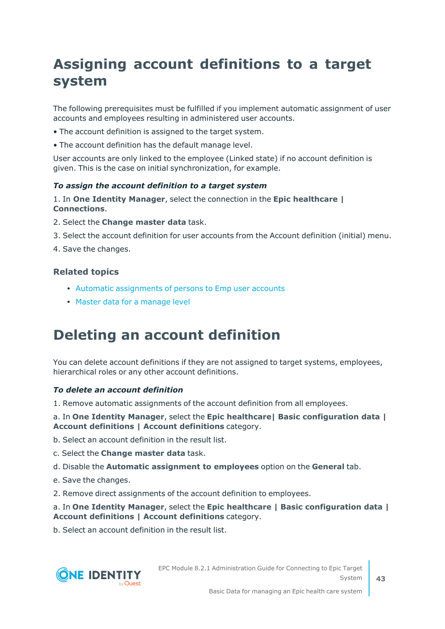# <span id="page-42-0"></span>**Assigning account definitions to a target system**

The following prerequisites must be fulfilled if you implement automatic assignment of user accounts and employees resulting in administered user accounts.

- The account definition is assigned to the target system.
- The account definition has the default manage level.

User accounts are only linked to the employee (Linked state) if no account definition is given. This is the case on initial synchronization, for example.

#### *To assign the account definition to a target system*

1. In **One Identity Manager**, select the connection in the **Epic healthcare | Connections**.

- 2. Select the **Change master data** task.
- 3. Select the account definition for user accounts from the Account definition (initial) menu.
- 4. Save the changes.

#### **Related topics**

- Automatic [assignments](#page-91-0) of persons to Emp user accounts
- Master data for a [manage](#page-32-0) level

### **Deleting an account definition**

You can delete account definitions if they are not assigned to target systems, employees, hierarchical roles or any other account definitions.

#### *To delete an account definition*

1. Remove automatic assignments of the account definition from all employees.

a. In **One Identity Manager**, select the **Epic healthcare| Basic configuration data | Account definitions | Account definitions** category.

b. Select an account definition in the result list.

- c. Select the **Change master data** task.
- d. Disable the **Automatic assignment to employees** option on the **General** tab.
- e. Save the changes.
- 2. Remove direct assignments of the account definition to employees.

#### a. In **One Identity Manager**, select the **Epic healthcare | Basic configuration data | Account definitions | Account definitions** category.

b. Select an account definition in the result list.



EPC Module 8.2.1 Administration Guide for Connecting to Epic Target System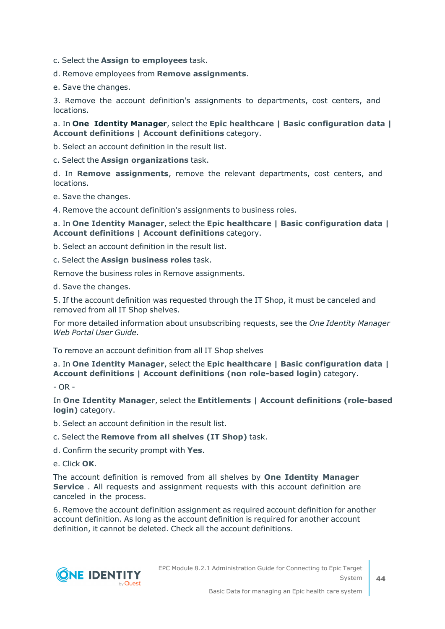c. Select the **Assign to employees** task.

d. Remove employees from **Remove assignments**.

e. Save the changes.

3. Remove the account definition's assignments to departments, cost centers, and locations.

#### a. In **One Identity Manager**, select the **Epic healthcare | Basic configuration data | Account definitions | Account definitions** category.

b. Select an account definition in the result list.

c. Select the **Assign organizations** task.

d. In **Remove assignments**, remove the relevant departments, cost centers, and locations.

e. Save the changes.

4. Remove the account definition's assignments to business roles.

#### a. In **One Identity Manager**, select the **Epic healthcare | Basic configuration data | Account definitions | Account definitions** category.

b. Select an account definition in the result list.

c. Select the **Assign business roles** task.

Remove the business roles in Remove assignments.

d. Save the changes.

5. If the account definition was requested through the IT Shop, it must be canceled and removed from all IT Shop shelves.

For more detailed information about unsubscribing requests, see the *One Identity Manager Web Portal User Guide*.

To remove an account definition from all IT Shop shelves

#### a. In **One Identity Manager**, select the **Epic healthcare | Basic configuration data | Account definitions | Account definitions (non role-based login)** category.

- OR -

In **One Identity Manager**, select the **Entitlements | Account definitions (role-based login)** category.

b. Select an account definition in the result list.

c. Select the **Remove from all shelves (IT Shop)** task.

d. Confirm the security prompt with **Yes**.

e. Click **OK**.

The account definition is removed from all shelves by **One Identity Manager Service** . All requests and assignment requests with this account definition are canceled in the process.

6. Remove the account definition assignment as required account definition for another account definition. As long as the account definition is required for another account definition, it cannot be deleted. Check all the account definitions.

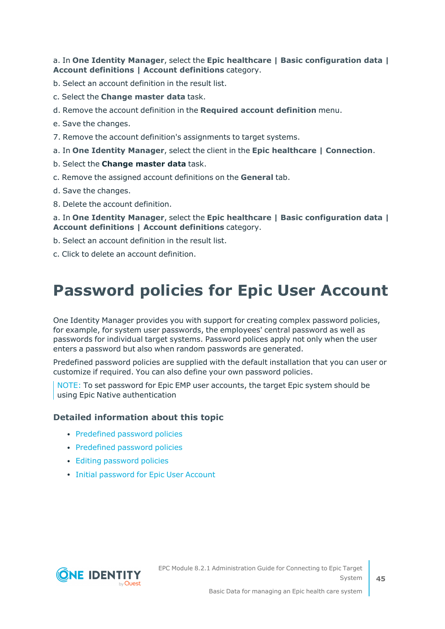#### a. In **One Identity Manager**, select the **Epic healthcare | Basic configuration data | Account definitions | Account definitions** category.

b. Select an account definition in the result list.

- c. Select the **Change master data** task.
- d. Remove the account definition in the **Required account definition** menu.
- e. Save the changes.
- 7. Remove the account definition's assignments to target systems.
- a. In **One Identity Manager**, select the client in the **Epic healthcare | Connection**.
- b. Select the **Change master data** task.
- c. Remove the assigned account definitions on the **General** tab.
- d. Save the changes.
- 8. Delete the account definition.

#### a. In **One Identity Manager**, select the **Epic healthcare | Basic configuration data | Account definitions | Account definitions** category.

- b. Select an account definition in the result list.
- <span id="page-44-0"></span>c. Click to delete an account definition.

# **Password policies for Epic User Account**

One Identity Manager provides you with support for creating complex password policies, for example, for system user passwords, the employees' central password as well as passwords for individual target systems. Password polices apply not only when the user enters a password but also when random passwords are generated.

Predefined password policies are supplied with the default installation that you can user or customize if required. You can also define your own password policies.

NOTE: To set password for Epic EMP user accounts, the target Epic system should be using Epic Native authentication

#### **Detailed information about this topic**

- [Predefined](#page-45-0) password policies
- [Predefined](#page-45-0) password policies
- Editing [password](#page-47-0) policies
- Initial [password](#page-54-0) for Epic User Account



**45**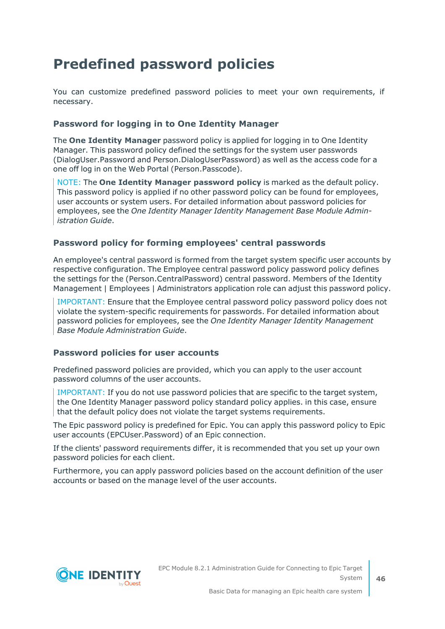# <span id="page-45-0"></span>**Predefined password policies**

You can customize predefined password policies to meet your own requirements, if necessary.

#### **Password for logging in to One Identity Manager**

The **One Identity Manager** password policy is applied for logging in to One Identity Manager. This password policy defined the settings for the system user passwords (DialogUser.Password and Person.DialogUserPassword) as well as the access code for a one off log in on the Web Portal (Person.Passcode).

NOTE: The **One Identity Manager password policy** is marked as the default policy. This password policy is applied if no other password policy can be found for employees, user accounts or system users. For detailed information about password policies for employees, see the *One Identity Manager Identity Management Base Module Administration Guide*.

#### **Password policy for forming employees' central passwords**

An employee's central password is formed from the target system specific user accounts by respective configuration. The Employee central password policy password policy defines the settings for the (Person.CentralPassword) central password. Members of the Identity Management | Employees | Administrators application role can adjust this password policy.

IMPORTANT: Ensure that the Employee central password policy password policy does not violate the system-specific requirements for passwords. For detailed information about password policies for employees, see the *One Identity Manager Identity Management Base Module Administration Guide*.

#### **Password policies for user accounts**

Predefined password policies are provided, which you can apply to the user account password columns of the user accounts.

IMPORTANT: If you do not use password policies that are specific to the target system, the One Identity Manager password policy standard policy applies. in this case, ensure that the default policy does not violate the target systems requirements.

The Epic password policy is predefined for Epic. You can apply this password policy to Epic user accounts (EPCUser.Password) of an Epic connection.

If the clients' password requirements differ, it is recommended that you set up your own password policies for each client.

Furthermore, you can apply password policies based on the account definition of the user accounts or based on the manage level of the user accounts.

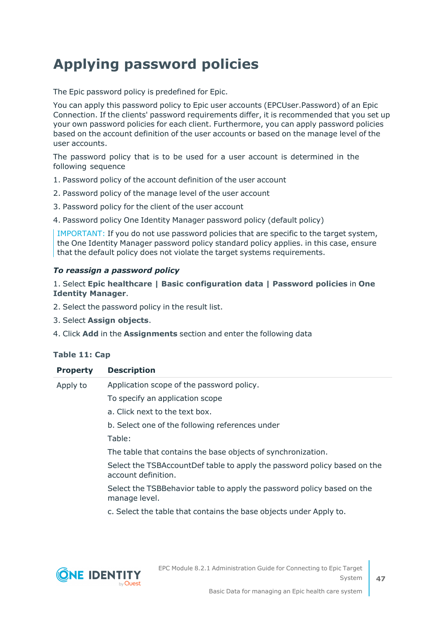# **Applying password policies**

The Epic password policy is predefined for Epic.

You can apply this password policy to Epic user accounts (EPCUser.Password) of an Epic Connection. If the clients' password requirements differ, it is recommended that you set up your own password policies for each client. Furthermore, you can apply password policies based on the account definition of the user accounts or based on the manage level of the user accounts.

The password policy that is to be used for a user account is determined in the following sequence

- 1. Password policy of the account definition of the user account
- 2. Password policy of the manage level of the user account
- 3. Password policy for the client of the user account
- 4. Password policy One Identity Manager password policy (default policy)

IMPORTANT: If you do not use password policies that are specific to the target system, the One Identity Manager password policy standard policy applies. in this case, ensure that the default policy does not violate the target systems requirements.

#### *To reassign a password policy*

#### 1. Select **Epic healthcare | Basic configuration data | Password policies** in **One Identity Manager**.

- 2. Select the password policy in the result list.
- 3. Select **Assign objects**.
- 4. Click **Add** in the **Assignments** section and enter the following data

#### **Table 11: Cap**

| <b>Property</b> | <b>Description</b>                                                                              |
|-----------------|-------------------------------------------------------------------------------------------------|
| Apply to        | Application scope of the password policy.                                                       |
|                 | To specify an application scope                                                                 |
|                 | a. Click next to the text box.                                                                  |
|                 | b. Select one of the following references under                                                 |
|                 | Table:                                                                                          |
|                 | The table that contains the base objects of synchronization.                                    |
|                 | Select the TSBAccountDef table to apply the password policy based on the<br>account definition. |
|                 | Select the TSBBehavior table to apply the password policy based on the<br>manage level.         |
|                 | c. Select the table that contains the base objects under Apply to.                              |

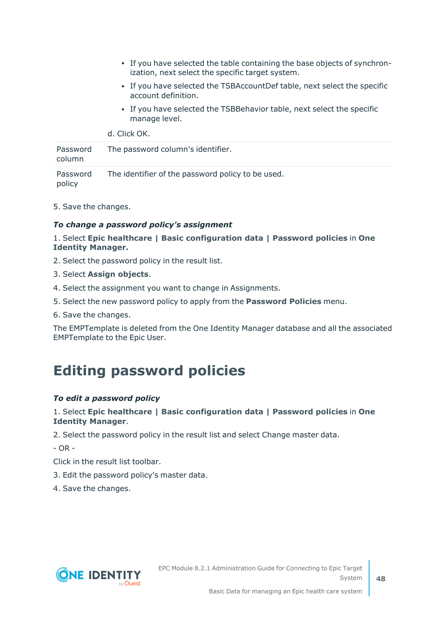- If you have selected the table containing the base objects of synchronization, next select the specific target system.
- If you have selected the TSBAccountDef table, next select the specific account definition.
- If you have selected the TSBBehavior table, next select the specific manage level.

d. Click OK.

| Password<br>column | The password column's identifier.                 |
|--------------------|---------------------------------------------------|
| Password<br>policy | The identifier of the password policy to be used. |

5. Save the changes.

#### *To change a password policy's assignment*

#### 1. Select **Epic healthcare | Basic configuration data | Password policies** in **One Identity Manager.**

- 2. Select the password policy in the result list.
- 3. Select **Assign objects**.
- 4. Select the assignment you want to change in Assignments.
- 5. Select the new password policy to apply from the **Password Policies** menu.
- 6. Save the changes.

The EMPTemplate is deleted from the One Identity Manager database and all the associated EMPTemplate to the Epic User.

### <span id="page-47-0"></span>**Editing password policies**

#### *To edit a password policy*

#### 1. Select **Epic healthcare | Basic configuration data | Password policies** in **One Identity Manager**.

2. Select the password policy in the result list and select Change master data.

 $- OR -$ 

Click in the result list toolbar.

- 3. Edit the password policy's master data.
- 4. Save the changes.

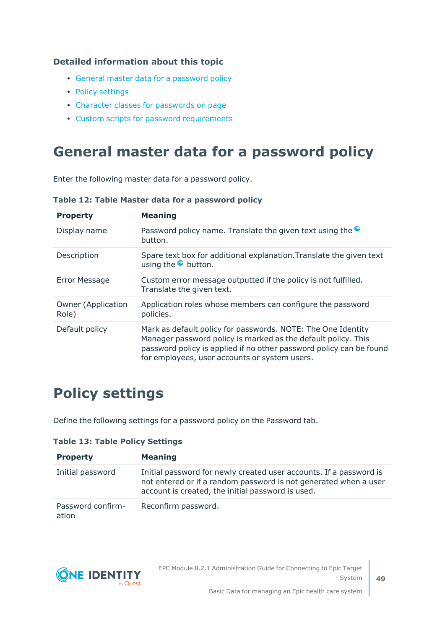#### **Detailed information about this topic**

- General master data for a [password](#page-48-0) policy
- Policy [settings](#page-48-1)
- Character classes for [passwords](#page-49-0) on page
- Custom scripts for password [requirements](#page-50-0)

### <span id="page-48-0"></span>**General master data for a password policy**

Enter the following master data for a password policy.

| <b>Property</b>                    | <b>Meaning</b>                                                                                                                                                                                                                                        |
|------------------------------------|-------------------------------------------------------------------------------------------------------------------------------------------------------------------------------------------------------------------------------------------------------|
| Display name                       | Password policy name. Translate the given text using the $\bullet$<br>button.                                                                                                                                                                         |
| Description                        | Spare text box for additional explanation. Translate the given text<br>using the $\bullet$ button.                                                                                                                                                    |
| <b>Error Message</b>               | Custom error message outputted if the policy is not fulfilled.<br>Translate the given text.                                                                                                                                                           |
| <b>Owner (Application</b><br>Role) | Application roles whose members can configure the password<br>policies.                                                                                                                                                                               |
| Default policy                     | Mark as default policy for passwords. NOTE: The One Identity<br>Manager password policy is marked as the default policy. This<br>password policy is applied if no other password policy can be found<br>for employees, user accounts or system users. |

#### **Table 12: Table Master data for a password policy**

### <span id="page-48-1"></span>**Policy settings**

Define the following settings for a password policy on the Password tab.

| <b>Property</b>            | <b>Meaning</b>                                                                                                                                                                              |
|----------------------------|---------------------------------------------------------------------------------------------------------------------------------------------------------------------------------------------|
| Initial password           | Initial password for newly created user accounts. If a password is<br>not entered or if a random password is not generated when a user<br>account is created, the initial password is used. |
| Password confirm-<br>ation | Reconfirm password.                                                                                                                                                                         |

#### **Table 13: Table Policy Settings**

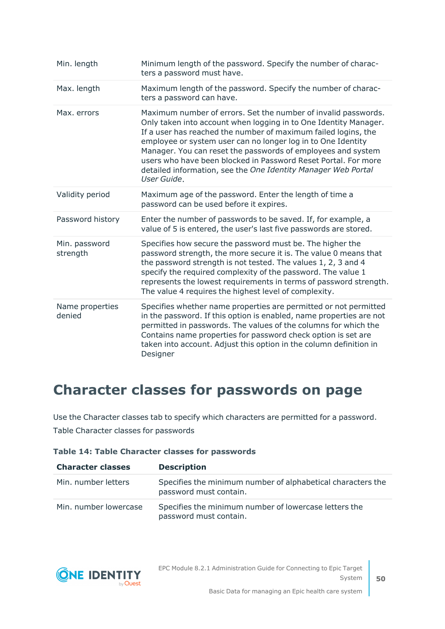| Min. length               | Minimum length of the password. Specify the number of charac-<br>ters a password must have.                                                                                                                                                                                                                                                                                                                                                                                            |
|---------------------------|----------------------------------------------------------------------------------------------------------------------------------------------------------------------------------------------------------------------------------------------------------------------------------------------------------------------------------------------------------------------------------------------------------------------------------------------------------------------------------------|
| Max. length               | Maximum length of the password. Specify the number of charac-<br>ters a password can have.                                                                                                                                                                                                                                                                                                                                                                                             |
| Max. errors               | Maximum number of errors. Set the number of invalid passwords.<br>Only taken into account when logging in to One Identity Manager.<br>If a user has reached the number of maximum failed logins, the<br>employee or system user can no longer log in to One Identity<br>Manager. You can reset the passwords of employees and system<br>users who have been blocked in Password Reset Portal. For more<br>detailed information, see the One Identity Manager Web Portal<br>User Guide. |
| Validity period           | Maximum age of the password. Enter the length of time a<br>password can be used before it expires.                                                                                                                                                                                                                                                                                                                                                                                     |
| Password history          | Enter the number of passwords to be saved. If, for example, a<br>value of 5 is entered, the user's last five passwords are stored.                                                                                                                                                                                                                                                                                                                                                     |
| Min. password<br>strength | Specifies how secure the password must be. The higher the<br>password strength, the more secure it is. The value 0 means that<br>the password strength is not tested. The values 1, 2, 3 and 4<br>specify the required complexity of the password. The value 1<br>represents the lowest requirements in terms of password strength.<br>The value 4 requires the highest level of complexity.                                                                                           |
| Name properties<br>denied | Specifies whether name properties are permitted or not permitted<br>in the password. If this option is enabled, name properties are not<br>permitted in passwords. The values of the columns for which the<br>Contains name properties for password check option is set are<br>taken into account. Adjust this option in the column definition in<br>Designer                                                                                                                          |

### <span id="page-49-0"></span>**Character classes for passwords on page**

Use the Character classes tab to specify which characters are permitted for a password. Table Character classes for passwords

|  |  |  |  |  |  | Table 14: Table Character classes for passwords |
|--|--|--|--|--|--|-------------------------------------------------|
|--|--|--|--|--|--|-------------------------------------------------|

| <b>Character classes</b> | <b>Description</b>                                                                    |
|--------------------------|---------------------------------------------------------------------------------------|
| Min. number letters      | Specifies the minimum number of alphabetical characters the<br>password must contain. |
| Min. number lowercase    | Specifies the minimum number of lowercase letters the<br>password must contain.       |

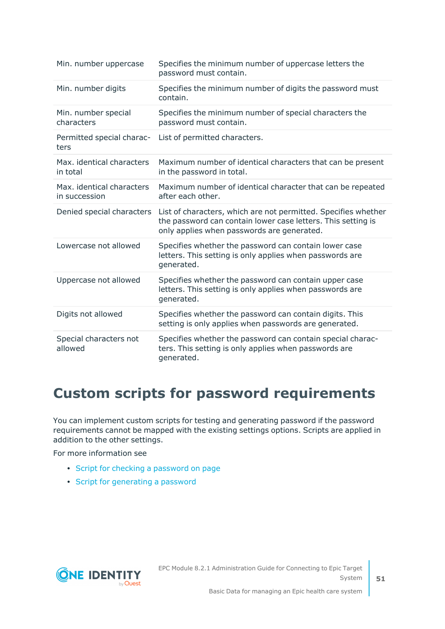| Min. number uppercase                      | Specifies the minimum number of uppercase letters the<br>password must contain.                                                                                              |
|--------------------------------------------|------------------------------------------------------------------------------------------------------------------------------------------------------------------------------|
| Min. number digits                         | Specifies the minimum number of digits the password must<br>contain.                                                                                                         |
| Min. number special<br>characters          | Specifies the minimum number of special characters the<br>password must contain.                                                                                             |
| Permitted special charac-<br>ters          | List of permitted characters.                                                                                                                                                |
| Max. identical characters<br>in total      | Maximum number of identical characters that can be present<br>in the password in total.                                                                                      |
| Max. identical characters<br>in succession | Maximum number of identical character that can be repeated<br>after each other.                                                                                              |
| Denied special characters                  | List of characters, which are not permitted. Specifies whether<br>the password can contain lower case letters. This setting is<br>only applies when passwords are generated. |
| Lowercase not allowed                      | Specifies whether the password can contain lower case<br>letters. This setting is only applies when passwords are<br>generated.                                              |
| Uppercase not allowed                      | Specifies whether the password can contain upper case<br>letters. This setting is only applies when passwords are<br>generated.                                              |
| Digits not allowed                         | Specifies whether the password can contain digits. This<br>setting is only applies when passwords are generated.                                                             |
| Special characters not<br>allowed          | Specifies whether the password can contain special charac-<br>ters. This setting is only applies when passwords are<br>generated.                                            |

## <span id="page-50-0"></span>**Custom scripts for password requirements**

You can implement custom scripts for testing and generating password if the password requirements cannot be mapped with the existing settings options. Scripts are applied in addition to the other settings.

For more information see

- Script for checking a [password](#page-51-0) on page
- Script for [generating](#page-52-0) a password

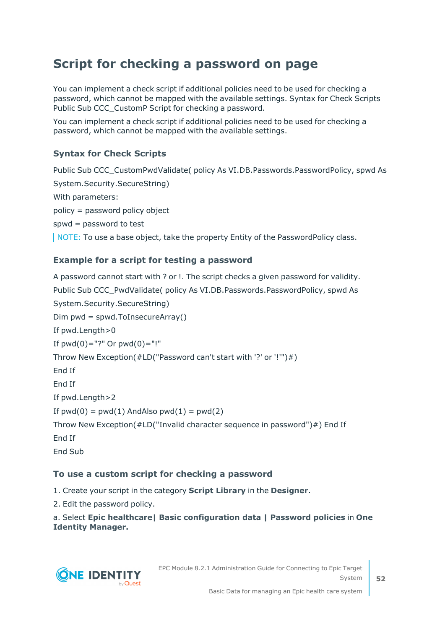### <span id="page-51-0"></span>**Script for checking a password on page**

You can implement a check script if additional policies need to be used for checking a password, which cannot be mapped with the available settings. Syntax for Check Scripts Public Sub CCC\_CustomP Script for checking a password.

You can implement a check script if additional policies need to be used for checking a password, which cannot be mapped with the available settings.

#### **Syntax for Check Scripts**

Public Sub CCC\_CustomPwdValidate( policy As VI.DB.Passwords.PasswordPolicy, spwd As System.Security.SecureString)

With parameters:

policy = password policy object

spwd = password to test

NOTE: To use a base object, take the property Entity of the PasswordPolicy class.

#### **Example for a script for testing a password**

A password cannot start with ? or !. The script checks a given password for validity. Public Sub CCC\_PwdValidate( policy As VI.DB.Passwords.PasswordPolicy, spwd As System.Security.SecureString) Dim pwd = spwd.ToInsecureArray() If pwd.Length>0 If  $pwd(0) = "?"$  Or  $pwd(0) = "!"$ Throw New Exception(#LD("Password can't start with '?' or '!'")#) End If End If If pwd.Length>2 If  $pwd(0) = pwd(1)$  AndAlso  $pwd(1) = pwd(2)$ Throw New Exception(#LD("Invalid character sequence in password")#) End If End If End Sub

#### **To use a custom script for checking a password**

1. Create your script in the category **Script Library** in the **Designer**.

2. Edit the password policy.

a. Select **Epic healthcare| Basic configuration data | Password policies** in **One Identity Manager.**

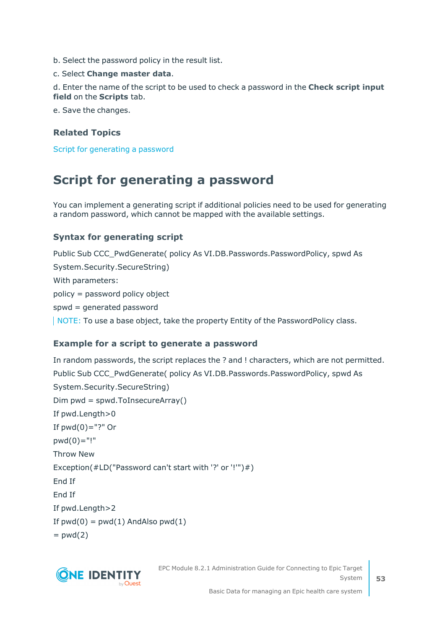- b. Select the password policy in the result list.
- c. Select **Change master data**.

d. Enter the name of the script to be used to check a password in the **Check script input field** on the **Scripts** tab.

e. Save the changes.

#### **Related Topics**

<span id="page-52-0"></span>Script for [generating](#page-52-0) a password

### **Script for generating a password**

You can implement a generating script if additional policies need to be used for generating a random password, which cannot be mapped with the available settings.

#### **Syntax for generating script**

Public Sub CCC\_PwdGenerate( policy As VI.DB.Passwords.PasswordPolicy, spwd As System.Security.SecureString) With parameters: policy = password policy object spwd = generated password NOTE: To use a base object, take the property Entity of the PasswordPolicy class.

#### **Example for a script to generate a password**

In random passwords, the script replaces the ? and ! characters, which are not permitted. Public Sub CCC\_PwdGenerate( policy As VI.DB.Passwords.PasswordPolicy, spwd As System.Security.SecureString) Dim pwd = spwd.ToInsecureArray() If pwd.Length>0 If  $pwd(0) = "?"$  Or  $pwd(0) = "!"$ Throw New Exception(#LD("Password can't start with '?' or '!'")#) End If End If If pwd.Length>2 If  $pwd(0) = pwd(1)$  And Also  $pwd(1)$  $=$  pwd(2)



EPC Module 8.2.1 Administration Guide for Connecting to Epic Target System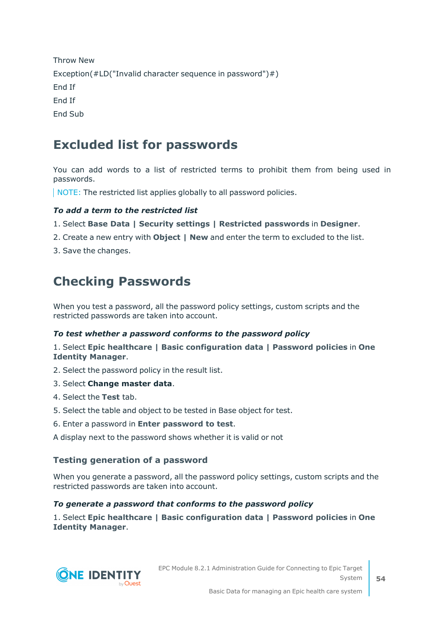Throw New Exception(#LD("Invalid character sequence in password")#) End If End If End Sub

### **Excluded list for passwords**

You can add words to a list of restricted terms to prohibit them from being used in passwords.

NOTE: The restricted list applies globally to all password policies.

#### *To add a term to the restricted list*

1. Select **Base Data | Security settings | Restricted passwords** in **Designer**.

- 2. Create a new entry with **Object | New** and enter the term to excluded to the list.
- 3. Save the changes.

### **Checking Passwords**

When you test a password, all the password policy settings, custom scripts and the restricted passwords are taken into account.

#### *To test whether a password conforms to the password policy*

1. Select **Epic healthcare | Basic configuration data | Password policies** in **One Identity Manager**.

- 2. Select the password policy in the result list.
- 3. Select **Change master data**.
- 4. Select the **Test** tab.
- 5. Select the table and object to be tested in Base object for test.
- 6. Enter a password in **Enter password to test**.

A display next to the password shows whether it is valid or not

#### **Testing generation of a password**

When you generate a password, all the password policy settings, custom scripts and the restricted passwords are taken into account.

#### *To generate a password that conforms to the password policy*

1. Select **Epic healthcare | Basic configuration data | Password policies** in **One Identity Manager**.

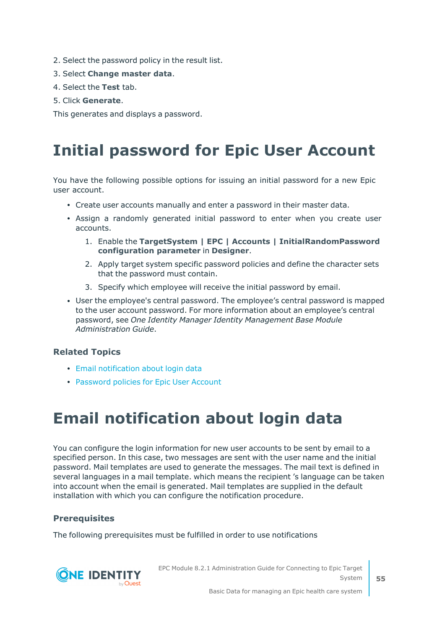- 2. Select the password policy in the result list.
- 3. Select **Change master data**.
- 4. Select the **Test** tab.
- 5. Click **Generate**.

<span id="page-54-0"></span>This generates and displays a password.

# **Initial password for Epic User Account**

You have the following possible options for issuing an initial password for a new Epic user account.

- Create user accounts manually and enter a password in their master data.
- Assign a randomly generated initial password to enter when you create user accounts.
	- 1. Enable the **TargetSystem | EPC | Accounts | InitialRandomPassword configuration parameter** in **Designer**.
	- 2. Apply target system specific password policies and define the character sets that the password must contain.
	- 3. Specify which employee will receive the initial password by email.
- User the employee's central password. The employee's central password is mapped to the user account password. For more information about an employee's central password, see *One Identity Manager Identity Management Base Module Administration Guide*.

#### **Related Topics**

- Email [notification](#page-54-1) about login data
- <span id="page-54-1"></span>• [Password](#page-44-0) policies for Epic User Account

# **Email notification about login data**

You can configure the login information for new user accounts to be sent by email to a specified person. In this case, two messages are sent with the user name and the initial password. Mail templates are used to generate the messages. The mail text is defined in several languages in a mail template. which means the recipient 's language can be taken into account when the email is generated. Mail templates are supplied in the default installation with which you can configure the notification procedure.

#### **Prerequisites**

The following prerequisites must be fulfilled in order to use notifications



EPC Module 8.2.1 Administration Guide for Connecting to Epic Target System

**55**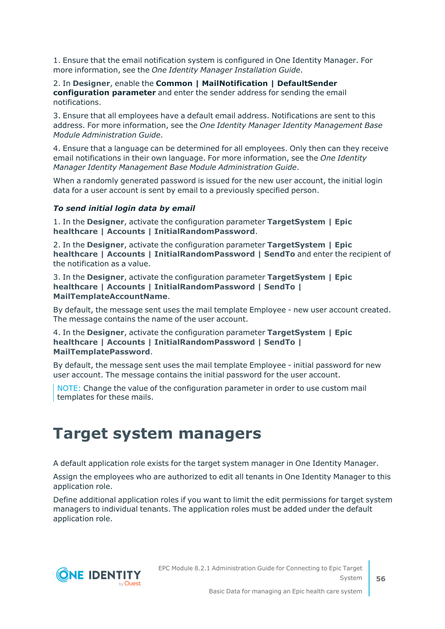1. Ensure that the email notification system is configured in One Identity Manager. For more information, see the *One Identity Manager Installation Guide*.

#### 2. In **Designer**, enable the **Common | MailNotification | DefaultSender configuration parameter** and enter the sender address for sending the email notifications.

3. Ensure that all employees have a default email address. Notifications are sent to this address. For more information, see the *One Identity Manager Identity Management Base Module Administration Guide*.

4. Ensure that a language can be determined for all employees. Only then can they receive email notifications in their own language. For more information, see the *One Identity Manager Identity Management Base Module Administration Guide*.

When a randomly generated password is issued for the new user account, the initial login data for a user account is sent by email to a previously specified person.

#### *To send initial login data by email*

1. In the **Designer**, activate the configuration parameter **TargetSystem | Epic healthcare | Accounts | InitialRandomPassword**.

2. In the **Designer**, activate the configuration parameter **TargetSystem | Epic healthcare | Accounts | InitialRandomPassword | SendTo** and enter the recipient of the notification as a value.

3. In the **Designer**, activate the configuration parameter **TargetSystem | Epic healthcare | Accounts | InitialRandomPassword | SendTo | MailTemplateAccountName**.

By default, the message sent uses the mail template Employee - new user account created. The message contains the name of the user account.

#### 4. In the **Designer**, activate the configuration parameter **TargetSystem | Epic healthcare | Accounts | InitialRandomPassword | SendTo | MailTemplatePassword**.

By default, the message sent uses the mail template Employee - initial password for new user account. The message contains the initial password for the user account.

NOTE: Change the value of the configuration parameter in order to use custom mail templates for these mails.

# **Target system managers**

A default application role exists for the target system manager in One Identity Manager.

Assign the employees who are authorized to edit all tenants in One Identity Manager to this application role.

Define additional application roles if you want to limit the edit permissions for target system managers to individual tenants. The application roles must be added under the default application role.

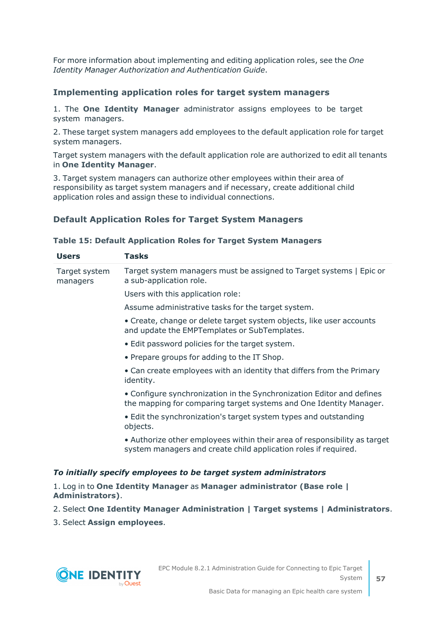For more information about implementing and editing application roles, see the *One Identity Manager Authorization and Authentication Guide*.

#### **Implementing application roles for target system managers**

1. The **One Identity Manager** administrator assigns employees to be target system managers.

2. These target system managers add employees to the default application role for target system managers.

Target system managers with the default application role are authorized to edit all tenants in **One Identity Manager**.

3. Target system managers can authorize other employees within their area of responsibility as target system managers and if necessary, create additional child application roles and assign these to individual connections.

#### **Default Application Roles for Target System Managers**

#### **Table 15: Default Application Roles for Target System Managers**

| <b>Users</b>              | <b>Tasks</b>                                                                                                                                 |
|---------------------------|----------------------------------------------------------------------------------------------------------------------------------------------|
| Target system<br>managers | Target system managers must be assigned to Target systems   Epic or<br>a sub-application role.                                               |
|                           | Users with this application role:                                                                                                            |
|                           | Assume administrative tasks for the target system.                                                                                           |
|                           | • Create, change or delete target system objects, like user accounts<br>and update the EMPTemplates or SubTemplates.                         |
|                           | • Edit password policies for the target system.                                                                                              |
|                           | • Prepare groups for adding to the IT Shop.                                                                                                  |
|                           | • Can create employees with an identity that differs from the Primary<br>identity.                                                           |
|                           | • Configure synchronization in the Synchronization Editor and defines<br>the mapping for comparing target systems and One Identity Manager.  |
|                           | • Edit the synchronization's target system types and outstanding<br>objects.                                                                 |
|                           | • Authorize other employees within their area of responsibility as target<br>system managers and create child application roles if required. |
|                           | To initially specify employees to be target system administrators                                                                            |

1. Log in to **One Identity Manager** as **Manager administrator (Base role | Administrators)**.

- 2. Select **One Identity Manager Administration | Target systems | Administrators**.
- 3. Select **Assign employees**.

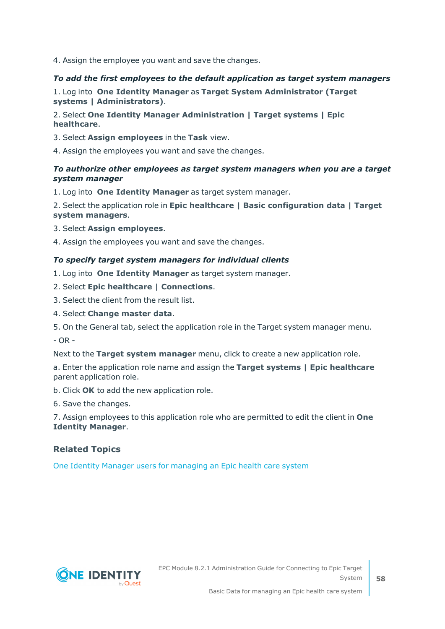4. Assign the employee you want and save the changes.

#### *To add the first employees to the default application as target system managers*

1. Log into **One Identity Manager** as **Target System Administrator (Target systems | Administrators)**.

#### 2. Select **One Identity Manager Administration | Target systems | Epic healthcare**.

- 3. Select **Assign employees** in the **Task** view.
- 4. Assign the employees you want and save the changes.

#### *To authorize other employees as target system managers when you are a target system manager*

1. Log into **One Identity Manager** as target system manager.

2. Select the application role in **Epic healthcare | Basic configuration data | Target system managers**.

- 3. Select **Assign employees**.
- 4. Assign the employees you want and save the changes.

#### *To specify target system managers for individual clients*

- 1. Log into **One Identity Manager** as target system manager.
- 2. Select **Epic healthcare | Connections**.
- 3. Select the client from the result list.
- 4. Select **Change master data**.
- 5. On the General tab, select the application role in the Target system manager menu.

 $- OR -$ 

Next to the **Target system manager** menu, click to create a new application role.

a. Enter the application role name and assign the **Target systems | Epic healthcare** parent application role.

b. Click **OK** to add the new application role.

6. Save the changes.

7. Assign employees to this application role who are permitted to edit the client in **One Identity Manager**.

#### **Related Topics**

One Identity Manager users for [managing](#page-6-0) an Epic health care system

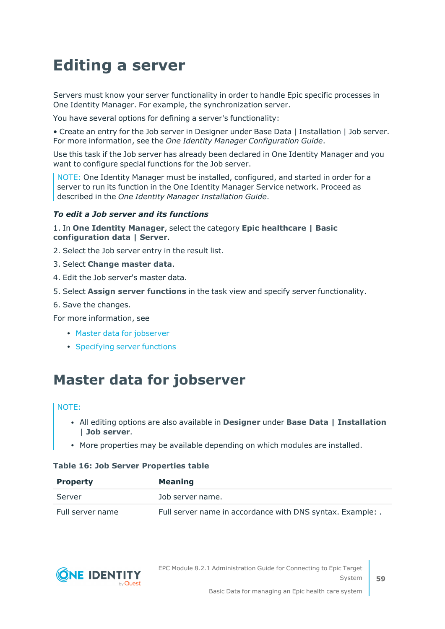# **Editing a server**

Servers must know your server functionality in order to handle Epic specific processes in One Identity Manager. For example, the synchronization server.

You have several options for defining a server's functionality:

• Create an entry for the Job server in Designer under Base Data | Installation | Job server. For more information, see the *One Identity Manager Configuration Guide*.

Use this task if the Job server has already been declared in One Identity Manager and you want to configure special functions for the Job server.

NOTE: One Identity Manager must be installed, configured, and started in order for a server to run its function in the One Identity Manager Service network. Proceed as described in the *One Identity Manager Installation Guide*.

#### *To edit a Job server and its functions*

1. In **One Identity Manager**, select the category **Epic healthcare | Basic configuration data | Server**.

- 2. Select the Job server entry in the result list.
- 3. Select **Change master data**.
- 4. Edit the Job server's master data.
- 5. Select **Assign server functions** in the task view and specify server functionality.
- 6. Save the changes.

For more information, see

- Master data for [jobserver](#page-58-0)
- [Specifying](#page-60-0) server functions

### <span id="page-58-0"></span>**Master data for jobserver**

#### NOTE:

- <sup>l</sup> All editing options are also available in **Designer** under **Base Data | Installation | Job server**.
- More properties may be available depending on which modules are installed.

#### **Table 16: Job Server Properties table**

| <b>Property</b>  | <b>Meaning</b>                                             |
|------------------|------------------------------------------------------------|
| Server           | Job server name.                                           |
| Full server name | Full server name in accordance with DNS syntax. Example: . |

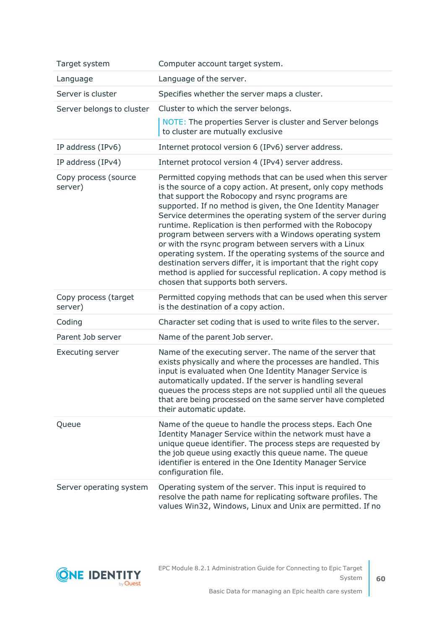| Target system                   | Computer account target system.                                                                                                                                                                                                                                                                                                                                                                                                                                                                                                                                                                                                                                                                                                            |
|---------------------------------|--------------------------------------------------------------------------------------------------------------------------------------------------------------------------------------------------------------------------------------------------------------------------------------------------------------------------------------------------------------------------------------------------------------------------------------------------------------------------------------------------------------------------------------------------------------------------------------------------------------------------------------------------------------------------------------------------------------------------------------------|
| Language                        | Language of the server.                                                                                                                                                                                                                                                                                                                                                                                                                                                                                                                                                                                                                                                                                                                    |
| Server is cluster               | Specifies whether the server maps a cluster.                                                                                                                                                                                                                                                                                                                                                                                                                                                                                                                                                                                                                                                                                               |
| Server belongs to cluster       | Cluster to which the server belongs.                                                                                                                                                                                                                                                                                                                                                                                                                                                                                                                                                                                                                                                                                                       |
|                                 | NOTE: The properties Server is cluster and Server belongs<br>to cluster are mutually exclusive                                                                                                                                                                                                                                                                                                                                                                                                                                                                                                                                                                                                                                             |
| IP address (IPv6)               | Internet protocol version 6 (IPv6) server address.                                                                                                                                                                                                                                                                                                                                                                                                                                                                                                                                                                                                                                                                                         |
| IP address (IPv4)               | Internet protocol version 4 (IPv4) server address.                                                                                                                                                                                                                                                                                                                                                                                                                                                                                                                                                                                                                                                                                         |
| Copy process (source<br>server) | Permitted copying methods that can be used when this server<br>is the source of a copy action. At present, only copy methods<br>that support the Robocopy and rsync programs are<br>supported. If no method is given, the One Identity Manager<br>Service determines the operating system of the server during<br>runtime. Replication is then performed with the Robocopy<br>program between servers with a Windows operating system<br>or with the rsync program between servers with a Linux<br>operating system. If the operating systems of the source and<br>destination servers differ, it is important that the right copy<br>method is applied for successful replication. A copy method is<br>chosen that supports both servers. |
| Copy process (target<br>server) | Permitted copying methods that can be used when this server<br>is the destination of a copy action.                                                                                                                                                                                                                                                                                                                                                                                                                                                                                                                                                                                                                                        |
| Coding                          | Character set coding that is used to write files to the server.                                                                                                                                                                                                                                                                                                                                                                                                                                                                                                                                                                                                                                                                            |
|                                 |                                                                                                                                                                                                                                                                                                                                                                                                                                                                                                                                                                                                                                                                                                                                            |
| Parent Job server               | Name of the parent Job server.                                                                                                                                                                                                                                                                                                                                                                                                                                                                                                                                                                                                                                                                                                             |
| <b>Executing server</b>         | Name of the executing server. The name of the server that<br>exists physically and where the processes are handled. This<br>input is evaluated when One Identity Manager Service is<br>automatically updated. If the server is handling several<br>queues the process steps are not supplied until all the queues<br>that are being processed on the same server have completed<br>their automatic update.                                                                                                                                                                                                                                                                                                                                 |
| Queue                           | Name of the queue to handle the process steps. Each One<br>Identity Manager Service within the network must have a<br>unique queue identifier. The process steps are requested by<br>the job queue using exactly this queue name. The queue<br>identifier is entered in the One Identity Manager Service<br>configuration file.                                                                                                                                                                                                                                                                                                                                                                                                            |

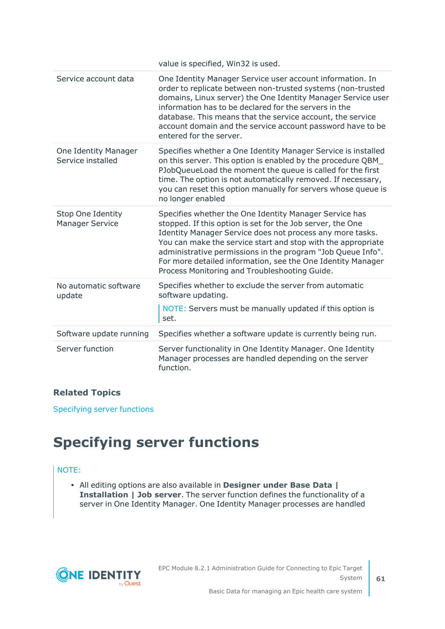|                                                    | value is specified, Win32 is used.                                                                                                                                                                                                                                                                                                                                                                                               |
|----------------------------------------------------|----------------------------------------------------------------------------------------------------------------------------------------------------------------------------------------------------------------------------------------------------------------------------------------------------------------------------------------------------------------------------------------------------------------------------------|
| Service account data                               | One Identity Manager Service user account information. In<br>order to replicate between non-trusted systems (non-trusted<br>domains, Linux server) the One Identity Manager Service user<br>information has to be declared for the servers in the<br>database. This means that the service account, the service<br>account domain and the service account password have to be<br>entered for the server.                         |
| One Identity Manager<br>Service installed          | Specifies whether a One Identity Manager Service is installed<br>on this server. This option is enabled by the procedure QBM_<br>PJobQueueLoad the moment the queue is called for the first<br>time. The option is not automatically removed. If necessary,<br>you can reset this option manually for servers whose queue is<br>no longer enabled                                                                                |
| <b>Stop One Identity</b><br><b>Manager Service</b> | Specifies whether the One Identity Manager Service has<br>stopped. If this option is set for the Job server, the One<br>Identity Manager Service does not process any more tasks.<br>You can make the service start and stop with the appropriate<br>administrative permissions in the program "Job Queue Info".<br>For more detailed information, see the One Identity Manager<br>Process Monitoring and Troubleshooting Guide. |
| No automatic software<br>update                    | Specifies whether to exclude the server from automatic<br>software updating.<br>NOTE: Servers must be manually updated if this option is<br>set.                                                                                                                                                                                                                                                                                 |
| Software update running                            | Specifies whether a software update is currently being run.                                                                                                                                                                                                                                                                                                                                                                      |
| Server function                                    | Server functionality in One Identity Manager. One Identity<br>Manager processes are handled depending on the server<br>function.                                                                                                                                                                                                                                                                                                 |

#### **Related Topics**

<span id="page-60-0"></span>[Specifying](#page-60-0) server functions

# **Specifying server functions**

#### NOTE:

<sup>l</sup> All editing options are also available in **Designer under Base Data | Installation | Job server**. The server function defines the functionality of a server in One Identity Manager. One Identity Manager processes are handled

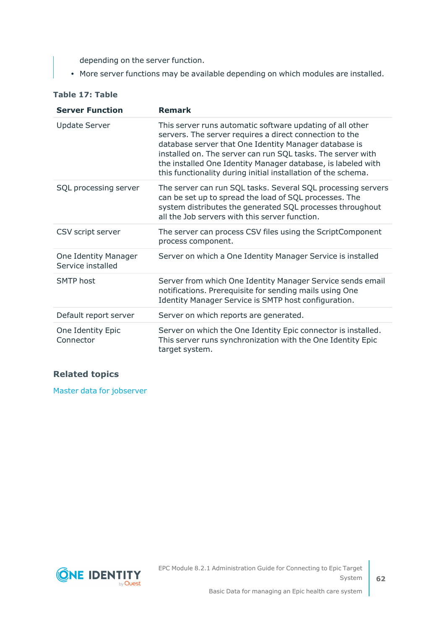depending on the server function.

• More server functions may be available depending on which modules are installed.

| <b>Server Function</b>                    | <b>Remark</b>                                                                                                                                                                                                                                                                                                                                                                 |
|-------------------------------------------|-------------------------------------------------------------------------------------------------------------------------------------------------------------------------------------------------------------------------------------------------------------------------------------------------------------------------------------------------------------------------------|
| <b>Update Server</b>                      | This server runs automatic software updating of all other<br>servers. The server requires a direct connection to the<br>database server that One Identity Manager database is<br>installed on. The server can run SQL tasks. The server with<br>the installed One Identity Manager database, is labeled with<br>this functionality during initial installation of the schema. |
| SQL processing server                     | The server can run SQL tasks. Several SQL processing servers<br>can be set up to spread the load of SQL processes. The<br>system distributes the generated SQL processes throughout<br>all the Job servers with this server function.                                                                                                                                         |
| CSV script server                         | The server can process CSV files using the ScriptComponent<br>process component.                                                                                                                                                                                                                                                                                              |
| One Identity Manager<br>Service installed | Server on which a One Identity Manager Service is installed                                                                                                                                                                                                                                                                                                                   |
| <b>SMTP</b> host                          | Server from which One Identity Manager Service sends email<br>notifications. Prerequisite for sending mails using One<br>Identity Manager Service is SMTP host configuration.                                                                                                                                                                                                 |
| Default report server                     | Server on which reports are generated.                                                                                                                                                                                                                                                                                                                                        |
| One Identity Epic<br>Connector            | Server on which the One Identity Epic connector is installed.<br>This server runs synchronization with the One Identity Epic<br>target system.                                                                                                                                                                                                                                |

#### **Table 17: Table**

#### **Related topics**

Master data for [jobserver](#page-58-0)

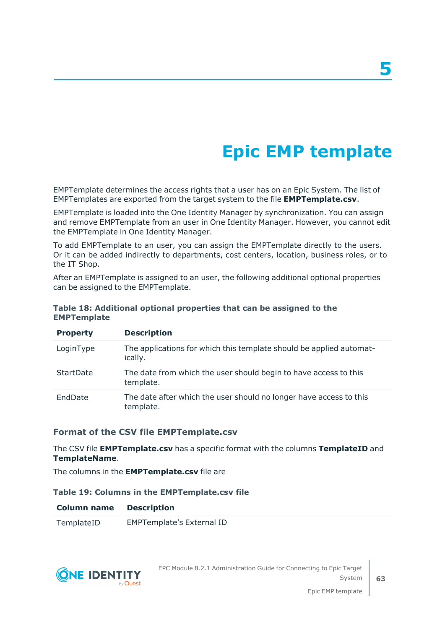# **Epic EMP template**

EMPTemplate determines the access rights that a user has on an Epic System. The list of EMPTemplates are exported from the target system to the file **EMPTemplate.csv**.

EMPTemplate is loaded into the One Identity Manager by synchronization. You can assign and remove EMPTemplate from an user in One Identity Manager. However, you cannot edit the EMPTemplate in One Identity Manager.

To add EMPTemplate to an user, you can assign the EMPTemplate directly to the users. Or it can be added indirectly to departments, cost centers, location, business roles, or to the IT Shop.

After an EMPTemplate is assigned to an user, the following additional optional properties can be assigned to the EMPTemplate.

| <b>Property</b> | <b>Description</b>                                                              |
|-----------------|---------------------------------------------------------------------------------|
| LoginType       | The applications for which this template should be applied automat-<br>ically.  |
| StartDate       | The date from which the user should begin to have access to this<br>template.   |
| EndDate         | The date after which the user should no longer have access to this<br>template. |

#### **Table 18: Additional optional properties that can be assigned to the EMPTemplate**

#### **Format of the CSV file EMPTemplate.csv**

The CSV file **EMPTemplate.csv** has a specific format with the columns **TemplateID** and **TemplateName**.

The columns in the **EMPTemplate.csv** file are

#### **Table 19: Columns in the EMPTemplate.csv file**

#### **Column name Description**

TemplateID EMPTemplate's External ID

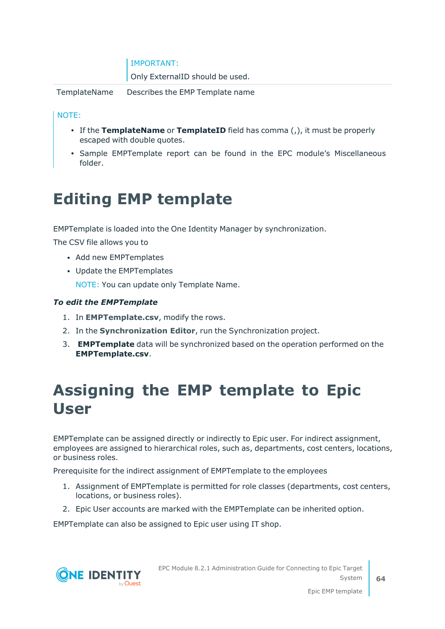| <b>IMPORTANT:</b> |  |  |
|-------------------|--|--|
|                   |  |  |
|                   |  |  |

Only ExternalID should be used.

TemplateName Describes the EMP Template name

#### NOTE:

- If the **TemplateName** or **TemplateID** field has comma (,), it must be properly escaped with double quotes.
- Sample EMPTemplate report can be found in the EPC module's Miscellaneous folder.

# **Editing EMP template**

EMPTemplate is loaded into the One Identity Manager by synchronization.

The CSV file allows you to

- Add new EMPTemplates
- Update the EMPTemplates

NOTE: You can update only Template Name.

#### *To edit the EMPTemplate*

- 1. In **EMPTemplate.csv**, modify the rows.
- 2. In the **Synchronization Editor**, run the Synchronization project.
- 3. **EMPTemplate** data will be synchronized based on the operation performed on the **EMPTemplate.csv**.

# **Assigning the EMP template to Epic User**

EMPTemplate can be assigned directly or indirectly to Epic user. For indirect assignment, employees are assigned to hierarchical roles, such as, departments, cost centers, locations, or business roles.

Prerequisite for the indirect assignment of EMPTemplate to the employees

- 1. Assignment of EMPTemplate is permitted for role classes (departments, cost centers, locations, or business roles).
- 2. Epic User accounts are marked with the EMPTemplate can be inherited option.

EMPTemplate can also be assigned to Epic user using IT shop.



EPC Module 8.2.1 Administration Guide for Connecting to Epic Target System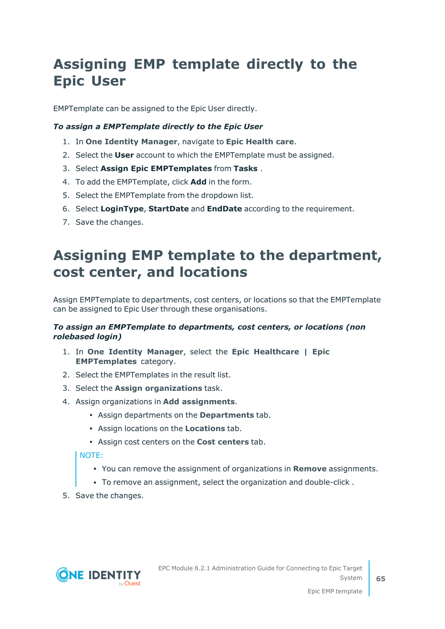# **Assigning EMP template directly to the Epic User**

EMPTemplate can be assigned to the Epic User directly.

#### *To assign a EMPTemplate directly to the Epic User*

- 1. In **One Identity Manager**, navigate to **Epic Health care**.
- 2. Select the **User** account to which the EMPTemplate must be assigned.
- 3. Select **Assign Epic EMPTemplates** from **Tasks** .
- 4. To add the EMPTemplate, click **Add** in the form.
- 5. Select the EMPTemplate from the dropdown list.
- 6. Select **LoginType**, **StartDate** and **EndDate** according to the requirement.
- 7. Save the changes.

# **Assigning EMP template to the department, cost center, and locations**

Assign EMPTemplate to departments, cost centers, or locations so that the EMPTemplate can be assigned to Epic User through these organisations.

#### *To assign an EMPTemplate to departments, cost centers, or locations (non rolebased login)*

- 1. In **One Identity Manager**, select the **Epic Healthcare | Epic EMPTemplates** category.
- 2. Select the EMPTemplates in the result list.
- 3. Select the **Assign organizations** task.
- 4. Assign organizations in **Add assignments**.
	- <sup>l</sup> Assign departments on the **Departments** tab.
	- **Assign locations on the Locations tab.**
	- <sup>l</sup> Assign cost centers on the **Cost centers** tab.

NOTE:

- <sup>l</sup> You can remove the assignment of organizations in **Remove** assignments.
- To remove an assignment, select the organization and double-click.
- 5. Save the changes.

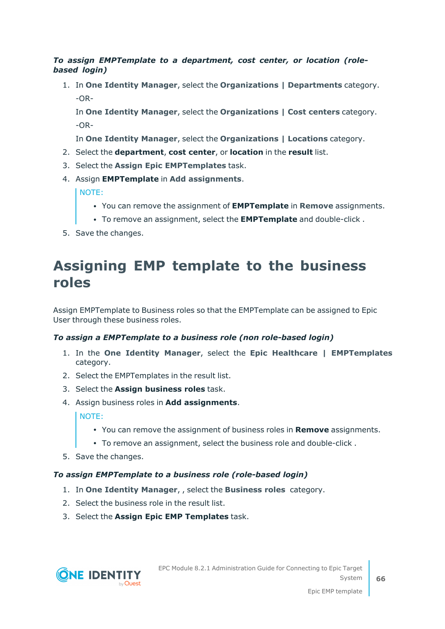#### *To assign EMPTemplate to a department, cost center, or location (rolebased login)*

1. In **One Identity Manager**, select the **Organizations | Departments** category.  $-OR-$ 

In **One Identity Manager**, select the **Organizations | Cost centers** category. -OR-

In **One Identity Manager**, select the **Organizations | Locations** category.

- 2. Select the **department**, **cost center**, or **location** in the **result** list.
- 3. Select the **Assign Epic EMPTemplates** task.
- 4. Assign **EMPTemplate** in **Add assignments**.

NOTE:

- <sup>l</sup> You can remove the assignment of **EMPTemplate** in **Remove** assignments.
- <sup>l</sup> To remove an assignment, select the **EMPTemplate** and double-click .
- 5. Save the changes.

### **Assigning EMP template to the business roles**

Assign EMPTemplate to Business roles so that the EMPTemplate can be assigned to Epic User through these business roles.

#### *To assign a EMPTemplate to a business role (non role-based login)*

- 1. In the **One Identity Manager**, select the **Epic Healthcare | EMPTemplates** category.
- 2. Select the EMPTemplates in the result list.
- 3. Select the **Assign business roles** task.
- 4. Assign business roles in **Add assignments**.

#### NOTE:

- <sup>l</sup> You can remove the assignment of business roles in **Remove** assignments.
- To remove an assignment, select the business role and double-click.
- 5. Save the changes.

#### *To assign EMPTemplate to a business role (role-based login)*

- 1. In **One Identity Manager**, , select the **Business roles** category.
- 2. Select the business role in the result list.
- 3. Select the **Assign Epic EMP Templates** task.

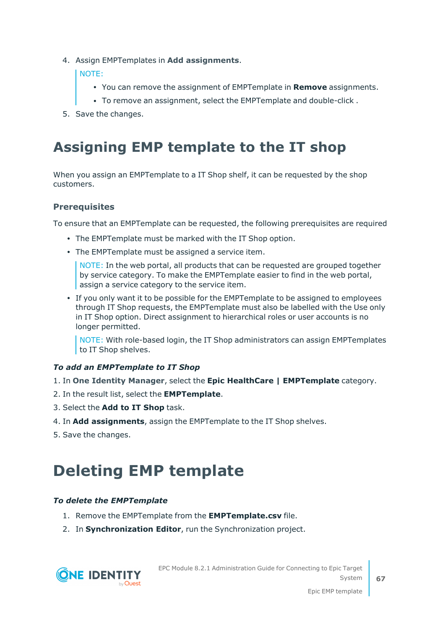4. Assign EMPTemplates in **Add assignments**.

NOTE:

- <sup>l</sup> You can remove the assignment of EMPTemplate in **Remove** assignments.
- To remove an assignment, select the EMPTemplate and double-click.
- 5. Save the changes.

# **Assigning EMP template to the IT shop**

When you assign an EMPTemplate to a IT Shop shelf, it can be requested by the shop customers.

#### **Prerequisites**

To ensure that an EMPTemplate can be requested, the following prerequisites are required

- The EMPTemplate must be marked with the IT Shop option.
- The EMPTemplate must be assigned a service item.

NOTE: In the web portal, all products that can be requested are grouped together by service category. To make the EMPTemplate easier to find in the web portal, assign a service category to the service item.

• If you only want it to be possible for the EMPTemplate to be assigned to employees through IT Shop requests, the EMPTemplate must also be labelled with the Use only in IT Shop option. Direct assignment to hierarchical roles or user accounts is no longer permitted.

NOTE: With role-based login, the IT Shop administrators can assign EMPTemplates to IT Shop shelves.

#### *To add an EMPTemplate to IT Shop*

- 1. In **One Identity Manager**, select the **Epic HealthCare | EMPTemplate** category.
- 2. In the result list, select the **EMPTemplate**.
- 3. Select the **Add to IT Shop** task.
- 4. In **Add assignments**, assign the EMPTemplate to the IT Shop shelves.
- 5. Save the changes.

# **Deleting EMP template**

#### *To delete the EMPTemplate*

- 1. Remove the EMPTemplate from the **EMPTemplate.csv** file.
- 2. In **Synchronization Editor**, run the Synchronization project.



EPC Module 8.2.1 Administration Guide for Connecting to Epic Target System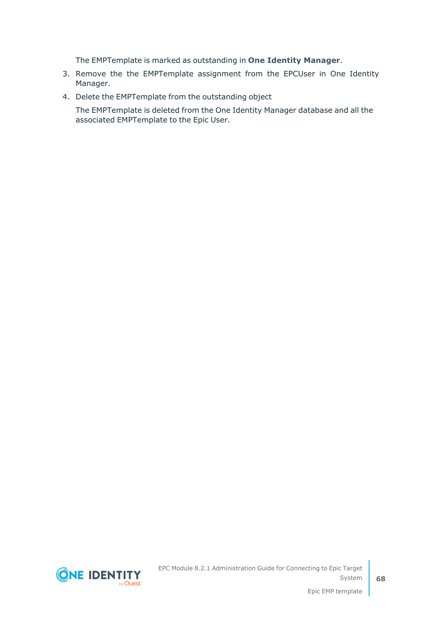The EMPTemplate is marked as outstanding in **One Identity Manager**.

- 3. Remove the the EMPTemplate assignment from the EPCUser in One Identity Manager.
- 4. Delete the EMPTemplate from the outstanding object

The EMPTemplate is deleted from the One Identity Manager database and all the associated EMPTemplate to the Epic User.



EPC Module 8.2.1 Administration Guide for Connecting to Epic Target System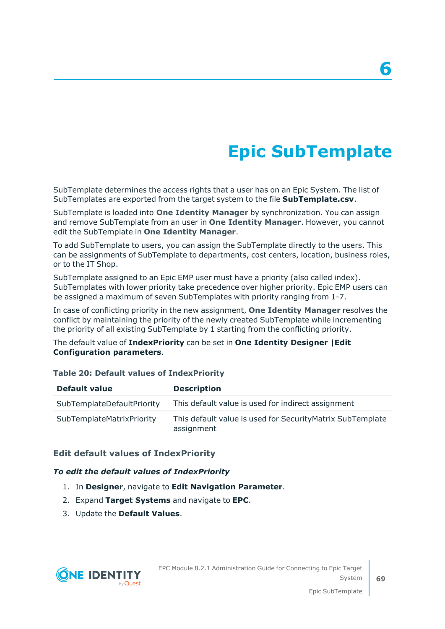# **Epic SubTemplate**

SubTemplate determines the access rights that a user has on an Epic System. The list of SubTemplates are exported from the target system to the file **SubTemplate.csv**.

SubTemplate is loaded into **One Identity Manager** by synchronization. You can assign and remove SubTemplate from an user in **One Identity Manager**. However, you cannot edit the SubTemplate in **One Identity Manager**.

To add SubTemplate to users, you can assign the SubTemplate directly to the users. This can be assignments of SubTemplate to departments, cost centers, location, business roles, or to the IT Shop.

SubTemplate assigned to an Epic EMP user must have a priority (also called index). SubTemplates with lower priority take precedence over higher priority. Epic EMP users can be assigned a maximum of seven SubTemplates with priority ranging from 1-7.

In case of conflicting priority in the new assignment, **One Identity Manager** resolves the conflict by maintaining the priority of the newly created SubTemplate while incrementing the priority of all existing SubTemplate by 1 starting from the conflicting priority.

The default value of **IndexPriority** can be set in **One Identity Designer |Edit Configuration parameters**.

#### **Table 20: Default values of IndexPriority**

| Default value                    | <b>Description</b>                                                       |
|----------------------------------|--------------------------------------------------------------------------|
| SubTemplateDefaultPriority       | This default value is used for indirect assignment                       |
| <b>SubTemplateMatrixPriority</b> | This default value is used for Security Matrix SubTemplate<br>assignment |

#### **Edit default values of IndexPriority**

#### *To edit the default values of IndexPriority*

- 1. In **Designer**, navigate to **Edit Navigation Parameter**.
- 2. Expand **Target Systems** and navigate to **EPC**.
- 3. Update the **Default Values**.

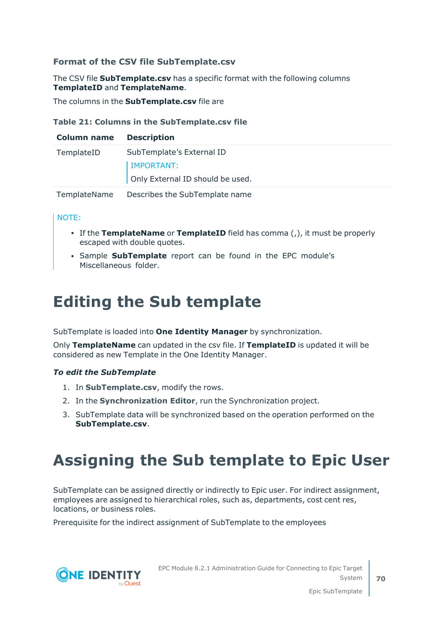#### **Format of the CSV file SubTemplate.csv**

The CSV file **SubTemplate.csv** has a specific format with the following columns **TemplateID** and **TemplateName**.

The columns in the **SubTemplate.csv** file are

#### **Table 21: Columns in the SubTemplate.csv file**

| <b>Column name</b> | <b>Description</b>               |
|--------------------|----------------------------------|
| TemplateID         | SubTemplate's External ID        |
|                    | <b>IMPORTANT:</b>                |
|                    | Only External ID should be used. |
| TemplateName       | Describes the SubTemplate name   |

#### NOTE:

- If the **TemplateName** or **TemplateID** field has comma (,), it must be properly escaped with double quotes.
- **· Sample SubTemplate** report can be found in the EPC module's Miscellaneous folder.

# **Editing the Sub template**

SubTemplate is loaded into **One Identity Manager** by synchronization.

Only **TemplateName** can updated in the csv file. If **TemplateID** is updated it will be considered as new Template in the One Identity Manager.

#### *To edit the SubTemplate*

- 1. In **SubTemplate.csv**, modify the rows.
- 2. In the **Synchronization Editor**, run the Synchronization project.
- 3. SubTemplate data will be synchronized based on the operation performed on the **SubTemplate.csv**.

# **Assigning the Sub template to Epic User**

SubTemplate can be assigned directly or indirectly to Epic user. For indirect assignment, employees are assigned to hierarchical roles, such as, departments, cost cent res, locations, or business roles.

Prerequisite for the indirect assignment of SubTemplate to the employees



EPC Module 8.2.1 Administration Guide for Connecting to Epic Target System

Epic SubTemplate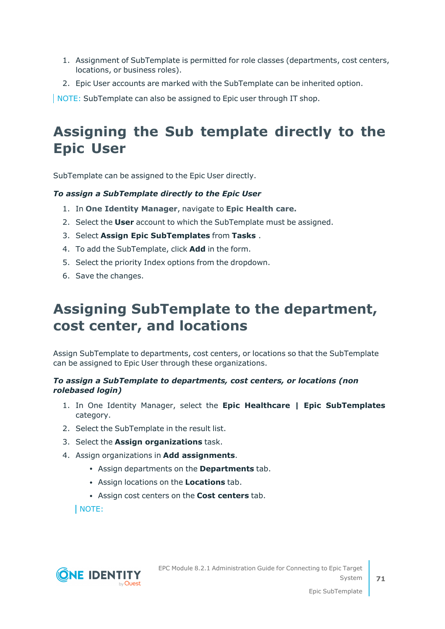- 1. Assignment of SubTemplate is permitted for role classes (departments, cost centers, locations, or business roles).
- 2. Epic User accounts are marked with the SubTemplate can be inherited option.

NOTE: SubTemplate can also be assigned to Epic user through IT shop.

# **Assigning the Sub template directly to the Epic User**

SubTemplate can be assigned to the Epic User directly.

#### *To assign a SubTemplate directly to the Epic User*

- 1. In **One Identity Manager**, navigate to **Epic Health care.**
- 2. Select the **User** account to which the SubTemplate must be assigned.
- 3. Select **Assign Epic SubTemplates** from **Tasks** .
- 4. To add the SubTemplate, click **Add** in the form.
- 5. Select the priority Index options from the dropdown.
- 6. Save the changes.

## **Assigning SubTemplate to the department, cost center, and locations**

Assign SubTemplate to departments, cost centers, or locations so that the SubTemplate can be assigned to Epic User through these organizations.

#### *To assign a SubTemplate to departments, cost centers, or locations (non rolebased login)*

- 1. In One Identity Manager, select the **Epic Healthcare | Epic SubTemplates** category.
- 2. Select the SubTemplate in the result list.
- 3. Select the **Assign organizations** task.
- 4. Assign organizations in **Add assignments**.
	- <sup>l</sup> Assign departments on the **Departments** tab.
	- <sup>l</sup> Assign locations on the **Locations** tab.
	- **.** Assign cost centers on the **Cost centers** tab.

NOTE:

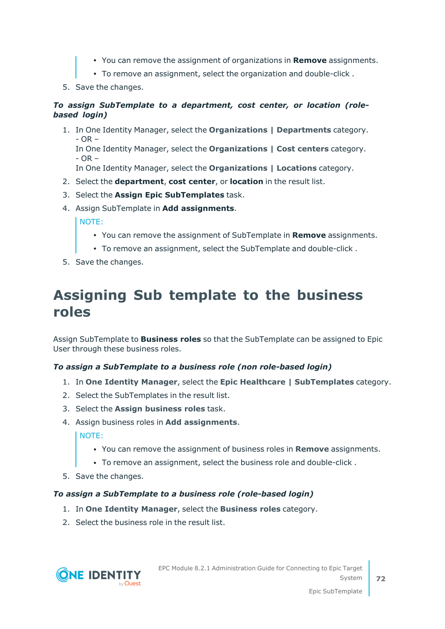- <sup>l</sup> You can remove the assignment of organizations in **Remove** assignments.
- To remove an assignment, select the organization and double-click.
- 5. Save the changes.

#### *To assign SubTemplate to a department, cost center, or location (rolebased login)*

1. In One Identity Manager, select the **Organizations | Departments** category.  $- OR -$ In One Identity Manager, select the **Organizations | Cost centers** category.  $- OR -$ 

In One Identity Manager, select the **Organizations | Locations** category.

- 2. Select the **department**, **cost center**, or **location** in the result list.
- 3. Select the **Assign Epic SubTemplates** task.
- 4. Assign SubTemplate in **Add assignments**.

NOTE:

- <sup>l</sup> You can remove the assignment of SubTemplate in **Remove** assignments.
- To remove an assignment, select the SubTemplate and double-click.
- 5. Save the changes.

### **Assigning Sub template to the business roles**

Assign SubTemplate to **Business roles** so that the SubTemplate can be assigned to Epic User through these business roles.

#### *To assign a SubTemplate to a business role (non role-based login)*

- 1. In **One Identity Manager**, select the **Epic Healthcare | SubTemplates** category.
- 2. Select the SubTemplates in the result list.
- 3. Select the **Assign business roles** task.
- 4. Assign business roles in **Add assignments**.

NOTE:

- <sup>l</sup> You can remove the assignment of business roles in **Remove** assignments.
- To remove an assignment, select the business role and double-click.
- 5. Save the changes.

#### *To assign a SubTemplate to a business role (role-based login)*

- 1. In **One Identity Manager**, select the **Business roles** category.
- 2. Select the business role in the result list.

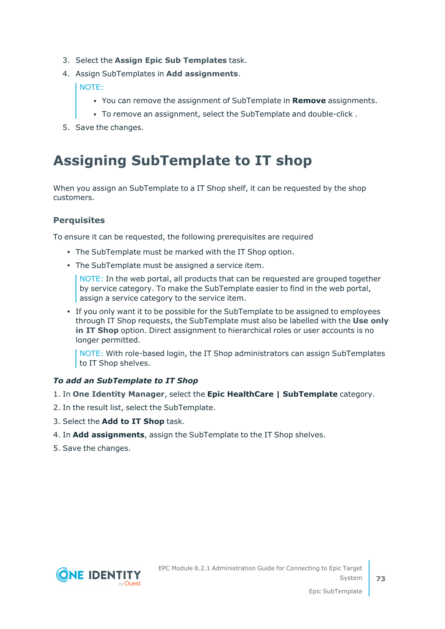- 3. Select the **Assign Epic Sub Templates** task.
- 4. Assign SubTemplates in **Add assignments**.

NOTE:

- <sup>l</sup> You can remove the assignment of SubTemplate in **Remove** assignments.
- To remove an assignment, select the SubTemplate and double-click.
- 5. Save the changes.

### **Assigning SubTemplate to IT shop**

When you assign an SubTemplate to a IT Shop shelf, it can be requested by the shop customers.

#### **Perquisites**

To ensure it can be requested, the following prerequisites are required

- The SubTemplate must be marked with the IT Shop option.
- The SubTemplate must be assigned a service item.

NOTE: In the web portal, all products that can be requested are grouped together by service category. To make the SubTemplate easier to find in the web portal, assign a service category to the service item.

• If you only want it to be possible for the SubTemplate to be assigned to employees through IT Shop requests, the SubTemplate must also be labelled with the **Use only in IT Shop** option. Direct assignment to hierarchical roles or user accounts is no longer permitted.

NOTE: With role-based login, the IT Shop administrators can assign SubTemplates to IT Shop shelves.

#### *To add an SubTemplate to IT Shop*

- 1. In **One Identity Manager**, select the **Epic HealthCare | SubTemplate** category.
- 2. In the result list, select the SubTemplate.
- 3. Select the **Add to IT Shop** task.
- 4. In **Add assignments**, assign the SubTemplate to the IT Shop shelves.
- 5. Save the changes.

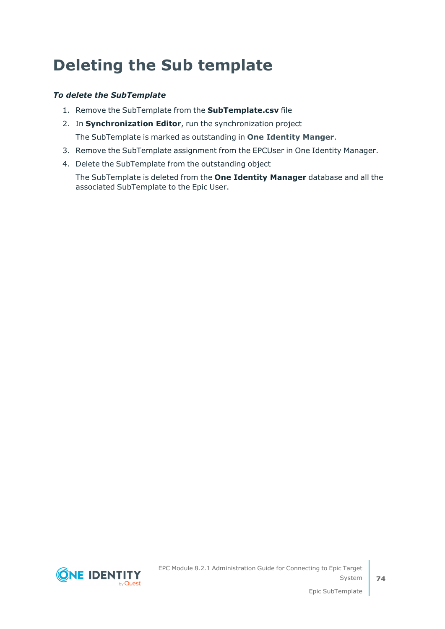## **Deleting the Sub template**

#### *To delete the SubTemplate*

- 1. Remove the SubTemplate from the **SubTemplate.csv** file
- 2. In **Synchronization Editor**, run the synchronization project The SubTemplate is marked as outstanding in **One Identity Manger**.
- 3. Remove the SubTemplate assignment from the EPCUser in One Identity Manager.
- 4. Delete the SubTemplate from the outstanding object

The SubTemplate is deleted from the **One Identity Manager** database and all the associated SubTemplate to the Epic User.

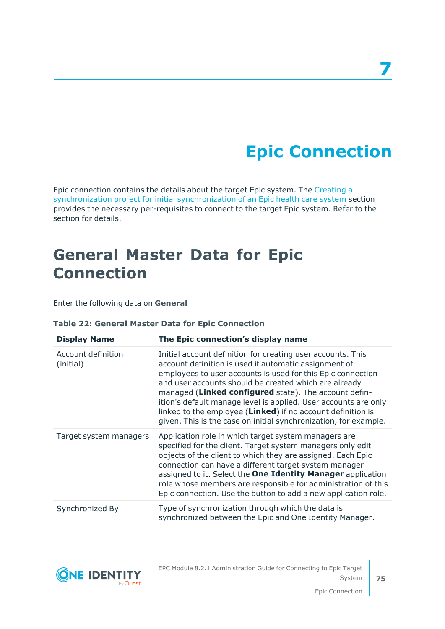# **Epic Connection**

Epic connection contains the details about the target Epic system. The [Creating](#page-12-0) a [synchronization](#page-12-0) project for initial synchronization of an Epic health care system section provides the necessary per-requisites to connect to the target Epic system. Refer to the section for details.

## **General Master Data for Epic Connection**

Enter the following data on **General**

#### **Table 22: General Master Data for Epic Connection**

| <b>Display Name</b>             | The Epic connection's display name                                                                                                                                                                                                                                                                                                                                                                                                                                                                          |
|---------------------------------|-------------------------------------------------------------------------------------------------------------------------------------------------------------------------------------------------------------------------------------------------------------------------------------------------------------------------------------------------------------------------------------------------------------------------------------------------------------------------------------------------------------|
| Account definition<br>(initial) | Initial account definition for creating user accounts. This<br>account definition is used if automatic assignment of<br>employees to user accounts is used for this Epic connection<br>and user accounts should be created which are already<br>managed (Linked configured state). The account defin-<br>ition's default manage level is applied. User accounts are only<br>linked to the employee (Linked) if no account definition is<br>given. This is the case on initial synchronization, for example. |
| Target system managers          | Application role in which target system managers are<br>specified for the client. Target system managers only edit<br>objects of the client to which they are assigned. Each Epic<br>connection can have a different target system manager<br>assigned to it. Select the One Identity Manager application<br>role whose members are responsible for administration of this<br>Epic connection. Use the button to add a new application role.                                                                |
| Synchronized By                 | Type of synchronization through which the data is<br>synchronized between the Epic and One Identity Manager.                                                                                                                                                                                                                                                                                                                                                                                                |



EPC Module 8.2.1 Administration Guide for Connecting to Epic Target System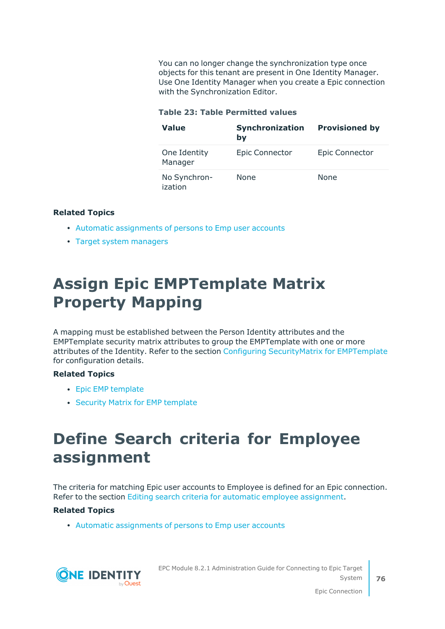You can no longer change the synchronization type once objects for this tenant are present in One Identity Manager. Use One Identity Manager when you create a Epic connection with the Synchronization Editor.

#### **Table 23: Table Permitted values**

| <b>Value</b>            | Synchronization<br>by | <b>Provisioned by</b> |
|-------------------------|-----------------------|-----------------------|
| One Identity<br>Manager | <b>Epic Connector</b> | <b>Epic Connector</b> |
| No Synchron-<br>ization | None                  | <b>None</b>           |

#### **Related Topics**

- Automatic [assignments](#page-91-0) of persons to Emp user accounts
- Target system [managers](#page-55-0)

## **Assign Epic EMPTemplate Matrix Property Mapping**

A mapping must be established between the Person Identity attributes and the EMPTemplate security matrix attributes to group the EMPTemplate with one or more attributes of the Identity. Refer to the section Configuring [SecurityMatrix](#page-98-0) for EMPTemplate for configuration details.

#### **Related Topics**

- Epic EMP [template](#page-62-0)
- Security Matrix for EMP [template](#page-98-1)

## **Define Search criteria for Employee assignment**

The criteria for matching Epic user accounts to Employee is defined for an Epic connection. Refer to the section Editing search criteria for automatic employee [assignment.](#page-93-0)

#### **Related Topics**

• Automatic [assignments](#page-91-0) of persons to Emp user accounts



EPC Module 8.2.1 Administration Guide for Connecting to Epic Target System

Epic Connection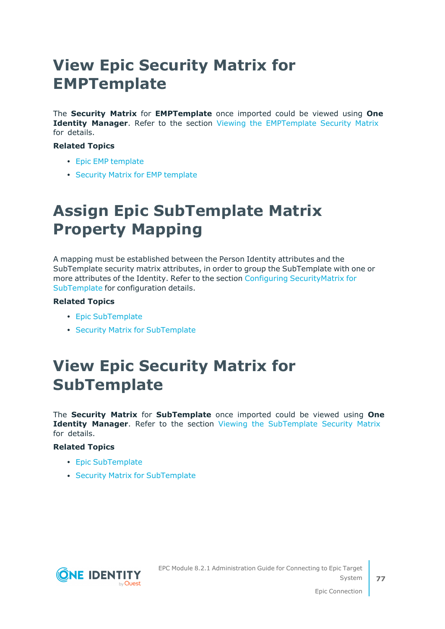## **View Epic Security Matrix for EMPTemplate**

The **Security Matrix** for **EMPTemplate** once imported could be viewed using **One Identity Manager**. Refer to the section Viewing the [EMPTemplate](#page-101-0) Security Matrix for details.

#### **Related Topics**

- Epic EMP [template](#page-62-0)
- Security Matrix for EMP [template](#page-98-1)

## **Assign Epic SubTemplate Matrix Property Mapping**

A mapping must be established between the Person Identity attributes and the SubTemplate security matrix attributes, in order to group the SubTemplate with one or more attributes of the Identity. Refer to the section Configuring [SecurityMatrix](#page-102-0) for [SubTemplate](#page-102-0) for configuration details.

#### **Related Topics**

- Epic [SubTemplate](#page-68-0)
- Security Matrix for [SubTemplate](#page-102-1)

## **View Epic Security Matrix for SubTemplate**

The **Security Matrix** for **SubTemplate** once imported could be viewed using **One Identity Manager**. Refer to the section Viewing the [SubTemplate](#page-105-0) Security Matrix for details.

#### **Related Topics**

- Epic [SubTemplate](#page-68-0)
- Security Matrix for [SubTemplate](#page-102-1)

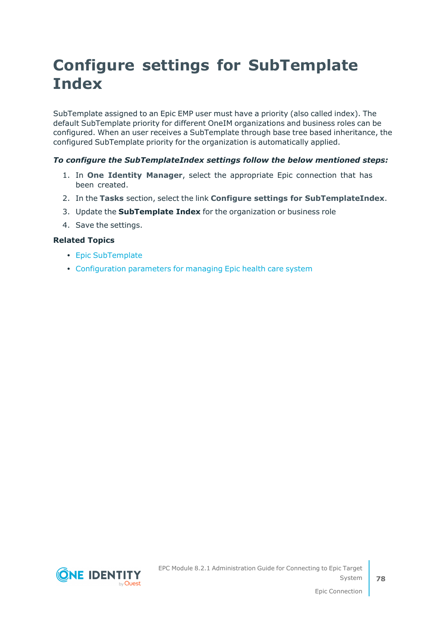## **Configure settings for SubTemplate Index**

SubTemplate assigned to an Epic EMP user must have a priority (also called index). The default SubTemplate priority for different OneIM organizations and business roles can be configured. When an user receives a SubTemplate through base tree based inheritance, the configured SubTemplate priority for the organization is automatically applied.

#### *To configure the SubTemplateIndex settings follow the below mentioned steps:*

- 1. In **One Identity Manager**, select the appropriate Epic connection that has been created.
- 2. In the **Tasks** section, select the link **Configure settings for SubTemplateIndex**.
- 3. Update the **SubTemplate Index** for the organization or business role
- 4. Save the settings.

#### **Related Topics**

- Epic [SubTemplate](#page-68-0)
- [Configuration](#page-106-0) parameters for managing Epic health care system

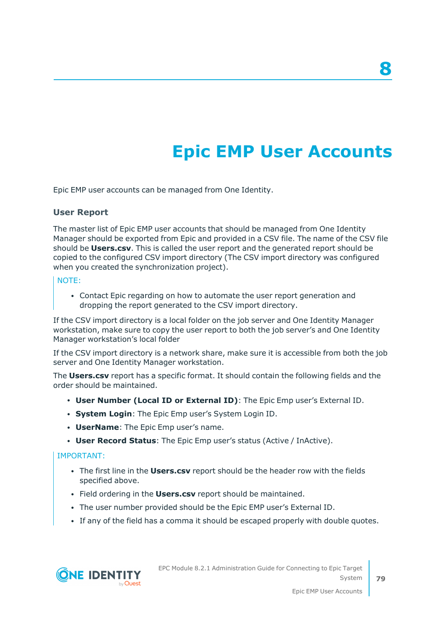# **Epic EMP User Accounts**

Epic EMP user accounts can be managed from One Identity.

#### **User Report**

The master list of Epic EMP user accounts that should be managed from One Identity Manager should be exported from Epic and provided in a CSV file. The name of the CSV file should be **Users.csv**. This is called the user report and the generated report should be copied to the configured CSV import directory (The CSV import directory was configured when you created the synchronization project).

#### NOTE:

• Contact Epic regarding on how to automate the user report generation and dropping the report generated to the CSV import directory.

If the CSV import directory is a local folder on the job server and One Identity Manager workstation, make sure to copy the user report to both the job server's and One Identity Manager workstation's local folder

If the CSV import directory is a network share, make sure it is accessible from both the job server and One Identity Manager workstation.

The **Users.csv** report has a specific format. It should contain the following fields and the order should be maintained.

- <sup>l</sup> **User Number (Local ID or External ID)**: The Epic Emp user's External ID.
- **System Login:** The Epic Emp user's System Login ID.
- **UserName:** The Epic Emp user's name.
- <sup>l</sup> **User Record Status**: The Epic Emp user's status (Active / InActive).

#### IMPORTANT:

- **•** The first line in the **Users.csv** report should be the header row with the fields specified above.
- **Field ordering in the Users.csv report should be maintained.**
- The user number provided should be the Epic EMP user's External ID.
- If any of the field has a comma it should be escaped properly with double quotes.



**8**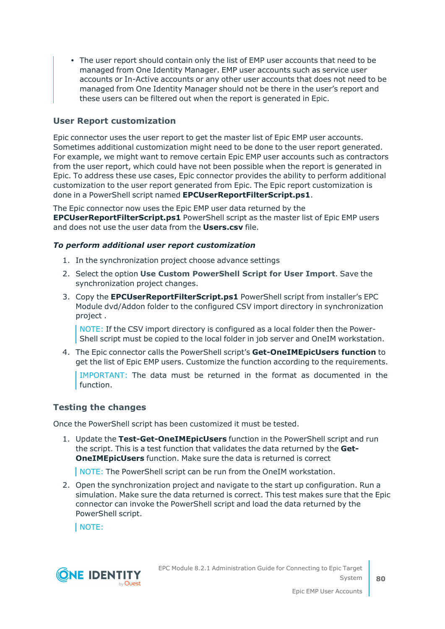• The user report should contain only the list of EMP user accounts that need to be managed from One Identity Manager. EMP user accounts such as service user accounts or In-Active accounts or any other user accounts that does not need to be managed from One Identity Manager should not be there in the user's report and these users can be filtered out when the report is generated in Epic.

#### **User Report customization**

Epic connector uses the user report to get the master list of Epic EMP user accounts. Sometimes additional customization might need to be done to the user report generated. For example, we might want to remove certain Epic EMP user accounts such as contractors from the user report, which could have not been possible when the report is generated in Epic. To address these use cases, Epic connector provides the ability to perform additional customization to the user report generated from Epic. The Epic report customization is done in a PowerShell script named **EPCUserReportFilterScript.ps1**.

The Epic connector now uses the Epic EMP user data returned by the **EPCUserReportFilterScript.ps1** PowerShell script as the master list of Epic EMP users and does not use the user data from the **Users.csv** file.

#### *To perform additional user report customization*

- 1. In the synchronization project choose advance settings
- 2. Select the option **Use Custom PowerShell Script for User Import**. Save the synchronization project changes.
- 3. Copy the **EPCUserReportFilterScript.ps1** PowerShell script from installer's EPC Module dvd/Addon folder to the configured CSV import directory in synchronization project .

NOTE: If the CSV import directory is configured as a local folder then the Power-Shell script must be copied to the local folder in job server and OneIM workstation.

4. The Epic connector calls the PowerShell script's **Get-OneIMEpicUsers function** to get the list of Epic EMP users. Customize the function according to the requirements.

IMPORTANT: The data must be returned in the format as documented in the function.

#### **Testing the changes**

Once the PowerShell script has been customized it must be tested.

1. Update the **Test-Get-OneIMEpicUsers** function in the PowerShell script and run the script. This is a test function that validates the data returned by the **Get-OneIMEpicUsers** function. Make sure the data is returned is correct

NOTE: The PowerShell script can be run from the OneIM workstation.

2. Open the synchronization project and navigate to the start up configuration. Run a simulation. Make sure the data returned is correct. This test makes sure that the Epic connector can invoke the PowerShell script and load the data returned by the PowerShell script.

NOTE:

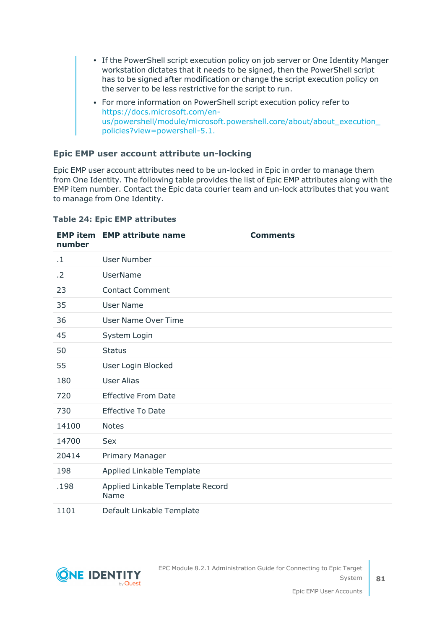- If the PowerShell script execution policy on job server or One Identity Manger workstation dictates that it needs to be signed, then the PowerShell script has to be signed after modification or change the script execution policy on the server to be less restrictive for the script to run.
- For more information on PowerShell script execution policy refer to [https://docs.microsoft.com/en](https://docs.microsoft.com/en-us/powershell/module/microsoft.powershell.core/about/about_execution_policies?view=powershell-5.1)[us/powershell/module/microsoft.powershell.core/about/about\\_execution\\_](https://docs.microsoft.com/en-us/powershell/module/microsoft.powershell.core/about/about_execution_policies?view=powershell-5.1) [policies?view=powershell-5.1.](https://docs.microsoft.com/en-us/powershell/module/microsoft.powershell.core/about/about_execution_policies?view=powershell-5.1)

#### **Epic EMP user account attribute un-locking**

Epic EMP user account attributes need to be un-locked in Epic in order to manage them from One Identity. The following table provides the list of Epic EMP attributes along with the EMP item number. Contact the Epic data courier team and un-lock attributes that you want to manage from One Identity.

| number    | <b>EMP item EMP attribute name</b>       | <b>Comments</b> |
|-----------|------------------------------------------|-----------------|
| $\cdot$ 1 | <b>User Number</b>                       |                 |
| .2        | <b>UserName</b>                          |                 |
| 23        | <b>Contact Comment</b>                   |                 |
| 35        | <b>User Name</b>                         |                 |
| 36        | <b>User Name Over Time</b>               |                 |
| 45        | System Login                             |                 |
| 50        | <b>Status</b>                            |                 |
| 55        | User Login Blocked                       |                 |
| 180       | <b>User Alias</b>                        |                 |
| 720       | <b>Effective From Date</b>               |                 |
| 730       | <b>Effective To Date</b>                 |                 |
| 14100     | <b>Notes</b>                             |                 |
| 14700     | <b>Sex</b>                               |                 |
| 20414     | Primary Manager                          |                 |
| 198       | Applied Linkable Template                |                 |
| .198      | Applied Linkable Template Record<br>Name |                 |
| 1101      | Default Linkable Template                |                 |

#### **Table 24: Epic EMP attributes**

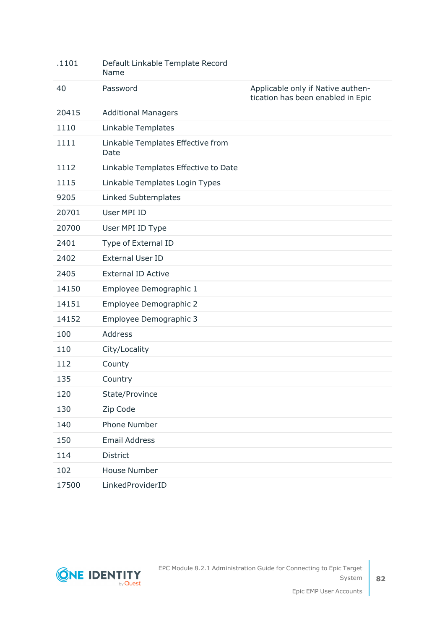| .1101 | Default Linkable Template Record<br>Name  |                                                                        |
|-------|-------------------------------------------|------------------------------------------------------------------------|
| 40    | Password                                  | Applicable only if Native authen-<br>tication has been enabled in Epic |
| 20415 | <b>Additional Managers</b>                |                                                                        |
| 1110  | Linkable Templates                        |                                                                        |
| 1111  | Linkable Templates Effective from<br>Date |                                                                        |
| 1112  | Linkable Templates Effective to Date      |                                                                        |
| 1115  | Linkable Templates Login Types            |                                                                        |
| 9205  | Linked Subtemplates                       |                                                                        |
| 20701 | User MPI ID                               |                                                                        |
| 20700 | User MPI ID Type                          |                                                                        |
| 2401  | Type of External ID                       |                                                                        |
| 2402  | <b>External User ID</b>                   |                                                                        |
| 2405  | <b>External ID Active</b>                 |                                                                        |
| 14150 | Employee Demographic 1                    |                                                                        |
| 14151 | Employee Demographic 2                    |                                                                        |
| 14152 | Employee Demographic 3                    |                                                                        |
| 100   | Address                                   |                                                                        |
| 110   | City/Locality                             |                                                                        |
| 112   | County                                    |                                                                        |
| 135   | Country                                   |                                                                        |
| 120   | State/Province                            |                                                                        |
| 130   | Zip Code                                  |                                                                        |
| 140   | <b>Phone Number</b>                       |                                                                        |
| 150   | <b>Email Address</b>                      |                                                                        |
| 114   | District                                  |                                                                        |
| 102   | <b>House Number</b>                       |                                                                        |
| 17500 | LinkedProviderID                          |                                                                        |

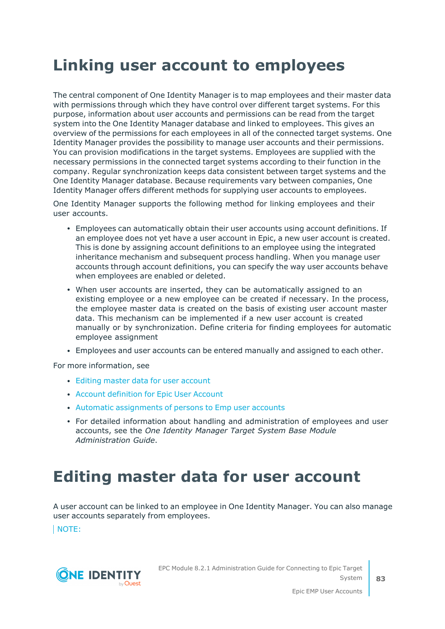## <span id="page-82-1"></span>**Linking user account to employees**

The central component of One Identity Manager is to map employees and their master data with permissions through which they have control over different target systems. For this purpose, information about user accounts and permissions can be read from the target system into the One Identity Manager database and linked to employees. This gives an overview of the permissions for each employees in all of the connected target systems. One Identity Manager provides the possibility to manage user accounts and their permissions. You can provision modifications in the target systems. Employees are supplied with the necessary permissions in the connected target systems according to their function in the company. Regular synchronization keeps data consistent between target systems and the One Identity Manager database. Because requirements vary between companies, One Identity Manager offers different methods for supplying user accounts to employees.

One Identity Manager supports the following method for linking employees and their user accounts.

- Employees can automatically obtain their user accounts using account definitions. If an employee does not yet have a user account in Epic, a new user account is created. This is done by assigning account definitions to an employee using the integrated inheritance mechanism and subsequent process handling. When you manage user accounts through account definitions, you can specify the way user accounts behave when employees are enabled or deleted.
- When user accounts are inserted, they can be automatically assigned to an existing employee or a new employee can be created if necessary. In the process, the employee master data is created on the basis of existing user account master data. This mechanism can be implemented if a new user account is created manually or by synchronization. Define criteria for finding employees for automatic employee assignment
- <sup>l</sup> Employees and user accounts can be entered manually and assigned to each other.

For more information, see

- Editing master data for user [account](#page-82-0)
- Account [definition](#page-28-0) for Epic User Account
- Automatic [assignments](#page-91-0) of persons to Emp user accounts
- <sup>l</sup> For detailed information about handling and administration of employees and user accounts, see the *One Identity Manager Target System Base Module Administration Guide*.

## <span id="page-82-0"></span>**Editing master data for user account**

A user account can be linked to an employee in One Identity Manager. You can also manage user accounts separately from employees.

NOTE:

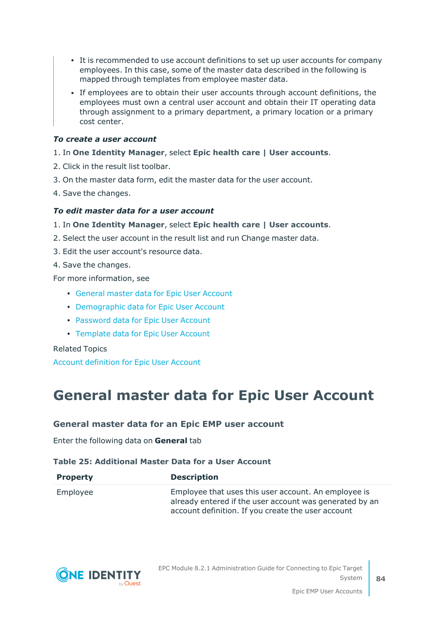- It is recommended to use account definitions to set up user accounts for company employees. In this case, some of the master data described in the following is mapped through templates from employee master data.
- If employees are to obtain their user accounts through account definitions, the employees must own a central user account and obtain their IT operating data through assignment to a primary department, a primary location or a primary cost center.

#### *To create a user account*

#### 1. In **One Identity Manager**, select **Epic health care | User accounts**.

- 2. Click in the result list toolbar.
- 3. On the master data form, edit the master data for the user account.
- 4. Save the changes.

#### *To edit master data for a user account*

#### 1. In **One Identity Manager**, select **Epic health care | User accounts**.

- 2. Select the user account in the result list and run Change master data.
- 3. Edit the user account's resource data.
- 4. Save the changes.

For more information, see

- General master data for Epic User [Account](#page-83-0)
- [Demographic](#page-86-0) data for Epic User Account
- [Password](#page-87-0) data for Epic User Account
- [Template](#page-88-0) data for Epic User Account

Related Topics

<span id="page-83-0"></span>Account [definition](#page-28-0) for Epic User Account

### **General master data for Epic User Account**

#### **General master data for an Epic EMP user account**

Enter the following data on **General** tab

#### **Table 25: Additional Master Data for a User Account**

| <b>Property</b> | <b>Description</b>                                                                                                                                                    |
|-----------------|-----------------------------------------------------------------------------------------------------------------------------------------------------------------------|
| Employee        | Employee that uses this user account. An employee is<br>already entered if the user account was generated by an<br>account definition. If you create the user account |

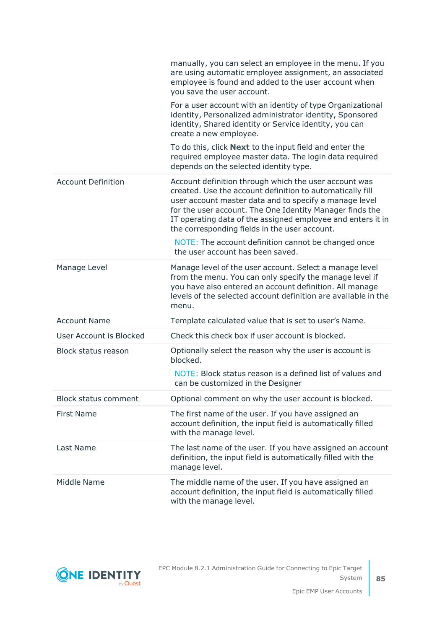|                                | manually, you can select an employee in the menu. If you<br>are using automatic employee assignment, an associated<br>employee is found and added to the user account when<br>you save the user account.                                                                                                                                                 |
|--------------------------------|----------------------------------------------------------------------------------------------------------------------------------------------------------------------------------------------------------------------------------------------------------------------------------------------------------------------------------------------------------|
|                                | For a user account with an identity of type Organizational<br>identity, Personalized administrator identity, Sponsored<br>identity, Shared identity or Service identity, you can<br>create a new employee.                                                                                                                                               |
|                                | To do this, click <b>Next</b> to the input field and enter the<br>required employee master data. The login data required<br>depends on the selected identity type.                                                                                                                                                                                       |
| <b>Account Definition</b>      | Account definition through which the user account was<br>created. Use the account definition to automatically fill<br>user account master data and to specify a manage level<br>for the user account. The One Identity Manager finds the<br>IT operating data of the assigned employee and enters it in<br>the corresponding fields in the user account. |
|                                | NOTE: The account definition cannot be changed once<br>the user account has been saved.                                                                                                                                                                                                                                                                  |
| Manage Level                   | Manage level of the user account. Select a manage level<br>from the menu. You can only specify the manage level if<br>you have also entered an account definition. All manage<br>levels of the selected account definition are available in the<br>menu.                                                                                                 |
| <b>Account Name</b>            | Template calculated value that is set to user's Name.                                                                                                                                                                                                                                                                                                    |
| <b>User Account is Blocked</b> | Check this check box if user account is blocked.                                                                                                                                                                                                                                                                                                         |
| <b>Block status reason</b>     | Optionally select the reason why the user is account is<br>blocked.                                                                                                                                                                                                                                                                                      |
|                                | NOTE: Block status reason is a defined list of values and<br>can be customized in the Designer                                                                                                                                                                                                                                                           |
| <b>Block status comment</b>    | Optional comment on why the user account is blocked.                                                                                                                                                                                                                                                                                                     |
| <b>First Name</b>              | The first name of the user. If you have assigned an<br>account definition, the input field is automatically filled<br>with the manage level.                                                                                                                                                                                                             |
| Last Name                      | The last name of the user. If you have assigned an account<br>definition, the input field is automatically filled with the<br>manage level.                                                                                                                                                                                                              |
| Middle Name                    | The middle name of the user. If you have assigned an<br>account definition, the input field is automatically filled<br>with the manage level.                                                                                                                                                                                                            |



**85**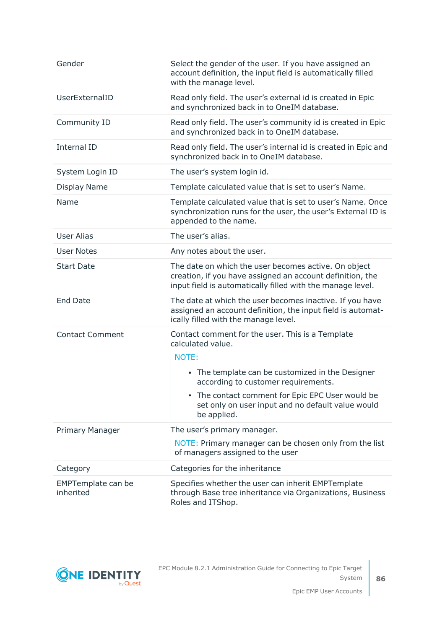| Gender                                 | Select the gender of the user. If you have assigned an<br>account definition, the input field is automatically filled<br>with the manage level.                                                                                                                                                   |
|----------------------------------------|---------------------------------------------------------------------------------------------------------------------------------------------------------------------------------------------------------------------------------------------------------------------------------------------------|
| UserExternalID                         | Read only field. The user's external id is created in Epic<br>and synchronized back in to OneIM database.                                                                                                                                                                                         |
| Community ID                           | Read only field. The user's community id is created in Epic<br>and synchronized back in to OneIM database.                                                                                                                                                                                        |
| Internal ID                            | Read only field. The user's internal id is created in Epic and<br>synchronized back in to OneIM database.                                                                                                                                                                                         |
| System Login ID                        | The user's system login id.                                                                                                                                                                                                                                                                       |
| <b>Display Name</b>                    | Template calculated value that is set to user's Name.                                                                                                                                                                                                                                             |
| Name                                   | Template calculated value that is set to user's Name. Once<br>synchronization runs for the user, the user's External ID is<br>appended to the name.                                                                                                                                               |
| User Alias                             | The user's alias.                                                                                                                                                                                                                                                                                 |
| <b>User Notes</b>                      | Any notes about the user.                                                                                                                                                                                                                                                                         |
| <b>Start Date</b>                      | The date on which the user becomes active. On object<br>creation, if you have assigned an account definition, the<br>input field is automatically filled with the manage level.                                                                                                                   |
| <b>End Date</b>                        | The date at which the user becomes inactive. If you have<br>assigned an account definition, the input field is automat-<br>ically filled with the manage level.                                                                                                                                   |
| <b>Contact Comment</b>                 | Contact comment for the user. This is a Template<br>calculated value.<br>NOTE:<br>• The template can be customized in the Designer<br>according to customer requirements.<br>• The contact comment for Epic EPC User would be<br>set only on user input and no default value would<br>be applied. |
| Primary Manager                        | The user's primary manager.                                                                                                                                                                                                                                                                       |
|                                        | NOTE: Primary manager can be chosen only from the list<br>of managers assigned to the user                                                                                                                                                                                                        |
| Category                               | Categories for the inheritance                                                                                                                                                                                                                                                                    |
| <b>EMPTemplate can be</b><br>inherited | Specifies whether the user can inherit EMPTemplate<br>through Base tree inheritance via Organizations, Business<br>Roles and ITShop.                                                                                                                                                              |

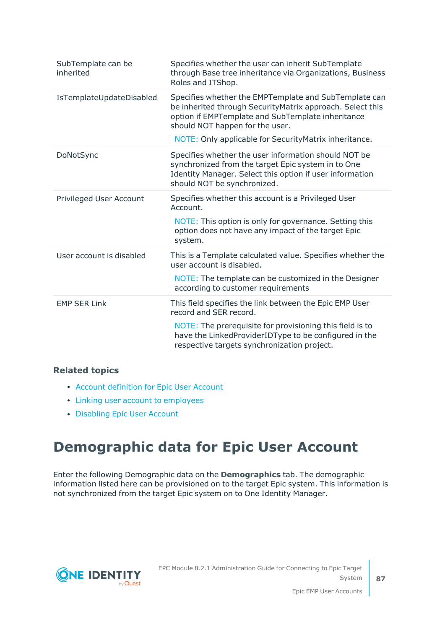| SubTemplate can be<br>inherited | Specifies whether the user can inherit SubTemplate<br>through Base tree inheritance via Organizations, Business<br>Roles and ITShop.                                                                                                                                 |
|---------------------------------|----------------------------------------------------------------------------------------------------------------------------------------------------------------------------------------------------------------------------------------------------------------------|
| IsTemplateUpdateDisabled        | Specifies whether the EMPTemplate and SubTemplate can<br>be inherited through SecurityMatrix approach. Select this<br>option if EMPTemplate and SubTemplate inheritance<br>should NOT happen for the user.<br>NOTE: Only applicable for Security Matrix inheritance. |
| DoNotSync                       | Specifies whether the user information should NOT be<br>synchronized from the target Epic system in to One<br>Identity Manager. Select this option if user information<br>should NOT be synchronized.                                                                |
| <b>Privileged User Account</b>  | Specifies whether this account is a Privileged User<br>Account.<br>NOTE: This option is only for governance. Setting this<br>option does not have any impact of the target Epic<br>system.                                                                           |
| User account is disabled        | This is a Template calculated value. Specifies whether the<br>user account is disabled.<br>NOTE: The template can be customized in the Designer<br>according to customer requirements                                                                                |
| <b>EMP SER Link</b>             | This field specifies the link between the Epic EMP User<br>record and SER record.<br>NOTE: The prerequisite for provisioning this field is to<br>have the LinkedProviderIDType to be configured in the<br>respective targets synchronization project.                |

#### **Related topics**

- Account [definition](#page-28-0) for Epic User Account
- Linking user account to [employees](#page-82-1)
- [Disabling](#page-95-0) Epic User Account

## <span id="page-86-0"></span>**Demographic data for Epic User Account**

Enter the following Demographic data on the **Demographics** tab. The demographic information listed here can be provisioned on to the target Epic system. This information is not synchronized from the target Epic system on to One Identity Manager.

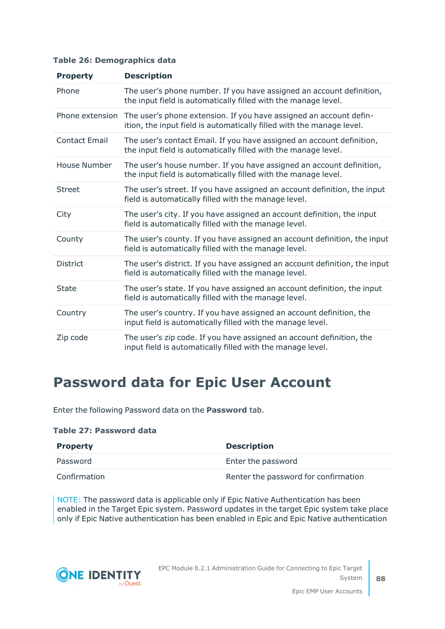|  | Table 26: Demographics data |  |  |
|--|-----------------------------|--|--|
|--|-----------------------------|--|--|

| <b>Property</b>      | <b>Description</b>                                                                                                                          |
|----------------------|---------------------------------------------------------------------------------------------------------------------------------------------|
| Phone                | The user's phone number. If you have assigned an account definition,<br>the input field is automatically filled with the manage level.      |
| Phone extension      | The user's phone extension. If you have assigned an account defin-<br>ition, the input field is automatically filled with the manage level. |
| <b>Contact Email</b> | The user's contact Email. If you have assigned an account definition,<br>the input field is automatically filled with the manage level.     |
| House Number         | The user's house number. If you have assigned an account definition,<br>the input field is automatically filled with the manage level.      |
| <b>Street</b>        | The user's street. If you have assigned an account definition, the input<br>field is automatically filled with the manage level.            |
| City                 | The user's city. If you have assigned an account definition, the input<br>field is automatically filled with the manage level.              |
| County               | The user's county. If you have assigned an account definition, the input<br>field is automatically filled with the manage level.            |
| <b>District</b>      | The user's district. If you have assigned an account definition, the input<br>field is automatically filled with the manage level.          |
| <b>State</b>         | The user's state. If you have assigned an account definition, the input<br>field is automatically filled with the manage level.             |
| Country              | The user's country. If you have assigned an account definition, the<br>input field is automatically filled with the manage level.           |
| Zip code             | The user's zip code. If you have assigned an account definition, the<br>input field is automatically filled with the manage level.          |

## <span id="page-87-0"></span>**Password data for Epic User Account**

Enter the following Password data on the **Password** tab.

#### **Table 27: Password data**

| <b>Property</b> | <b>Description</b>                   |
|-----------------|--------------------------------------|
| Password        | Enter the password                   |
| Confirmation    | Renter the password for confirmation |

NOTE: The password data is applicable only if Epic Native Authentication has been enabled in the Target Epic system. Password updates in the target Epic system take place only if Epic Native authentication has been enabled in Epic and Epic Native authentication

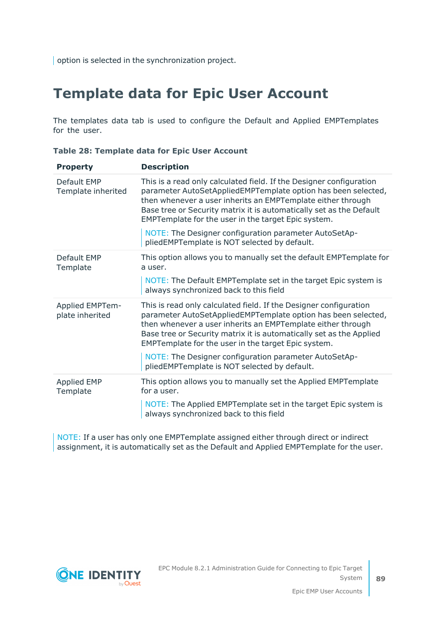<span id="page-88-0"></span>option is selected in the synchronization project.

## **Template data for Epic User Account**

The templates data tab is used to configure the Default and Applied EMPTemplates for the user.

| <b>Property</b>                           | <b>Description</b>                                                                                                                                                                                                                                                                                                                |
|-------------------------------------------|-----------------------------------------------------------------------------------------------------------------------------------------------------------------------------------------------------------------------------------------------------------------------------------------------------------------------------------|
| Default EMP<br>Template inherited         | This is a read only calculated field. If the Designer configuration<br>parameter AutoSetAppliedEMPTemplate option has been selected,<br>then whenever a user inherits an EMPTemplate either through<br>Base tree or Security matrix it is automatically set as the Default<br>EMPTemplate for the user in the target Epic system. |
|                                           | NOTE: The Designer configuration parameter AutoSetAp-<br>pliedEMPTemplate is NOT selected by default.                                                                                                                                                                                                                             |
| Default EMP<br>Template                   | This option allows you to manually set the default EMPTemplate for<br>a user.                                                                                                                                                                                                                                                     |
|                                           | NOTE: The Default EMPTemplate set in the target Epic system is<br>always synchronized back to this field                                                                                                                                                                                                                          |
| <b>Applied EMPTem-</b><br>plate inherited | This is read only calculated field. If the Designer configuration<br>parameter AutoSetAppliedEMPTemplate option has been selected,<br>then whenever a user inherits an EMPTemplate either through<br>Base tree or Security matrix it is automatically set as the Applied<br>EMPTemplate for the user in the target Epic system.   |
|                                           | NOTE: The Designer configuration parameter AutoSetAp-<br>pliedEMPTemplate is NOT selected by default.                                                                                                                                                                                                                             |
| <b>Applied EMP</b><br>Template            | This option allows you to manually set the Applied EMPTemplate<br>for a user.                                                                                                                                                                                                                                                     |
|                                           | NOTE: The Applied EMPTemplate set in the target Epic system is<br>always synchronized back to this field                                                                                                                                                                                                                          |

**Table 28: Template data for Epic User Account**

NOTE: If a user has only one EMPTemplate assigned either through direct or indirect assignment, it is automatically set as the Default and Applied EMPTemplate for the user.

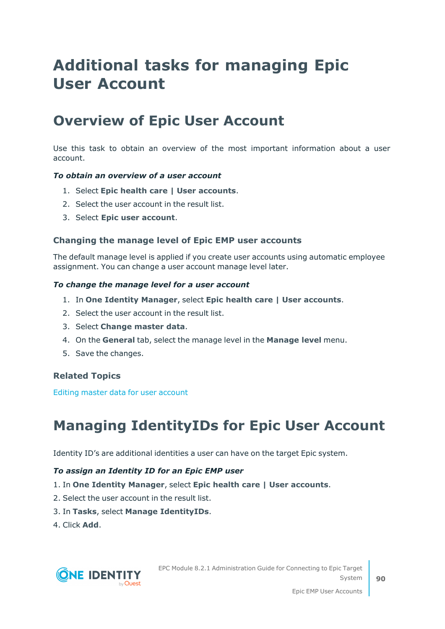## **Additional tasks for managing Epic User Account**

### **Overview of Epic User Account**

Use this task to obtain an overview of the most important information about a user account.

#### *To obtain an overview of a user account*

- 1. Select **Epic health care | User accounts**.
- 2. Select the user account in the result list.
- 3. Select **Epic user account**.

#### **Changing the manage level of Epic EMP user accounts**

The default manage level is applied if you create user accounts using automatic employee assignment. You can change a user account manage level later.

#### *To change the manage level for a user account*

- 1. In **One Identity Manager**, select **Epic health care | User accounts**.
- 2. Select the user account in the result list.
- 3. Select **Change master data**.
- 4. On the **General** tab, select the manage level in the **Manage level** menu.
- 5. Save the changes.

#### **Related Topics**

Editing master data for user [account](#page-82-0)

## **Managing IdentityIDs for Epic User Account**

Identity ID's are additional identities a user can have on the target Epic system.

#### *To assign an Identity ID for an Epic EMP user*

- 1. In **One Identity Manager**, select **Epic health care | User accounts**.
- 2. Select the user account in the result list.
- 3. In **Tasks**, select **Manage IdentityIDs**.
- 4. Click **Add**.

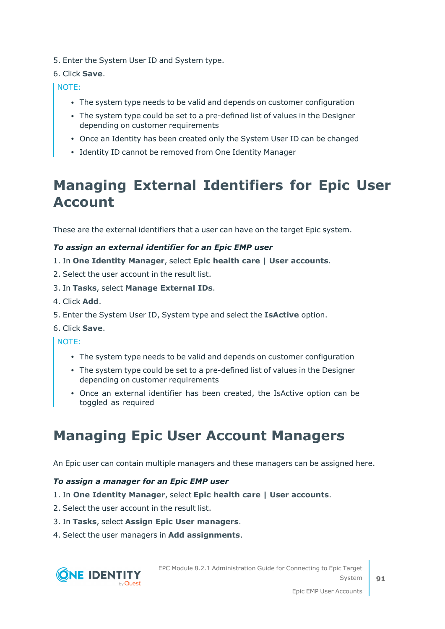5. Enter the System User ID and System type.

#### 6. Click **Save**.

NOTE:

- The system type needs to be valid and depends on customer configuration
- The system type could be set to a pre-defined list of values in the Designer depending on customer requirements
- Once an Identity has been created only the System User ID can be changed
- Identity ID cannot be removed from One Identity Manager

## **Managing External Identifiers for Epic User Account**

These are the external identifiers that a user can have on the target Epic system.

#### *To assign an external identifier for an Epic EMP user*

- 1. In **One Identity Manager**, select **Epic health care | User accounts**.
- 2. Select the user account in the result list.
- 3. In **Tasks**, select **Manage External IDs**.
- 4. Click **Add**.
- 5. Enter the System User ID, System type and select the **IsActive** option.
- 6. Click **Save**.

NOTE:

- The system type needs to be valid and depends on customer configuration
- The system type could be set to a pre-defined list of values in the Designer depending on customer requirements
- Once an external identifier has been created, the IsActive option can be toggled as required

## **Managing Epic User Account Managers**

An Epic user can contain multiple managers and these managers can be assigned here.

#### *To assign a manager for an Epic EMP user*

- 1. In **One Identity Manager**, select **Epic health care | User accounts**.
- 2. Select the user account in the result list.
- 3. In **Tasks**, select **Assign Epic User managers**.
- 4. Select the user managers in **Add assignments**.



EPC Module 8.2.1 Administration Guide for Connecting to Epic Target System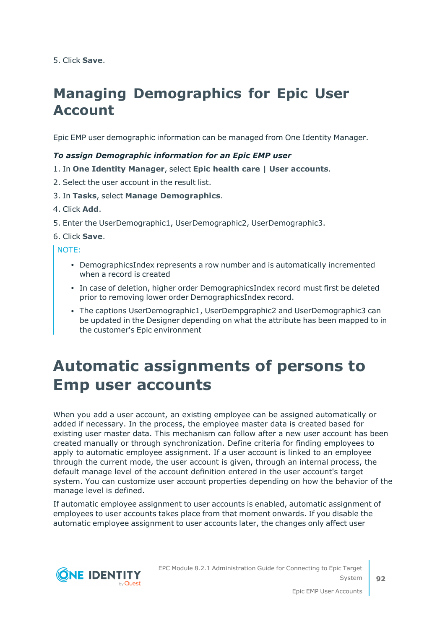5. Click **Save**.

## **Managing Demographics for Epic User Account**

Epic EMP user demographic information can be managed from One Identity Manager.

#### *To assign Demographic information for an Epic EMP user*

- 1. In **One Identity Manager**, select **Epic health care | User accounts**.
- 2. Select the user account in the result list.
- 3. In **Tasks**, select **Manage Demographics**.
- 4. Click **Add**.
- 5. Enter the UserDemographic1, UserDemographic2, UserDemographic3.

6. Click **Save**.

#### NOTE:

- DemographicsIndex represents a row number and is automatically incremented when a record is created
- In case of deletion, higher order DemographicsIndex record must first be deleted prior to removing lower order DemographicsIndex record.
- <sup>l</sup> The captions UserDemographic1, UserDempgraphic2 and UserDemographic3 can be updated in the Designer depending on what the attribute has been mapped to in the customer's Epic environment

## <span id="page-91-0"></span>**Automatic assignments of persons to Emp user accounts**

When you add a user account, an existing employee can be assigned automatically or added if necessary. In the process, the employee master data is created based for existing user master data. This mechanism can follow after a new user account has been created manually or through synchronization. Define criteria for finding employees to apply to automatic employee assignment. If a user account is linked to an employee through the current mode, the user account is given, through an internal process, the default manage level of the account definition entered in the user account's target system. You can customize user account properties depending on how the behavior of the manage level is defined.

If automatic employee assignment to user accounts is enabled, automatic assignment of employees to user accounts takes place from that moment onwards. If you disable the automatic employee assignment to user accounts later, the changes only affect user



EPC Module 8.2.1 Administration Guide for Connecting to Epic Target System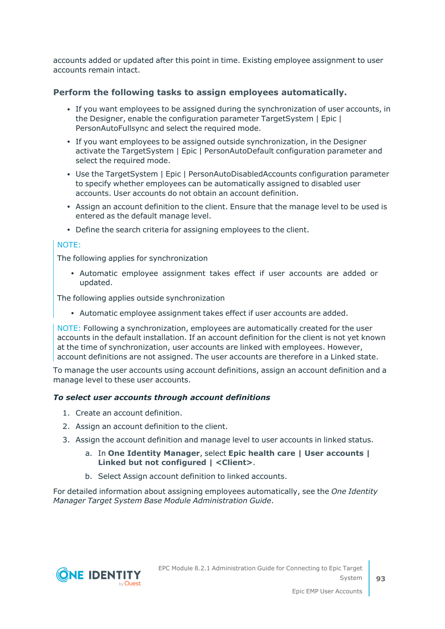accounts added or updated after this point in time. Existing employee assignment to user accounts remain intact.

#### **Perform the following tasks to assign employees automatically.**

- If you want employees to be assigned during the synchronization of user accounts, in the Designer, enable the configuration parameter TargetSystem | Epic | PersonAutoFullsync and select the required mode.
- If you want employees to be assigned outside synchronization, in the Designer activate the TargetSystem | Epic | PersonAutoDefault configuration parameter and select the required mode.
- Use the TargetSystem | Epic | PersonAutoDisabledAccounts configuration parameter to specify whether employees can be automatically assigned to disabled user accounts. User accounts do not obtain an account definition.
- Assign an account definition to the client. Ensure that the manage level to be used is entered as the default manage level.
- Define the search criteria for assigning employees to the client.

#### NOTE:

The following applies for synchronization

• Automatic employee assignment takes effect if user accounts are added or updated.

The following applies outside synchronization

• Automatic employee assignment takes effect if user accounts are added.

NOTE: Following a synchronization, employees are automatically created for the user accounts in the default installation. If an account definition for the client is not yet known at the time of synchronization, user accounts are linked with employees. However, account definitions are not assigned. The user accounts are therefore in a Linked state.

To manage the user accounts using account definitions, assign an account definition and a manage level to these user accounts.

#### *To select user accounts through account definitions*

- 1. Create an account definition.
- 2. Assign an account definition to the client.
- 3. Assign the account definition and manage level to user accounts in linked status.
	- a. In **One Identity Manager**, select **Epic health care | User accounts | Linked but not configured | <Client>**.
	- b. Select Assign account definition to linked accounts.

For detailed information about assigning employees automatically, see the *One Identity Manager Target System Base Module Administration Guide*.

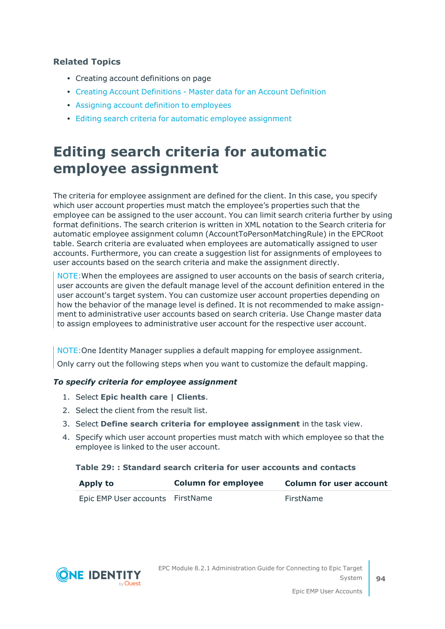#### **Related Topics**

- Creating account definitions on page
- Creating Account [Definitions](#page-29-0) Master data for an Account Definition
- Assigning account definition to [employees](#page-37-0)
- Editing search criteria for automatic employee [assignment](#page-93-0)

### <span id="page-93-0"></span>**Editing search criteria for automatic employee assignment**

The criteria for employee assignment are defined for the client. In this case, you specify which user account properties must match the employee's properties such that the employee can be assigned to the user account. You can limit search criteria further by using format definitions. The search criterion is written in XML notation to the Search criteria for automatic employee assignment column (AccountToPersonMatchingRule) in the EPCRoot table. Search criteria are evaluated when employees are automatically assigned to user accounts. Furthermore, you can create a suggestion list for assignments of employees to user accounts based on the search criteria and make the assignment directly.

NOTE:When the employees are assigned to user accounts on the basis of search criteria, user accounts are given the default manage level of the account definition entered in the user account's target system. You can customize user account properties depending on how the behavior of the manage level is defined. It is not recommended to make assignment to administrative user accounts based on search criteria. Use Change master data to assign employees to administrative user account for the respective user account.

NOTE:One Identity Manager supplies a default mapping for employee assignment. Only carry out the following steps when you want to customize the default mapping.

#### *To specify criteria for employee assignment*

- 1. Select **Epic health care | Clients**.
- 2. Select the client from the result list.
- 3. Select **Define search criteria for employee assignment** in the task view.
- 4. Specify which user account properties must match with which employee so that the employee is linked to the user account.

#### **Table 29: : Standard search criteria for user accounts and contacts**

| <b>Apply to</b>                  | <b>Column for employee</b> | <b>Column for user account</b> |
|----------------------------------|----------------------------|--------------------------------|
| Epic EMP User accounts FirstName |                            | FirstName                      |

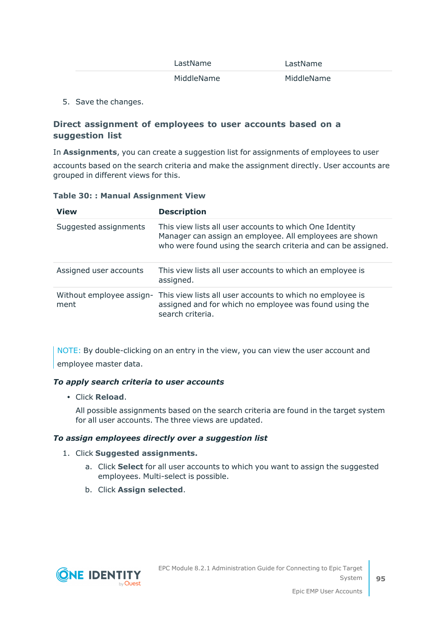| LastName   | LastName   |  |  |
|------------|------------|--|--|
| MiddleName | MiddleName |  |  |

5. Save the changes.

#### **Direct assignment of employees to user accounts based on a suggestion list**

In **Assignments**, you can create a suggestion list for assignments of employees to user

accounts based on the search criteria and make the assignment directly. User accounts are grouped in different views for this.

|  |  |  | <b>Table 30:: Manual Assignment View</b> |  |
|--|--|--|------------------------------------------|--|
|--|--|--|------------------------------------------|--|

| <b>View</b>                      | <b>Description</b>                                                                                                                                                                  |
|----------------------------------|-------------------------------------------------------------------------------------------------------------------------------------------------------------------------------------|
| Suggested assignments            | This view lists all user accounts to which One Identity<br>Manager can assign an employee. All employees are shown<br>who were found using the search criteria and can be assigned. |
| Assigned user accounts           | This view lists all user accounts to which an employee is<br>assigned.                                                                                                              |
| Without employee assign-<br>ment | This view lists all user accounts to which no employee is<br>assigned and for which no employee was found using the<br>search criteria.                                             |

NOTE: By double-clicking on an entry in the view, you can view the user account and employee master data.

#### *To apply search criteria to user accounts*

**· Click Reload.** 

All possible assignments based on the search criteria are found in the target system for all user accounts. The three views are updated.

#### *To assign employees directly over a suggestion list*

#### 1. Click **Suggested assignments.**

- a. Click **Select** for all user accounts to which you want to assign the suggested employees. Multi-select is possible.
- b. Click **Assign selected**.

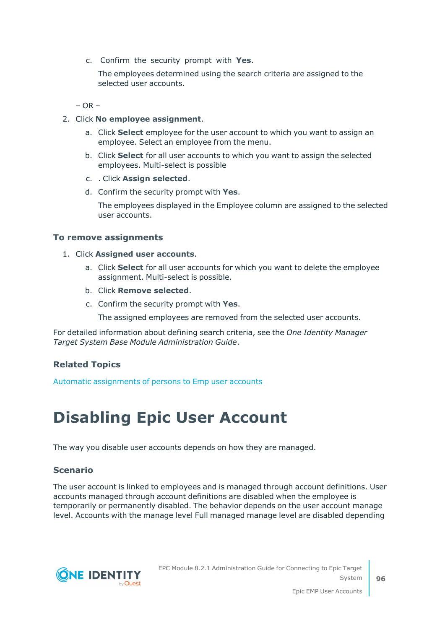c. Confirm the security prompt with **Yes**.

The employees determined using the search criteria are assigned to the selected user accounts.

 $-$  OR  $-$ 

- 2. Click **No employee assignment**.
	- a. Click **Select** employee for the user account to which you want to assign an employee. Select an employee from the menu.
	- b. Click **Select** for all user accounts to which you want to assign the selected employees. Multi-select is possible
	- c. . Click **Assign selected**.
	- d. Confirm the security prompt with **Yes**.

The employees displayed in the Employee column are assigned to the selected user accounts.

#### **To remove assignments**

- 1. Click **Assigned user accounts**.
	- a. Click **Select** for all user accounts for which you want to delete the employee assignment. Multi-select is possible.
	- b. Click **Remove selected**.
	- c. Confirm the security prompt with **Yes**.

The assigned employees are removed from the selected user accounts.

For detailed information about defining search criteria, see the *One Identity Manager Target System Base Module Administration Guide*.

#### **Related Topics**

<span id="page-95-0"></span>Automatic [assignments](#page-91-0) of persons to Emp user accounts

## **Disabling Epic User Account**

The way you disable user accounts depends on how they are managed.

#### **Scenario**

The user account is linked to employees and is managed through account definitions. User accounts managed through account definitions are disabled when the employee is temporarily or permanently disabled. The behavior depends on the user account manage level. Accounts with the manage level Full managed manage level are disabled depending

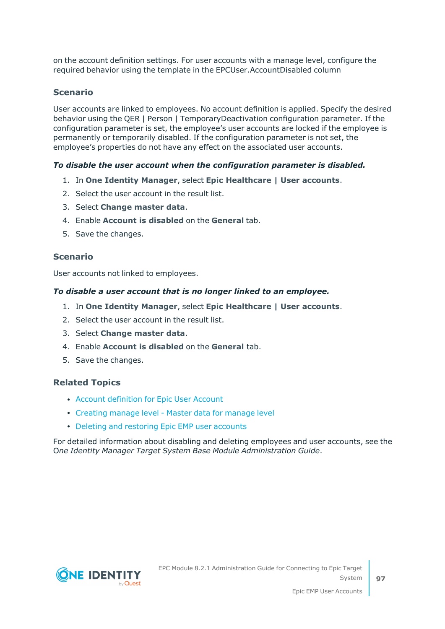on the account definition settings. For user accounts with a manage level, configure the required behavior using the template in the EPCUser.AccountDisabled column

#### **Scenario**

User accounts are linked to employees. No account definition is applied. Specify the desired behavior using the QER | Person | TemporaryDeactivation configuration parameter. If the configuration parameter is set, the employee's user accounts are locked if the employee is permanently or temporarily disabled. If the configuration parameter is not set, the employee's properties do not have any effect on the associated user accounts.

#### *To disable the user account when the configuration parameter is disabled.*

- 1. In **One Identity Manager**, select **Epic Healthcare | User accounts**.
- 2. Select the user account in the result list.
- 3. Select **Change master data**.
- 4. Enable **Account is disabled** on the **General** tab.
- 5. Save the changes.

#### **Scenario**

User accounts not linked to employees.

#### *To disable a user account that is no longer linked to an employee.*

- 1. In **One Identity Manager**, select **Epic Healthcare | User accounts**.
- 2. Select the user account in the result list.
- 3. Select **Change master data**.
- 4. Enable **Account is disabled** on the **General** tab.
- 5. Save the changes.

#### **Related Topics**

- Account [definition](#page-28-0) for Epic User Account
- [Creating](#page-31-0) manage level Master data for manage level
- Deleting and [restoring](#page-97-0) Epic EMP user accounts

For detailed information about disabling and deleting employees and user accounts, see the O*ne Identity Manager Target System Base Module Administration Guide*.

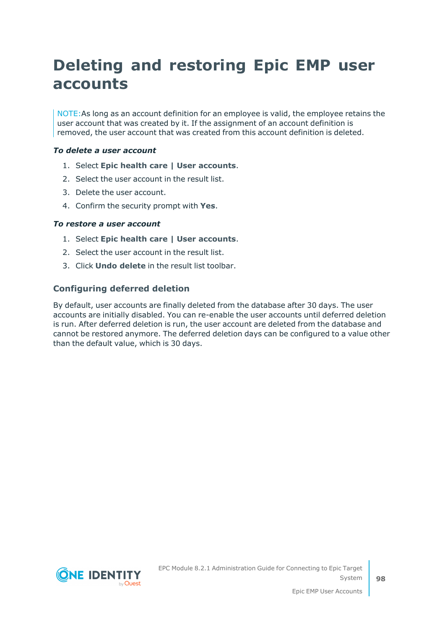## <span id="page-97-0"></span>**Deleting and restoring Epic EMP user accounts**

NOTE:As long as an account definition for an employee is valid, the employee retains the user account that was created by it. If the assignment of an account definition is removed, the user account that was created from this account definition is deleted.

#### *To delete a user account*

- 1. Select **Epic health care | User accounts**.
- 2. Select the user account in the result list.
- 3. Delete the user account.
- 4. Confirm the security prompt with **Yes**.

#### *To restore a user account*

- 1. Select **Epic health care | User accounts**.
- 2. Select the user account in the result list.
- 3. Click **Undo delete** in the result list toolbar.

#### **Configuring deferred deletion**

By default, user accounts are finally deleted from the database after 30 days. The user accounts are initially disabled. You can re-enable the user accounts until deferred deletion is run. After deferred deletion is run, the user account are deleted from the database and cannot be restored anymore. The deferred deletion days can be configured to a value other than the default value, which is 30 days.

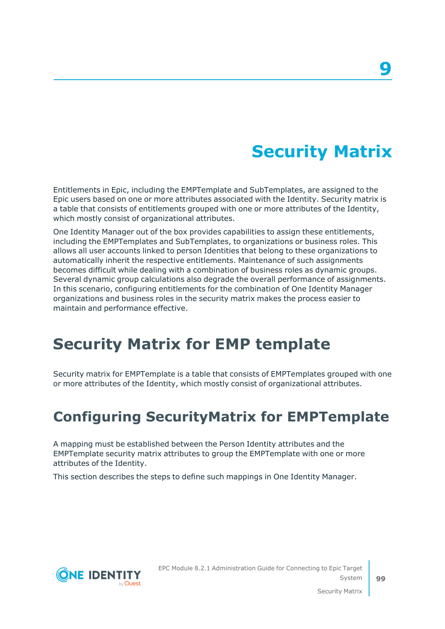## **Security Matrix**

Entitlements in Epic, including the EMPTemplate and SubTemplates, are assigned to the Epic users based on one or more attributes associated with the Identity. Security matrix is a table that consists of entitlements grouped with one or more attributes of the Identity, which mostly consist of organizational attributes.

One Identity Manager out of the box provides capabilities to assign these entitlements, including the EMPTemplates and SubTemplates, to organizations or business roles. This allows all user accounts linked to person Identities that belong to these organizations to automatically inherit the respective entitlements. Maintenance of such assignments becomes difficult while dealing with a combination of business roles as dynamic groups. Several dynamic group calculations also degrade the overall performance of assignments. In this scenario, configuring entitlements for the combination of One Identity Manager organizations and business roles in the security matrix makes the process easier to maintain and performance effective.

## <span id="page-98-1"></span>**Security Matrix for EMP template**

Security matrix for EMPTemplate is a table that consists of EMPTemplates grouped with one or more attributes of the Identity, which mostly consist of organizational attributes.

### <span id="page-98-0"></span>**Configuring SecurityMatrix for EMPTemplate**

A mapping must be established between the Person Identity attributes and the EMPTemplate security matrix attributes to group the EMPTemplate with one or more attributes of the Identity.

This section describes the steps to define such mappings in One Identity Manager.



**99**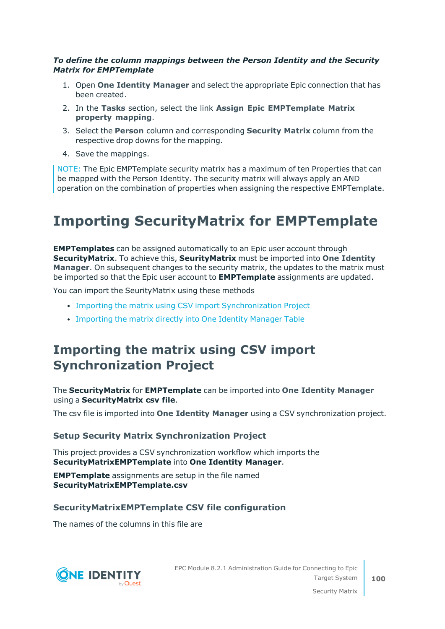#### *To define the column mappings between the Person Identity and the Security Matrix for EMPTemplate*

- 1. Open **One Identity Manager** and select the appropriate Epic connection that has been created.
- 2. In the **Tasks** section, select the link **Assign Epic EMPTemplate Matrix property mapping**.
- 3. Select the **Person** column and corresponding **Security Matrix** column from the respective drop downs for the mapping.
- 4. Save the mappings.

NOTE: The Epic EMPTemplate security matrix has a maximum of ten Properties that can be mapped with the Person Identity. The security matrix will always apply an AND operation on the combination of properties when assigning the respective EMPTemplate.

## **Importing SecurityMatrix for EMPTemplate**

**EMPTemplates** can be assigned automatically to an Epic user account through **SecurityMatrix**. To achieve this, **SeurityMatrix** must be imported into **One Identity Manager**. On subsequent changes to the security matrix, the updates to the matrix must be imported so that the Epic user account to **EMPTemplate** assignments are updated.

You can import the SeurityMatrix using these methods

- Importing the matrix using CSV import [Synchronization](#page-99-0) Project
- [Importing](#page-101-1) the matrix directly into One Identity Manager Table

### <span id="page-99-0"></span>**Importing the matrix using CSV import Synchronization Project**

#### The **SecurityMatrix** for **EMPTemplate** can be imported into **One Identity Manager** using a **SecurityMatrix csv file**.

The csv file is imported into **One Identity Manager** using a CSV synchronization project.

#### **Setup Security Matrix Synchronization Project**

This project provides a CSV synchronization workflow which imports the **SecurityMatrixEMPTemplate** into **One Identity Manager**.

**EMPTemplate** assignments are setup in the file named **SecurityMatrixEMPTemplate.csv**

#### **SecurityMatrixEMPTemplate CSV file configuration**

The names of the columns in this file are

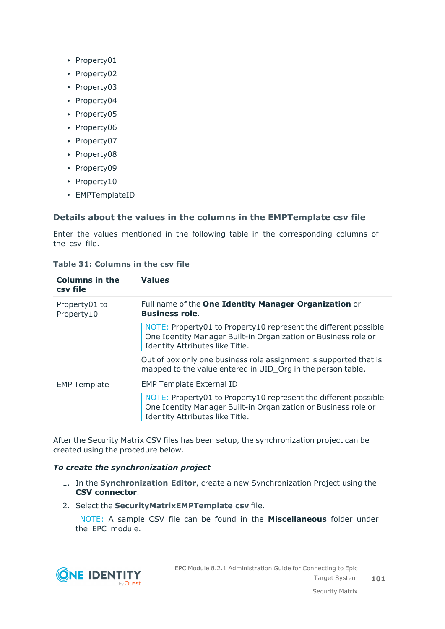- Property01
- Property02
- Property03
- Property04
- Property05
- Property06
- Property07
- Property08
- Property09
- Property10
- EMPTemplateID

#### **Details about the values in the columns in the EMPTemplate csv file**

Enter the values mentioned in the following table in the corresponding columns of the csv file.

| <b>Table 31: Columns in the csv file</b> |  |  |  |  |  |
|------------------------------------------|--|--|--|--|--|
|------------------------------------------|--|--|--|--|--|

| <b>Columns in the</b><br>csy file | <b>Values</b>                                                                                                                                                        |
|-----------------------------------|----------------------------------------------------------------------------------------------------------------------------------------------------------------------|
| Property01 to<br>Property10       | Full name of the One Identity Manager Organization or<br><b>Business role.</b>                                                                                       |
|                                   | NOTE: Property01 to Property10 represent the different possible<br>One Identity Manager Built-in Organization or Business role or<br>Identity Attributes like Title. |
|                                   | Out of box only one business role assignment is supported that is<br>mapped to the value entered in UID_Org in the person table.                                     |
| <b>EMP Template</b>               | <b>EMP Template External ID</b><br>NOTE: Property01 to Property10 represent the different possible<br>One Identity Manager Built-in Organization or Business role or |
|                                   | Identity Attributes like Title.                                                                                                                                      |

After the Security Matrix CSV files has been setup, the synchronization project can be created using the procedure below.

#### *To create the synchronization project*

- 1. In the **Synchronization Editor**, create a new Synchronization Project using the **CSV connector**.
- 2. Select the **SecurityMatrixEMPTemplate csv** file.

NOTE: A sample CSV file can be found in the **Miscellaneous** folder under the EPC module.

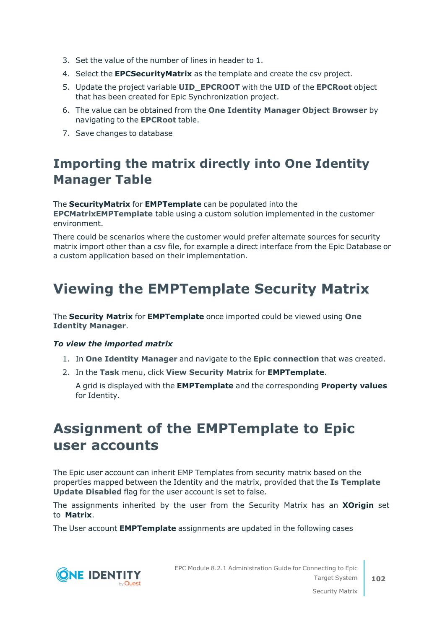- 3. Set the value of the number of lines in header to 1.
- 4. Select the **EPCSecurityMatrix** as the template and create the csv project.
- 5. Update the project variable **UID\_EPCROOT** with the **UID** of the **EPCRoot** object that has been created for Epic Synchronization project.
- 6. The value can be obtained from the **One Identity Manager Object Browser** by navigating to the **EPCRoot** table.
- <span id="page-101-1"></span>7. Save changes to database

### **Importing the matrix directly into One Identity Manager Table**

The **SecurityMatrix** for **EMPTemplate** can be populated into the **EPCMatrixEMPTemplate** table using a custom solution implemented in the customer environment.

There could be scenarios where the customer would prefer alternate sources for security matrix import other than a csv file, for example a direct interface from the Epic Database or a custom application based on their implementation.

### <span id="page-101-0"></span>**Viewing the EMPTemplate Security Matrix**

The **Security Matrix** for **EMPTemplate** once imported could be viewed using **One Identity Manager**.

#### *To view the imported matrix*

- 1. In **One Identity Manager** and navigate to the **Epic connection** that was created.
- 2. In the **Task** menu, click **View Security Matrix** for **EMPTemplate**.

A grid is displayed with the **EMPTemplate** and the corresponding **Property values** for Identity.

### **Assignment of the EMPTemplate to Epic user accounts**

The Epic user account can inherit EMP Templates from security matrix based on the properties mapped between the Identity and the matrix, provided that the **Is Template Update Disabled** flag for the user account is set to false.

The assignments inherited by the user from the Security Matrix has an **XOrigin** set to **Matrix**.

The User account **EMPTemplate** assignments are updated in the following cases



EPC Module 8.2.1 Administration Guide for Connecting to Epic Target System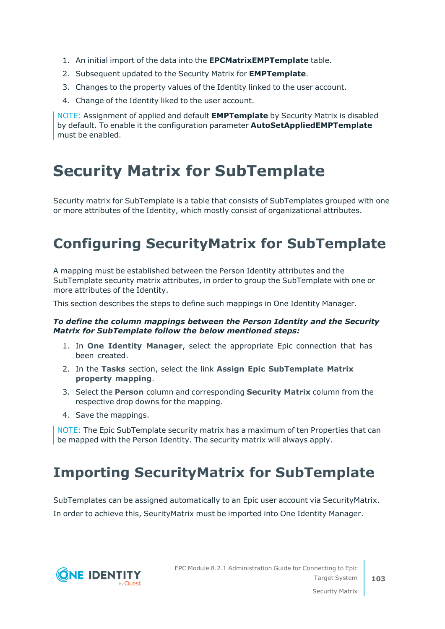- 1. An initial import of the data into the **EPCMatrixEMPTemplate** table.
- 2. Subsequent updated to the Security Matrix for **EMPTemplate**.
- 3. Changes to the property values of the Identity linked to the user account.
- 4. Change of the Identity liked to the user account.

NOTE: Assignment of applied and default **EMPTemplate** by Security Matrix is disabled by default. To enable it the configuration parameter **AutoSetAppliedEMPTemplate** must be enabled.

## <span id="page-102-1"></span>**Security Matrix for SubTemplate**

Security matrix for SubTemplate is a table that consists of SubTemplates grouped with one or more attributes of the Identity, which mostly consist of organizational attributes.

## <span id="page-102-0"></span>**Configuring SecurityMatrix for SubTemplate**

A mapping must be established between the Person Identity attributes and the SubTemplate security matrix attributes, in order to group the SubTemplate with one or more attributes of the Identity.

This section describes the steps to define such mappings in One Identity Manager.

#### *To define the column mappings between the Person Identity and the Security Matrix for SubTemplate follow the below mentioned steps:*

- 1. In **One Identity Manager**, select the appropriate Epic connection that has been created.
- 2. In the **Tasks** section, select the link **Assign Epic SubTemplate Matrix property mapping**.
- 3. Select the **Person** column and corresponding **Security Matrix** column from the respective drop downs for the mapping.
- 4. Save the mappings.

NOTE: The Epic SubTemplate security matrix has a maximum of ten Properties that can be mapped with the Person Identity. The security matrix will always apply.

## **Importing SecurityMatrix for SubTemplate**

SubTemplates can be assigned automatically to an Epic user account via SecurityMatrix. In order to achieve this, SeurityMatrix must be imported into One Identity Manager.



**103**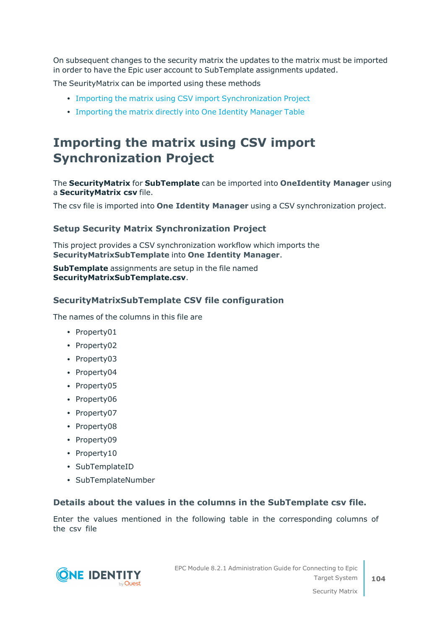On subsequent changes to the security matrix the updates to the matrix must be imported in order to have the Epic user account to SubTemplate assignments updated.

The SeurityMatrix can be imported using these methods

- Importing the matrix using CSV import [Synchronization](#page-103-0) Project
- [Importing](#page-104-0) the matrix directly into One Identity Manager Table

### <span id="page-103-0"></span>**Importing the matrix using CSV import Synchronization Project**

The **SecurityMatrix** for **SubTemplate** can be imported into **OneIdentity Manager** using a **SecurityMatrix csv** file.

The csv file is imported into **One Identity Manager** using a CSV synchronization project.

#### **Setup Security Matrix Synchronization Project**

This project provides a CSV synchronization workflow which imports the **SecurityMatrixSubTemplate** into **One Identity Manager**.

**SubTemplate** assignments are setup in the file named **SecurityMatrixSubTemplate.csv**.

#### **SecurityMatrixSubTemplate CSV file configuration**

The names of the columns in this file are

- Property01
- Property02
- Property03
- Property04
- Property05
- Property06
- Property07
- Property08
- Property09
- Property10
- SubTemplateID
- SubTemplateNumber

#### **Details about the values in the columns in the SubTemplate csv file.**

Enter the values mentioned in the following table in the corresponding columns of the csv file

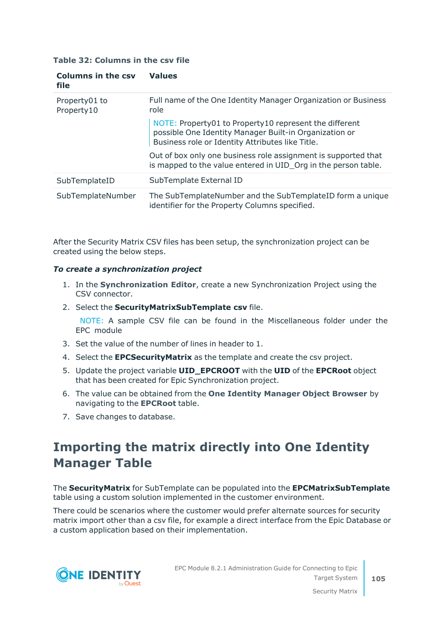#### **Table 32: Columns in the csv file**

| <b>Columns in the csv</b><br><b>file</b> | <b>Values</b>                                                                                                                                                        |
|------------------------------------------|----------------------------------------------------------------------------------------------------------------------------------------------------------------------|
| Property01 to<br>Property10              | Full name of the One Identity Manager Organization or Business<br>role                                                                                               |
|                                          | NOTE: Property01 to Property10 represent the different<br>possible One Identity Manager Built-in Organization or<br>Business role or Identity Attributes like Title. |
|                                          | Out of box only one business role assignment is supported that<br>is mapped to the value entered in UID Org in the person table.                                     |
| SubTemplateID                            | SubTemplate External ID                                                                                                                                              |
| SubTemplateNumber                        | The SubTemplateNumber and the SubTemplateID form a unique<br>identifier for the Property Columns specified.                                                          |

After the Security Matrix CSV files has been setup, the synchronization project can be created using the below steps.

#### *To create a synchronization project*

- 1. In the **Synchronization Editor**, create a new Synchronization Project using the CSV connector.
- 2. Select the **SecurityMatrixSubTemplate csv** file.

NOTE: A sample CSV file can be found in the Miscellaneous folder under the EPC module

- 3. Set the value of the number of lines in header to 1.
- 4. Select the **EPCSecurityMatrix** as the template and create the csv project.
- 5. Update the project variable **UID\_EPCROOT** with the **UID** of the **EPCRoot** object that has been created for Epic Synchronization project.
- 6. The value can be obtained from the **One Identity Manager Object Browser** by navigating to the **EPCRoot** table.
- <span id="page-104-0"></span>7. Save changes to database.

### **Importing the matrix directly into One Identity Manager Table**

The **SecurityMatrix** for SubTemplate can be populated into the **EPCMatrixSubTemplate** table using a custom solution implemented in the customer environment.

There could be scenarios where the customer would prefer alternate sources for security matrix import other than a csv file, for example a direct interface from the Epic Database or a custom application based on their implementation.

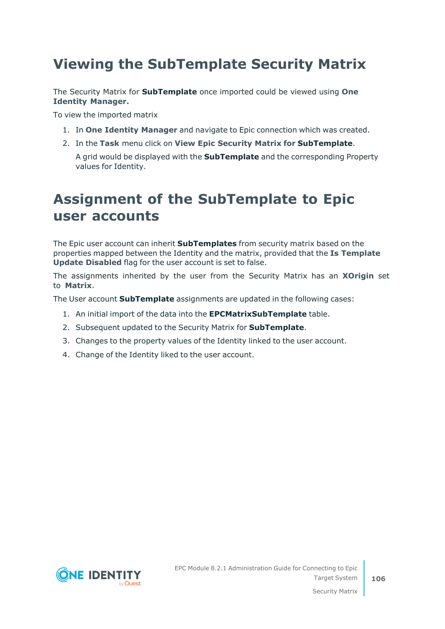### <span id="page-105-0"></span>**Viewing the SubTemplate Security Matrix**

The Security Matrix for **SubTemplate** once imported could be viewed using **One Identity Manager.**

To view the imported matrix

- 1. In **One Identity Manager** and navigate to Epic connection which was created.
- 2. In the **Task** menu click on **View Epic Security Matrix for SubTemplate**.

A grid would be displayed with the **SubTemplate** and the corresponding Property values for Identity.

### **Assignment of the SubTemplate to Epic user accounts**

The Epic user account can inherit **SubTemplates** from security matrix based on the properties mapped between the Identity and the matrix, provided that the **Is Template Update Disabled** flag for the user account is set to false.

The assignments inherited by the user from the Security Matrix has an **XOrigin** set to **Matrix**.

The User account **SubTemplate** assignments are updated in the following cases:

- 1. An initial import of the data into the **EPCMatrixSubTemplate** table.
- 2. Subsequent updated to the Security Matrix for **SubTemplate**.
- 3. Changes to the property values of the Identity linked to the user account.
- 4. Change of the Identity liked to the user account.

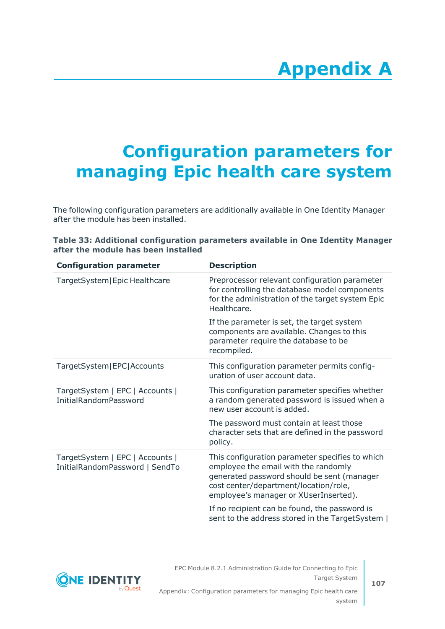# **Appendix A**

# <span id="page-106-0"></span>**Appendix:Configuration parameters for managing Epic health care system**

The following configuration parameters are additionally available in One Identity Manager after the module has been installed.

|  |                                     |  |  |  | Table 33: Additional configuration parameters available in One Identity Manager |  |
|--|-------------------------------------|--|--|--|---------------------------------------------------------------------------------|--|
|  | after the module has been installed |  |  |  |                                                                                 |  |

| <b>Configuration parameter</b>                                    | <b>Description</b>                                                                                                                                                                                                      |
|-------------------------------------------------------------------|-------------------------------------------------------------------------------------------------------------------------------------------------------------------------------------------------------------------------|
| TargetSystem Epic Healthcare                                      | Preprocessor relevant configuration parameter<br>for controlling the database model components<br>for the administration of the target system Epic<br>Healthcare.                                                       |
|                                                                   | If the parameter is set, the target system<br>components are available. Changes to this<br>parameter require the database to be<br>recompiled.                                                                          |
| TargetSystem EPC Accounts                                         | This configuration parameter permits config-<br>uration of user account data.                                                                                                                                           |
| TargetSystem   EPC   Accounts  <br><b>InitialRandomPassword</b>   | This configuration parameter specifies whether<br>a random generated password is issued when a<br>new user account is added.                                                                                            |
|                                                                   | The password must contain at least those<br>character sets that are defined in the password<br>policy.                                                                                                                  |
| TargetSystem   EPC   Accounts  <br>InitialRandomPassword   SendTo | This configuration parameter specifies to which<br>employee the email with the randomly<br>generated password should be sent (manager<br>cost center/department/location/role,<br>employee's manager or XUserInserted). |
|                                                                   | If no recipient can be found, the password is<br>sent to the address stored in the TargetSystem                                                                                                                         |

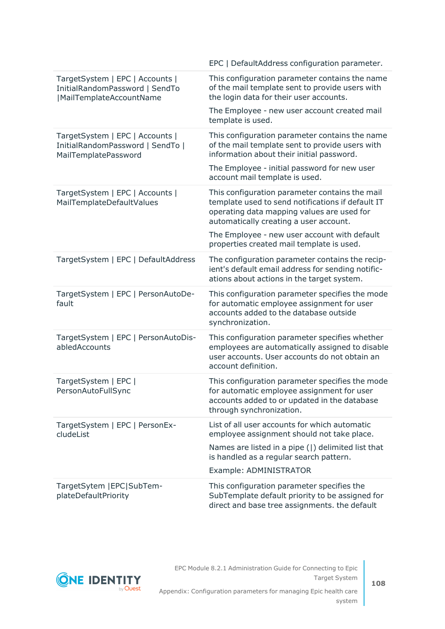|                                                                                               | EPC   DefaultAddress configuration parameter.                                                                                                                                               |
|-----------------------------------------------------------------------------------------------|---------------------------------------------------------------------------------------------------------------------------------------------------------------------------------------------|
| TargetSystem   EPC   Accounts  <br>InitialRandomPassword   SendTo<br> MailTemplateAccountName | This configuration parameter contains the name<br>of the mail template sent to provide users with<br>the login data for their user accounts.                                                |
|                                                                                               | The Employee - new user account created mail<br>template is used.                                                                                                                           |
| TargetSystem   EPC   Accounts  <br>InitialRandomPassword   SendTo  <br>MailTemplatePassword   | This configuration parameter contains the name<br>of the mail template sent to provide users with<br>information about their initial password.                                              |
|                                                                                               | The Employee - initial password for new user<br>account mail template is used.                                                                                                              |
| TargetSystem   EPC   Accounts  <br>MailTemplateDefaultValues                                  | This configuration parameter contains the mail<br>template used to send notifications if default IT<br>operating data mapping values are used for<br>automatically creating a user account. |
|                                                                                               | The Employee - new user account with default<br>properties created mail template is used.                                                                                                   |
| TargetSystem   EPC   DefaultAddress                                                           | The configuration parameter contains the recip-<br>ient's default email address for sending notific-<br>ations about actions in the target system.                                          |
| TargetSystem   EPC   PersonAutoDe-<br>fault                                                   | This configuration parameter specifies the mode<br>for automatic employee assignment for user<br>accounts added to the database outside<br>synchronization.                                 |
| TargetSystem   EPC   PersonAutoDis-<br>abledAccounts                                          | This configuration parameter specifies whether<br>employees are automatically assigned to disable<br>user accounts. User accounts do not obtain an<br>account definition.                   |
| TargetSystem   EPC  <br>PersonAutoFullSync                                                    | This configuration parameter specifies the mode<br>for automatic employee assignment for user<br>accounts added to or updated in the database<br>through synchronization.                   |
| TargetSystem   EPC   PersonEx-<br>cludeList                                                   | List of all user accounts for which automatic<br>employee assignment should not take place.                                                                                                 |
|                                                                                               | Names are listed in a pipe ( ) delimited list that<br>is handled as a regular search pattern.                                                                                               |
|                                                                                               | Example: ADMINISTRATOR                                                                                                                                                                      |
| TargetSytem   EPC   SubTem-<br>plateDefaultPriority                                           | This configuration parameter specifies the<br>SubTemplate default priority to be assigned for<br>direct and base tree assignments. the default                                              |



Appendix: Configuration parameters for managing Epic health care system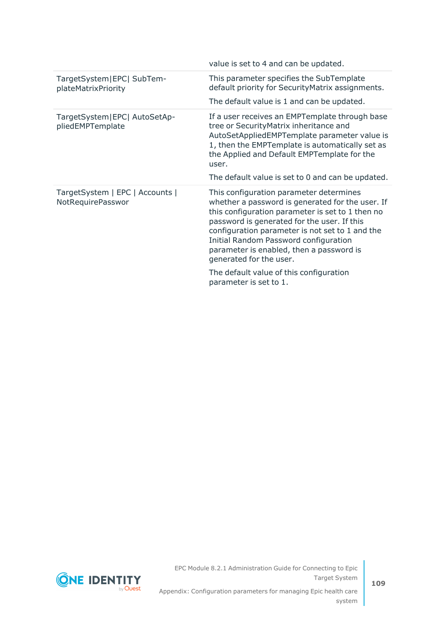|                                                      | value is set to 4 and can be updated.                                                                                                                                                                                                                                                                    |
|------------------------------------------------------|----------------------------------------------------------------------------------------------------------------------------------------------------------------------------------------------------------------------------------------------------------------------------------------------------------|
| TargetSystem EPC  SubTem-<br>plateMatrixPriority     | This parameter specifies the SubTemplate<br>default priority for Security Matrix assignments.<br>The default value is 1 and can be updated.                                                                                                                                                              |
| TargetSystem EPC  AutoSetAp-<br>pliedEMPTemplate     | If a user receives an EMPTemplate through base<br>tree or SecurityMatrix inheritance and<br>AutoSetAppliedEMPTemplate parameter value is<br>1, then the EMPTemplate is automatically set as<br>the Applied and Default EMPTemplate for the<br>user.<br>The default value is set to 0 and can be updated. |
| TargetSystem   EPC   Accounts  <br>NotRequirePasswor | This configuration parameter determines<br>whether a password is generated for the user. If<br>this configuration parameter is set to 1 then no<br>password is generated for the user. If this<br>configuration parameter is not set to 1 and the                                                        |
|                                                      | Initial Random Password configuration<br>parameter is enabled, then a password is<br>generated for the user.                                                                                                                                                                                             |

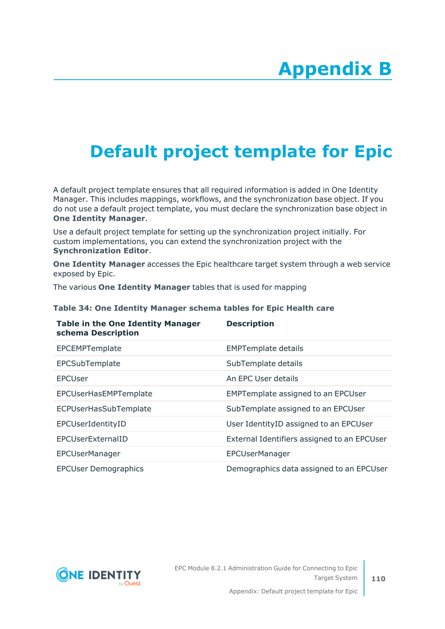## **Appendix:Default project template for Epic**

A default project template ensures that all required information is added in One Identity Manager. This includes mappings, workflows, and the synchronization base object. If you do not use a default project template, you must declare the synchronization base object in **One Identity Manager**.

Use a default project template for setting up the synchronization project initially. For custom implementations, you can extend the synchronization project with the **Synchronization Editor**.

**One Identity Manager** accesses the Epic healthcare target system through a web service exposed by Epic.

**Description**

The various **One Identity Manager** tables that is used for mapping

**Table in the One Identity Manager**

| schema Description          |                                             |
|-----------------------------|---------------------------------------------|
| EPCEMPTemplate              | <b>EMPTemplate details</b>                  |
| EPCSubTemplate              | SubTemplate details                         |
| EPCUser                     | An EPC User details                         |
| EPCUserHasEMPTemplate       | <b>EMPTemplate assigned to an EPCUser</b>   |
| ECPUserHasSubTemplate       | SubTemplate assigned to an EPCUser          |
| EPCUserIdentityID           | User Identity ID assigned to an EPCUser     |
| EPCUserExternalID           | External Identifiers assigned to an EPCUser |
| EPCUserManager              | EPCUserManager                              |
| <b>EPCUser Demographics</b> | Demographics data assigned to an EPCUser    |

## **Table 34: One Identity Manager schema tables for Epic Health care**